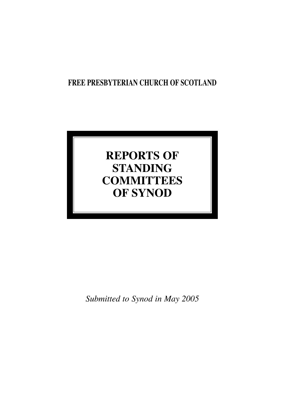## **FREE PRESBYTERIAN CHURCH OF SCOTLAND**

# **REPORTS OF STANDING COMMITTEES OF SYNOD**

*Submitted to Synod in May 2005*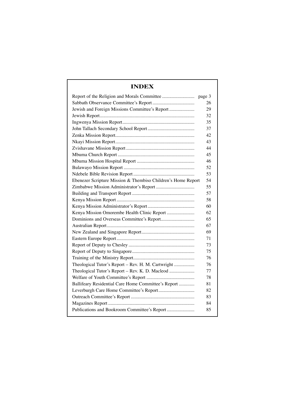## **INDEX**

|                                                              | page 3 |
|--------------------------------------------------------------|--------|
|                                                              | 26     |
| Jewish and Foreign Missions Committee's Report               | 29     |
|                                                              | 32     |
|                                                              | 35     |
|                                                              | 37     |
|                                                              | 42     |
|                                                              | 43     |
|                                                              | 44     |
|                                                              | 45     |
|                                                              | 46     |
|                                                              | 52     |
|                                                              | 53     |
| Ebenezer Scripture Mission & Thembiso Children's Home Report | 54     |
|                                                              | 55     |
|                                                              | 57     |
|                                                              | 58     |
|                                                              | 60     |
| Kenya Mission Omorembe Health Clinic Report                  | 62     |
| Dominions and Overseas Committee's Report                    | 65     |
|                                                              | 67     |
|                                                              | 69     |
|                                                              | 71     |
|                                                              | 73     |
|                                                              | 75     |
|                                                              | 76     |
| Theological Tutor's Report - Rev. H. M. Cartwright           | 76     |
| Theological Tutor's Report - Rev. K. D. Macleod              | 77     |
|                                                              | 78     |
| Ballifeary Residential Care Home Committee's Report          | 81     |
|                                                              | 82     |
|                                                              | 83     |
|                                                              | 84     |
|                                                              | 85     |
|                                                              |        |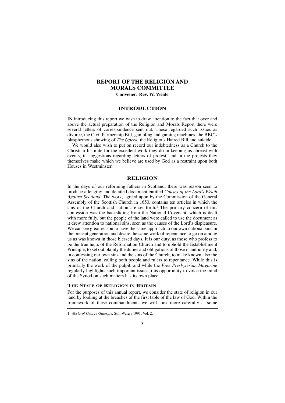## **REPORT OF THE RELIGION AND MORALS COMMITTEE**

**Convener: Rev. W. Weale**

#### **INTRODUCTION**

IN introducing this report we wish to draw attention to the fact that over and above the actual preparation of the Religion and Morals Report there were several letters of correspondence sent out. These regarded such issues as divorce, the Civil Partnership Bill, gambling and gaming machines, the BBC's blasphemous showing of *The Opera,* the Religious Hatred Bill and suicide.

We would also wish to put on record our indebtedness as a Church to the Christian Institute for the excellent work they do in keeping us abreast with events, in suggestions regarding letters of protest, and in the protests they themselves make which we believe are used by God as a restraint upon both Houses in Westminster.

#### **RELIGION**

In the days of our reforming fathers in Scotland, there was reason seen to produce a lengthy and detailed document entitled *Causes of the Lord's Wrath Against Scotland.* The work, agreed upon by the Commission of the General Assembly of the Scottish Church in 1650, contains ten articles in which the sins of the Church and nation are set forth.<sup>1</sup> The primary concern of this confession was the backsliding from the National Covenant, which is dealt with more fully, but the people of the land were called to use the document as it drew attention to national sins, seen as the causes of the Lord's displeasure. We can see great reason to have the same approach to our own national sins in the present generation and desire the same work of repentance to go on among us as was known in those blessed days. It is our duty, as those who profess to be the true heirs of the Reformation Church and to uphold the Establishment Principle, to set out plainly the duties and obligations of those in authority and, in confessing our own sins and the sins of the Church, to make known also the sins of the nation, calling both people and rulers to repentance. While this is primarily the work of the pulpit, and while the *Free Presbyterian Magazine* regularly highlights such important issues, this opportunity to voice the mind of the Synod on such matters has its own place.

#### **THE STATE OF RELIGION IN BRITAIN**

For the purposes of this annual report, we consider the state of religion in our land by looking at the breaches of the first table of the law of God. Within the framework of these commandments we will look more carefully at some

<sup>1.</sup> *Works of George Gillespie,* Still Waters 1991, Vol. 2.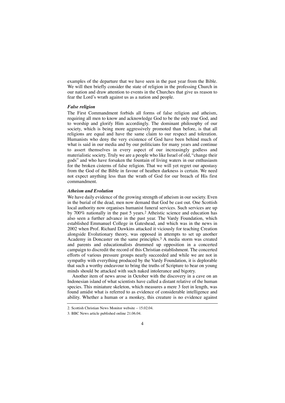examples of the departure that we have seen in the past year from the Bible. We will then briefly consider the state of religion in the professing Church in our nation and draw attention to events in the Churches that give us reason to fear the Lord's wrath against us as a nation and people.

#### *False religion*

The First Commandment forbids all forms of false religion and atheism, requiring all men to know and acknowledge God to be the only true God, and to worship and glorify Him accordingly. The dominant philosophy of our society, which is being more aggressively promoted than before, is that all religions are equal and have the same claim to our respect and toleration. Humanists who deny the very existence of God have been behind much of what is said in our media and by our politicians for many years and continue to assert themselves in every aspect of our increasingly godless and materialistic society. Truly we are a people who like Israel of old, "change their gods" and who have forsaken the fountain of living waters in our enthusiasm for the broken cisterns of false religion. That we will yet regret our apostasy from the God of the Bible in favour of heathen darkness is certain. We need not expect anything less than the wrath of God for our breach of His first commandment.

#### *Atheism and Evolution*

We have daily evidence of the growing strength of atheism in our society. Even in the burial of the dead, men now demand that God be cast out. One Scottish local authority now organises humanist funeral services. Such services are up by 700% nationally in the past 5 years.2 Atheistic science and education has also seen a further advance in the past year. The Vardy Foundation, which established Emmanuel College in Gateshead, and which was in the news in 2002 when Prof. Richard Dawkins attacked it viciously for teaching Creation alongside Evolutionary theory, was opposed in attempts to set up another Academy in Doncaster on the same principles.3 A media storm was created and parents and educationalists drummed up opposition in a concerted campaign to discredit the record of this Christian establishment. The concerted efforts of various pressure groups nearly succeeded and while we are not in sympathy with everything produced by the Vardy Foundation, it is deplorable that such a worthy endeavour to bring the truths of Scripture to bear on young minds should be attacked with such naked intolerance and bigotry.

Another item of news arose in October with the discovery in a cave on an Indonesian island of what scientists have called a distant relative of the human species. This miniature skeleton, which measures a mere 3 feet in length, was found amidst what is referred to as evidence of considerable intelligence and ability. Whether a human or a monkey, this creature is no evidence against

 $\Delta$ 

<sup>2.</sup> Scottish Christian News Monitor website – 15.02.04.

<sup>3.</sup> BBC News article published online 21.06.04.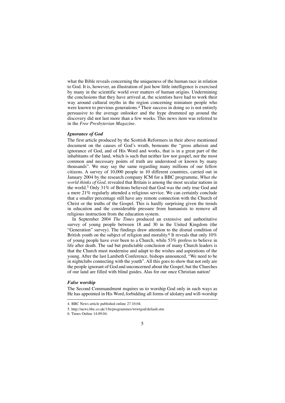what the Bible reveals concerning the uniqueness of the human race in relation to God. It is, however, an illustration of just how little intelligence is exercised by many in the scientific world over matters of human origins. Undermining the conclusions that they have arrived at, the scientists have had to work their way around cultural myths in the region concerning miniature people who were known to previous generations.<sup>4</sup> Their success in doing so is not entirely persuasive to the average onlooker and the hype drummed up around the discovery did not last more than a few weeks. This news item was referred to in the *Free Presbyterian Magazine.*

#### *Ignorance of God*

The first article produced by the Scottish Reformers in their above mentioned document on the causes of God's wrath, bemoans the "gross atheism and ignorance of God, and of His Word and works, that is in a great part of the inhabitants of the land, which is such that neither law nor gospel, nor the most common and necessary points of truth are understood or known by many thousands". We may say the same regarding many millions of our fellow citizens. A survey of 10,000 people in 10 different countries, carried out in January 2004 by the research company ICM for a BBC programme, *What the world thinks of God,* revealed that Britain is among the most secular nations in the world.5 Only 31% of Britons believed that God was the only true God and a mere 21% regularly attended a religious service. We can certainly conclude that a smaller percentage still have any remote connection with the Church of Christ or the truths of the Gospel. This is hardly surprising given the trends in education and the considerable pressure from humanists to remove all religious instruction from the education system.

In September 2004 *The Times* produced an extensive and authoritative survey of young people between 18 and 30 in the United Kingdom (the "Generation" survey). The findings draw attention to the dismal condition of British youth on the subject of religion and morality.<sup>6</sup> It reveals that only 10% of young people have ever been to a Church, while 53% profess to believe in life after death. The sad but predictable conclusion of many Church leaders is that the Church must modernise and adapt to the wishes and aspirations of the young. After the last Lambeth Conference, bishops announced, "We need to be in nightclubs connecting with the youth". All this goes to show that not only are the people ignorant of God and unconcerned about the Gospel, but the Churches of our land are filled with blind guides. Alas for our once Christian nation!

#### *False worship*

The Second Commandment requires us to worship God only in such ways as He has appointed in His Word,forbidding all forms of idolatry and will-worship

<sup>4.</sup> BBC News article published online 27.10.04.

<sup>5.</sup> http://news.bbc.co.uk/1/hi/programmes/wtwtgod/default.stm

<sup>6.</sup> Times Online 14.09.04.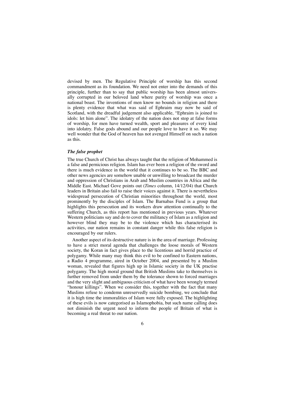devised by men. The Regulative Principle of worship has this second commandment as its foundation. We need not enter into the demands of this principle, further than to say that public worship has been almost universally corrupted in our beloved land where purity of worship was once a national boast. The inventions of men know no bounds in religion and there is plenty evidence that what was said of Ephraim may now be said of Scotland, with the dreadful judgement also applicable, "Ephraim is joined to idols: let him alone". The idolatry of the nation does not stop at false forms of worship, for men have turned wealth, sport and pleasures of every kind into idolatry. False gods abound and our people love to have it so. We may well wonder that the God of heaven has not avenged Himself on such a nation as this.

#### *The false prophet*

The true Church of Christ has always taught that the religion of Mohammed is a false and pernicious religion. Islam has ever been a religion of the sword and there is much evidence in the world that it continues to be so. The BBC and other news agencies are somehow unable or unwilling to broadcast the murder and oppression of Christians in Arab and Muslim countries in Africa and the Middle East. Michael Gove points out (*Times* column, 14/12/04) that Church leaders in Britain also fail to raise their voices against it. There is nevertheless widespread persecution of Christian minorities throughout the world, most prominently by the disciples of Islam. The Barnabas Fund is a group that highlights this persecution and its workers draw attention continually to the suffering Church, as this report has mentioned in previous years. Whatever Western politicians say and do to cover the militancy of Islam as a religion and however blind they may be to the violence which has characterised its activities, our nation remains in constant danger while this false religion is encouraged by our rulers.

Another aspect of its destructive nature is in the area of marriage. Professing to have a strict moral agenda that challenges the loose morals of Western society, the Koran in fact gives place to the licentious and horrid practice of polygamy. While many may think this evil to be confined to Eastern nations, a Radio 4 programme, aired in October 2004, and presented by a Muslim woman, revealed that figures high up in Islamic society in the UK practise polygamy. The high moral ground that British Muslims take to themselves is further removed from under them by the tolerance shown to forced marriages and the very slight and ambiguous criticism of what have been wrongly termed "honour killings". When we consider this, together with the fact that many Muslims refuse to condemn unreservedly suicide bombing, we conclude that it is high time the immoralities of Islam were fully exposed. The highlighting of these evils is now categorised as Islamophobia, but such name calling does not diminish the urgent need to inform the people of Britain of what is becoming a real threat to our nation.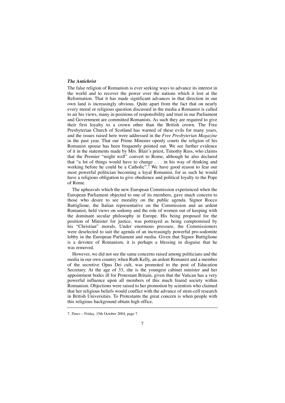#### *The Antichrist*

The false religion of Romanism is ever seeking ways to advance its interest in the world and to recover the power over the nations which it lost at the Reformation. That it has made significant advances in that direction in our own land is increasingly obvious. Quite apart from the fact that on nearly every moral or religious question discussed in the media a Romanist is called to air his views, many in positions of responsibility and trust in our Parliament and Government are committed Romanists. As such they are required to give their first loyalty to a crown other than the British crown. The Free Presbyterian Church of Scotland has warned of these evils for many years, and the issues raised here were addressed in the *Free Presbyterian Magazine* in the past year. That our Prime Minister openly courts the religion of his Romanist spouse has been frequently pointed out. We see further evidence of it in the statements made by Mrs. Blair's priest, Timothy Russ, who claims that the Premier "might well" convert to Rome, although he also declared that "a lot of things would have to change . . . in his way of thinking and working before he could be a Catholic".<sup>7</sup> We have good reason to fear our most powerful politician becoming a loyal Romanist, for as such he would have a religious obligation to give obedience and political loyalty to the Pope of Rome.

The upheavals which the new European Commission experienced when the European Parliament objected to one of its members, gave much concern to those who desire to see morality on the public agenda. Signor Rocco Buttiglione, the Italian representative on the Commission and an ardent Romanist, held views on sodomy and the role of women out of keeping with the dominant secular philosophy in Europe. His being proposed for the position of Minister for justice, was portrayed as being compromised by his "Christian" morals. Under enormous pressure, the Commissioners were deselected to suit the agenda of an increasingly powerful pro-sodomite lobby in the European Parliament and media. Given that Signor Buttiglione is a devotee of Romanism, it is perhaps a blessing in disguise that he was removed.

However, we did not see the same concerns raised among politicians and the media in our own country when Ruth Kelly, an ardent Romanist and a member of the secretive Opus Dei cult, was promoted to the post of Education Secretary. At the age of 33, she is the youngest cabinet minister and her appointment bodes ill for Protestant Britain, given that the Vatican has a very powerful influence upon all members of this much feared society within Romanism. Objections were raised to her promotion by scientists who claimed that her religious beliefs would conflict with the advance of stem-cell research in British Universities. To Protestants the great concern is when people with this religious background obtain high office.

<sup>7.</sup> *Times* – Friday, 15th October 2004, page 7.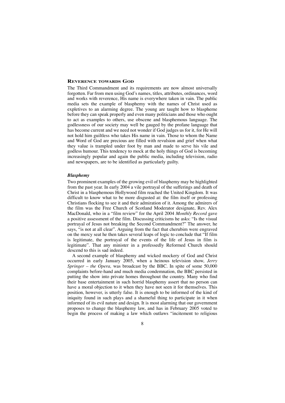#### **REVERENCE TOWARDS GOD**

The Third Commandment and its requirements are now almost universally forgotten. Far from men using God's names, titles, attributes, ordinances, word and works with reverence, His name is everywhere taken in vain. The public media sets the example of blasphemy with the names of Christ used as expletives to an alarming degree. The young are taught how to blaspheme before they can speak properly and even many politicians and those who ought to act as examples to others, use obscene and blasphemous language. The godlessness of our society may well be gauged by the profane language that has become current and we need not wonder if God judges us for it, for He will not hold him guiltless who takes His name in vain. Those to whom the Name and Word of God are precious are filled with revulsion and grief when what they value is trampled under foot by man and made to serve his vile and godless humour. This tendency to mock at the holy things of God is becoming increasingly popular and again the public media, including television, radio and newspapers, are to be identified as particularly guilty.

#### *Blasphemy*

Two prominent examples of the growing evil of blasphemy may be highlighted from the past year. In early 2004 a vile portrayal of the sufferings and death of Christ in a blasphemous Hollywood film reached the United Kingdom. It was difficult to know what to be more disgusted at: the film itself or professing Christians flocking to see it and their admiration of it. Among the admirers of the film was the Free Church of Scotland Moderator designate, Rev. Alex MacDonald, who in a "film review" for the April 2004 *Monthly Record* gave a positive assessment of the film. Discussing criticisms he asks: "Is the visual portrayal of Jesus not breaking the Second Commandment?" The answer, he says, "is not at all clear". Arguing from the fact that cherubim were engraved on the mercy seat he then takes several leaps of logic to conclude that "If film is legitimate, the portrayal of the events of the life of Jesus in film is legitimate". That any minister in a professedly Reformed Church should descend to this is sad indeed.

A second example of blasphemy and wicked mockery of God and Christ occurred in early January 2005, when a heinous television show, *Jerry Springer – the Opera,* was broadcast by the BBC. In spite of some 50,000 complaints before-hand and much media condemnation, the BBC persisted in putting the show into private homes throughout the country. Many who find their base entertainment in such horrid blasphemy assert that no person can have a moral objection to it when they have not seen it for themselves. This position, however, is utterly false. It is enough to be informed of the kind of iniquity found in such plays and a shameful thing to participate in it when informed of its evil nature and design. It is most alarming that our government proposes to change the blasphemy law, and has in February 2005 voted to begin the process of making a law which outlaws "incitement to religious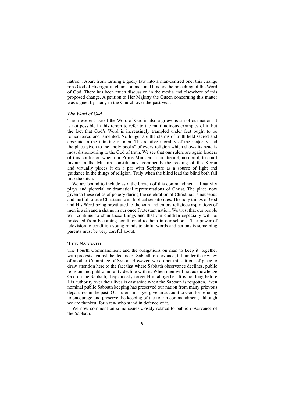hatred". Apart from turning a godly law into a man-centred one, this change robs God of His rightful claims on men and hinders the preaching of the Word of God. There has been much discussion in the media and elsewhere of this proposed change. A petition to Her Majesty the Queen concerning this matter was signed by many in the Church over the past year.

#### *The Word of God*

The irreverent use of the Word of God is also a grievous sin of our nation. It is not possible in this report to refer to the multitudinous examples of it, but the fact that God's Word is increasingly trampled under feet ought to be remembered and lamented. No longer are the claims of truth held sacred and absolute in the thinking of men. The relative morality of the majority and the place given to the "holy books" of every religion which shows its head is most dishonouring to the God of truth. We see that our rulers are again leaders of this confusion when our Prime Minister in an attempt, no doubt, to court favour in the Muslim constituency, commends the reading of the Koran and virtually places it on a par with Scripture as a source of light and guidance in the things of religion. Truly when the blind lead the blind both fall into the ditch.

We are bound to include as a the breach of this commandment all nativity plays and pictorial or dramatical representations of Christ. The place now given to these relics of popery during the celebration of Christmas is nauseous and hurtful to true Christians with biblical sensitivities. The holy things of God and His Word being prostituted to the vain and empty religious aspirations of men is a sin and a shame in our once Protestant nation. We trust that our people will continue to shun these things and that our children especially will be protected from becoming conditioned to them in our schools. The power of television to condition young minds to sinful words and actions is something parents must be very careful about.

#### **THE SABBATH**

The Fourth Commandment and the obligations on man to keep it, together with protests against the decline of Sabbath observance, fall under the review of another Committee of Synod. However, we do not think it out of place to draw attention here to the fact that where Sabbath observance declines, public religion and public morality decline with it. When men will not acknowledge God on the Sabbath, they quickly forget Him altogether. It is not long before His authority over their lives is cast aside when the Sabbath is forgotten. Even nominal public Sabbath keeping has preserved our nation from many grievous departures in the past. Our rulers must yet give an account to God for refusing to encourage and preserve the keeping of the fourth commandment, although we are thankful for a few who stand in defence of it.

We now comment on some issues closely related to public observance of the Sabbath.

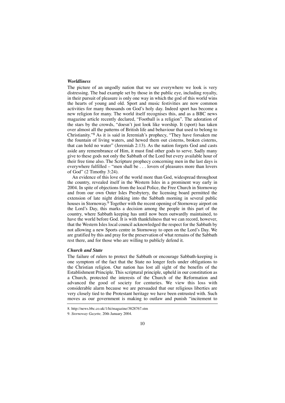#### *Worldliness*

The picture of an ungodly nation that we see everywhere we look is very distressing. The bad example set by those in the public eye, including royalty, in their pursuit of pleasure is only one way in which the god of this world wins the hearts of young and old. Sport and music festivities are now common activities for many thousands on God's holy day. Indeed sport has become a new religion for many. The world itself recognises this, and as a BBC news magazine article recently declared, "Football is a religion". The adoration of the stars by the crowds, "doesn't just look like worship. It (sport) has taken over almost all the patterns of British life and behaviour that used to belong to Christianity."8 As it is said in Jeremiah's prophecy, "They have forsaken me the fountain of living waters, and hewed them out cisterns, broken cisterns, that can hold no water" (Jeremiah 2:13). As the nation forgets God and casts aside any remembrance of Him, it must find other gods to serve. Sadly many give to these gods not only the Sabbath of the Lord but every available hour of their free time also. The Scripture prophecy concerning men in the last days is everywhere fulfilled – "men shall be . . . lovers of pleasures more than lovers of God" (2 Timothy 3:24).

An evidence of this love of the world more than God, widespread throughout the country, revealed itself in the Western Isles in a prominent way early in 2004. In spite of objections from the local Police, the Free Church in Stornoway and from our own Outer Isles Presbytery, the licensing board permitted the extension of late night drinking into the Sabbath morning in several public houses in Stornoway.9 Together with the recent opening of Stornoway airport on the Lord's Day, this marks a decision among the people in this part of the country, where Sabbath keeping has until now been outwardly maintained, to have the world before God. It is with thankfulness that we can record, however, that the Western Isles local council acknowledged the respect for the Sabbath by not allowing a new Sports centre in Stornoway to open on the Lord's Day. We are gratified by this and pray for the preservation of what remains of the Sabbath rest there, and for those who are willing to publicly defend it.

#### *Church and State*

The failure of rulers to protect the Sabbath or encourage Sabbath-keeping is one symptom of the fact that the State no longer feels under obligations to the Christian religion. Our nation has lost all sight of the benefits of the Establishment Principle. This scriptural principle, upheld in our constitution as a Church, protected the interests of the Church of the Reformation and advanced the good of society for centuries. We view this loss with considerable alarm because we are persuaded that our religious liberties are very closely tied to the Protestant heritage we have been entrusted with. Such moves as our government is making to outlaw and punish "incitement to

<sup>8.</sup> http://news.bbc.co.uk/1/hi/magazine/3828767.stm

<sup>9.</sup> *Stornoway Gazette,* 20th January 2004.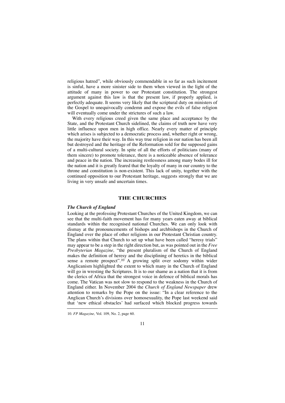religious hatred", while obviously commendable in so far as such incitement is sinful, have a more sinister side to them when viewed in the light of the attitude of many in power to our Protestant constitution. The strongest argument against this law is that the present law, if properly applied, is perfectly adequate. It seems very likely that the scriptural duty on ministers of the Gospel to unequivocally condemn and expose the evils of false religion will eventually come under the strictures of such a law.

With every religious creed given the same place and acceptance by the State, and the Protestant Church sidelined, the claims of truth now have very little influence upon men in high office. Nearly every matter of principle which arises is subjected to a democratic process and, whether right or wrong, the majority have their way. In this way true religion in our nation has been all but destroyed and the heritage of the Reformation sold for the supposed gains of a multi-cultural society. In spite of all the efforts of politicians (many of them sincere) to promote tolerance, there is a noticeable absence of tolerance and peace in the nation. The increasing restlessness among many bodes ill for the nation and it is greatly feared that the loyalty of many in our country to the throne and constitution is non-existent. This lack of unity, together with the continued opposition to our Protestant heritage, suggests strongly that we are living in very unsafe and uncertain times.

#### **THE CHURCHES**

#### *The Church of England*

Looking at the professing Protestant Churches of the United Kingdom, we can see that the multi-faith movement has for many years eaten away at biblical standards within the recognised national Churches. We can only look with dismay at the pronouncements of bishops and archbishops in the Church of England over the place of other religions in our Protestant Christian country. The plans within that Church to set up what have been called "heresy trials" may appear to be a step in the right direction but, as was pointed out in the *Free Presbyterian Magazine,* "the present pluralism of the Church of England makes the definition of heresy and the disciplining of heretics in the biblical sense a remote prospect".<sup>10</sup> A growing split over sodomy within wider Anglicanism highlighted the extent to which many in the Church of England will go in wresting the Scriptures. It is to our shame as a nation that it is from the clerics of Africa that the strongest voice in defence of biblical morals has come. The Vatican was not slow to respond to the weakness in the Church of England either. In November 2004 the *Church of England Newspaper* drew attention to remarks by the Pope on the issue: "In a clear reference to the Anglican Church's divisions over homosexuality, the Pope last weekend said that 'new ethical obstacles' had surfaced which blocked progress towards

<sup>10.</sup> *FP Magazine,* Vol. 109, No. 2, page 60.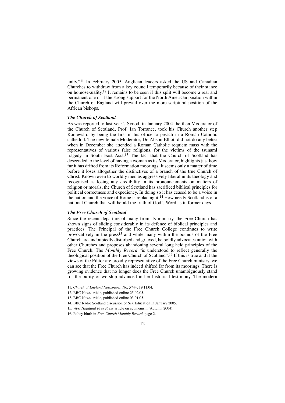unity."11 In February 2005, Anglican leaders asked the US and Canadian Churches to withdraw from a key council temporarily because of their stance on homosexuality.12 It remains to be seen if this split will become a real and permanent one or if the strong support for the North American position within the Church of England will prevail over the more scriptural position of the African bishops.

#### *The Church of Scotland*

As was reported to last year's Synod, in January 2004 the then Moderator of the Church of Scotland, Prof. Ian Torrance, took his Church another step Romeward by being the first in his office to preach in a Roman Catholic cathedral. The new female Moderator, Dr. Alison Elliot, did not do any better when in December she attended a Roman Catholic requiem mass with the representatives of various false religions, for the victims of the tsunami tragedy in South East Asia.<sup>13</sup> The fact that the Church of Scotland has descended to the level of having a woman as its Moderator, highlights just how far it has drifted from its Reformation moorings. It seems only a matter of time before it loses altogether the distinctives of a branch of the true Church of Christ. Known even to worldly men as aggressively liberal in its theology and recognised as losing any credibility in its pronouncements on matters of religion or morals, the Church of Scotland has sacrificed biblical principles for political correctness and expediency. In doing so it has ceased to be a voice in the nation and the voice of Rome is replacing it.14 How needy Scotland is of a national Church that will herald the truth of God's Word as in former days.

#### *The Free Church of Scotland*

Since the recent departure of many from its ministry, the Free Church has shown signs of sliding considerably in its defence of biblical principles and practices. The Principal of the Free Church College continues to write provocatively in the press15 and while many within the bounds of the Free Church are undoubtedly disturbed and grieved, he boldly advocates union with other Churches and proposes abandoning several long held principles of the Free Church. The *Monthly Record* "is understood to reflect generally the theological position of the Free Church of Scotland".16 If this is true and if the views of the Editor are broadly representative of the Free Church ministry, we can see that the Free Church has indeed shifted far from its moorings. There is growing evidence that no longer does the Free Church unambiguously stand for the purity of worship advanced in her historical testimony. The modern

<sup>11.</sup> *Church of England Newspaper,* No. 5744, 19.11.04.

<sup>12.</sup> BBC News article, published online 25.02.05.

<sup>13.</sup> BBC News article, published online 03.01.05.

<sup>14.</sup> BBC Radio Scotland discussion of Sex Education in January 2005.

<sup>15.</sup> *West Highland Free Press* article on ecumenism (Autumn 2004).

<sup>16.</sup> Policy blurb in *Free Church Monthly Record,* page 2.

<sup>12</sup>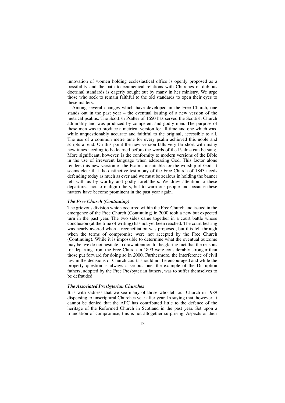innovation of women holding ecclesiastical office is openly proposed as a possibility and the path to ecumenical relations with Churches of dubious doctrinal standards is eagerly sought out by many in her ministry. We urge those who seek to remain faithful to the old standards to open their eyes to these matters.

Among several changes which have developed in the Free Church, one stands out in the past year – the eventual issuing of a new version of the metrical psalms. The Scottish Psalter of 1650 has served the Scottish Church admirably and was produced by competent and godly men. The purpose of these men was to produce a metrical version for all time and one which was, while unquestionably accurate and faithful to the original, accessible to all. The use of a common metre tune for every psalm achieved this noble and scriptural end. On this point the new version falls very far short with many new tunes needing to be learned before the words of the Psalms can be sung. More significant, however, is the conformity to modern versions of the Bible in the use of irreverent language when addressing God. This factor alone renders this new version of the Psalms unsuitable for the worship of God. It seems clear that the distinctive testimony of the Free Church of 1843 needs defending today as much as ever and we must be zealous in holding the banner left with us by worthy and godly forefathers. We draw attention to these departures, not to malign others, but to warn our people and because these matters have become prominent in the past year again.

#### *The Free Church (Continuing)*

The grievous division which occurred within the Free Church and issued in the emergence of the Free Church (Continuing) in 2000 took a new but expected turn in the past year. The two sides came together in a court battle whose conclusion (at the time of writing) has not yet been reached. The court hearing was nearly averted when a reconciliation was proposed, but this fell through when the terms of compromise were not accepted by the Free Church (Continuing). While it is impossible to determine what the eventual outcome may be, we do not hesitate to draw attention to the glaring fact that the reasons for departing from the Free Church in 1893 were considerably stronger than those put forward for doing so in 2000. Furthermore, the interference of civil law in the decisions of Church courts should not be encouraged and while the property question is always a serious one, the example of the Disruption fathers, adopted by the Free Presbyterian fathers, was to suffer themselves to be defrauded.

#### *The Associated Presbyterian Churches*

It is with sadness that we see many of those who left our Church in 1989 dispersing to unscriptural Churches year after year. In saying that, however, it cannot be denied that the APC has contributed little to the defence of the heritage of the Reformed Church in Scotland in the past year. Set upon a foundation of compromise, this is not altogether surprising. Aspects of their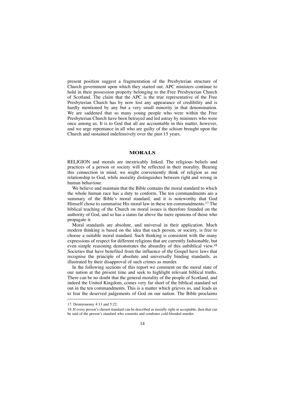present position suggest a fragmentation of the Presbyterian structure of Church government upon which they started out. APC ministers continue to hold in their possession property belonging to the Free Presbyterian Church of Scotland. The claim that the APC is the true representative of the Free Presbyterian Church has by now lost any appearance of credibility and is hardly mentioned by any but a very small minority in that denomination. We are saddened that so many young people who were within the Free Presbyterian Church have been betrayed and led astray by ministers who were once among us. It is to God that all are accountable in this matter, however, and we urge repentance in all who are guilty of the schism brought upon the Church and sustained indefensively over the past 15 years.

#### **MORALS**

RELIGION and morals are inextricably linked. The religious beliefs and practices of a person or society will be reflected in their morality. Bearing this connection in mind, we might conveniently think of religion as our relationship to God, while morality distinguishes between right and wrong in human behaviour.

We believe and maintain that the Bible contains the moral standard to which the whole human race has a duty to conform. The ten commandments are a summary of the Bible's moral standard, and it is noteworthy that God Himself chose to summarise His moral law in these ten commandments.17 The biblical teaching of the Church on moral issues is therefore founded on the authority of God, and so has a status far above the mere opinions of those who propagate it.

Moral standards are absolute, and universal in their application. Much modern thinking is based on the idea that each person, or society, is free to choose a suitable moral standard. Such thinking is consistent with the many expressions of respect for different religions that are currently fashionable, but even simple reasoning demonstrates the absurdity of this unbiblical view.<sup>18</sup> Societies that have benefited from the influence of the Gospel have laws that recognise the principle of absolute and universally binding standards, as illustrated by their disapproval of such crimes as murder.

In the following sections of this report we comment on the moral state of our nation at the present time and seek to highlight relevant biblical truths. There can be no doubt that the general morality of the people of Scotland, and indeed the United Kingdom, comes very far short of the biblical standard set out in the ten commandments. This is a matter which grieves us, and leads us to fear the deserved judgements of God on our nation. The Bible proclaims

<sup>17.</sup> Deuteronomy 4:13 and 5:22.

<sup>18.</sup> If every person's chosen standard can be described as morally right or acceptable, then that can be said of the person's standard who commits and condones cold-blooded murder.

<sup>14</sup>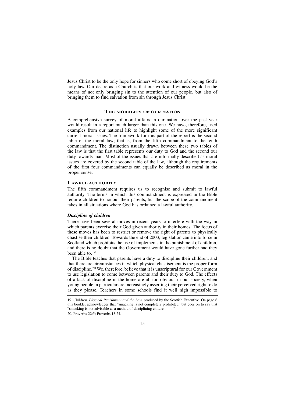Jesus Christ to be the only hope for sinners who come short of obeying God's holy law. Our desire as a Church is that our work and witness would be the means of not only bringing sin to the attention of our people, but also of bringing them to find salvation from sin through Jesus Christ.

#### **THE MORALITY OF OUR NATION**

A comprehensive survey of moral affairs in our nation over the past year would result in a report much larger than this one. We have, therefore, used examples from our national life to highlight some of the more significant current moral issues. The framework for this part of the report is the second table of the moral law; that is, from the fifth commandment to the tenth commandment. The distinction usually drawn between these two tables of the law is that the first table represents our duty to God and the second our duty towards man. Most of the issues that are informally described as moral issues are covered by the second table of the law, although the requirements of the first four commandments can equally be described as moral in the proper sense.

#### **LAWFUL AUTHORITY**

The fifth commandment requires us to recognise and submit to lawful authority. The terms in which this commandment is expressed in the Bible require children to honour their parents, but the scope of the commandment takes in all situations where God has ordained a lawful authority.

#### *Discipline of children*

There have been several moves in recent years to interfere with the way in which parents exercise their God given authority in their homes. The focus of these moves has been to restrict or remove the right of parents to physically chastise their children. Towards the end of 2003, legislation came into force in Scotland which prohibits the use of implements in the punishment of children, and there is no doubt that the Government would have gone further had they been able to.19

The Bible teaches that parents have a duty to discipline their children, and that there are circumstances in which physical chastisement is the proper form of discipline.20 We, therefore, believe that it is unscriptural for our Government to use legislation to come between parents and their duty to God. The effects of a lack of discipline in the home are all too obvious in our society, when young people in particular are increasingly asserting their perceived right to do as they please. Teachers in some schools find it well nigh impossible to

20. Proverbs 22:5; Proverbs 13:24.



<sup>19.</sup> *Children, Physical Punishment and the Law,* produced by the Scottish Executive. On page 6 this booklet acknowledges that "smacking is not completely prohibited" but goes on to say that "smacking is not advisable as a method of disciplining children.  $\dots$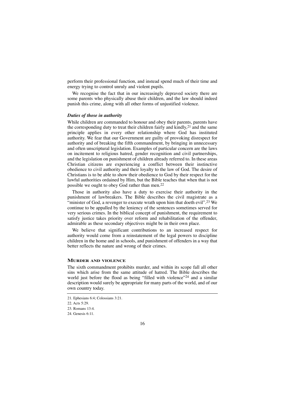perform their professional function, and instead spend much of their time and energy trying to control unruly and violent pupils.

We recognise the fact that in our increasingly depraved society there are some parents who physically abuse their children, and the law should indeed punish this crime, along with all other forms of unjustified violence.

#### *Duties of those in authority*

While children are commanded to honour and obey their parents, parents have the corresponding duty to treat their children fairly and kindly,<sup>21</sup> and the same principle applies in every other relationship where God has instituted authority. We fear that our Government are guilty of provoking disrespect for authority and of breaking the fifth commandment, by bringing in unnecessary and often unscriptural legislation. Examples of particular concern are the laws on incitement to religious hatred, gender recognition and civil partnerships, and the legislation on punishment of children already referred to. In these areas Christian citizens are experiencing a conflict between their instinctive obedience to civil authority and their loyalty to the law of God. The desire of Christians is to be able to show their obedience to God by their respect for the lawful authorities ordained by Him, but the Bible teaches that when that is not possible we ought to obey God rather than men.22

Those in authority also have a duty to exercise their authority in the punishment of lawbreakers. The Bible describes the civil magistrate as a "minister of God, a revenger to execute wrath upon him that doeth evil".<sup>23</sup> We continue to be appalled by the leniency of the sentences sometimes served for very serious crimes. In the biblical concept of punishment, the requirement to satisfy justice takes priority over reform and rehabilitation of the offender, admirable as these secondary objectives might be in their own place.

We believe that significant contributions to an increased respect for authority would come from a reinstatement of the legal powers to discipline children in the home and in schools, and punishment of offenders in a way that better reflects the nature and wrong of their crimes.

#### **MURDER AND VIOLENCE**

The sixth commandment prohibits murder, and within its scope fall all other sins which arise from the same attitude of hatred. The Bible describes the world just before the flood as being "filled with violence"<sup>24</sup> and a similar description would surely be appropriate for many parts of the world, and of our own country today.

<sup>21.</sup> Ephesians 6:4; Colossians 3:21.

<sup>22.</sup> Acts 5:29.

<sup>23.</sup> Romans 13:4.

<sup>24.</sup> Genesis 6:11.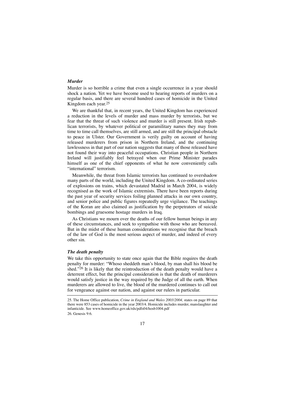#### *Murder*

Murder is so horrible a crime that even a single occurrence in a year should shock a nation. Yet we have become used to hearing reports of murders on a regular basis, and there are several hundred cases of homicide in the United Kingdom each year.25

We are thankful that, in recent years, the United Kingdom has experienced a reduction in the levels of murder and mass murder by terrorists, but we fear that the threat of such violence and murder is still present. Irish republican terrorists, by whatever political or paramilitary names they may from time to time call themselves, are still armed, and are still the principal obstacle to peace in Ulster. Our Government is verily guilty on account of having released murderers from prison in Northern Ireland, and the continuing lawlessness in that part of our nation suggests that many of those released have not found their way into peaceful occupations. Christian people in Northern Ireland will justifiably feel betrayed when our Prime Minister parades himself as one of the chief opponents of what he now conveniently calls "international" terrorism.

Meanwhile, the threat from Islamic terrorists has continued to overshadow many parts of the world, including the United Kingdom. A co-ordinated series of explosions on trains, which devastated Madrid in March 2004, is widely recognised as the work of Islamic extremists. There have been reports during the past year of security services foiling planned attacks in our own country, and senior police and public figures repeatedly urge vigilance. The teachings of the Koran are also claimed as justification by the perpetrators of suicide bombings and gruesome hostage murders in Iraq.

As Christians we mourn over the deaths of our fellow human beings in any of these circumstances, and seek to sympathise with those who are bereaved. But in the midst of these human considerations we recognise that the breach of the law of God is the most serious aspect of murder, and indeed of every other sin.

#### *The death penalty*

We take this opportunity to state once again that the Bible requires the death penalty for murder: "Whoso sheddeth man's blood, by man shall his blood be shed."<sup>26</sup> It is likely that the reintroduction of the death penalty would have a deterrent effect, but the principal consideration is that the death of murderers would satisfy justice in the way required by the Judge of all the earth. When murderers are allowed to live, the blood of the murdered continues to call out for vengeance against our nation, and against our rulers in particular.

26. Genesis 9:6.

<sup>25.</sup> The Home Office publication, *Crime in England and Wales 2003/2004,* states on page 89 that there were 853 cases of homicide in the year 2003/4. Homicide includes murder, manslaughter and infanticide. See www.homeoffice.gov.uk/rds/pdfs04/hosb1004.pdf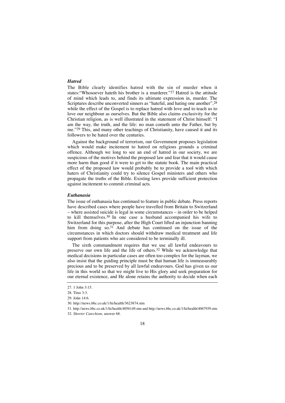#### *Hatred*

The Bible clearly identifies hatred with the sin of murder when it states:"Whosoever hateth his brother is a murderer."27 Hatred is the attitude of mind which leads to, and finds its ultimate expression in, murder. The Scriptures describe unconverted sinners as "hateful, and hating one another",28 while the effect of the Gospel is to replace hatred with love and to teach us to love our neighbour as ourselves. But the Bible also claims exclusivity for the Christian religion, as is well illustrated in the statement of Christ himself: "I am the way, the truth, and the life: no man cometh unto the Father, but by me."29 This, and many other teachings of Christianity, have caused it and its followers to be hated over the centuries.

Against the background of terrorism, our Government proposes legislation which would make incitement to hatred on religious grounds a criminal offence. Although we long to see an end of hatred in our society, we are suspicious of the motives behind the proposed law and fear that it would cause more harm than good if it were to get to the statute book. The main practical effect of the proposed law would probably be to provide a tool with which haters of Christianity could try to silence Gospel ministers and others who propagate the truths of the Bible. Existing laws provide sufficient protection against incitement to commit criminal acts.

#### *Euthanasia*

The issue of euthanasia has continued to feature in public debate. Press reports have described cases where people have travelled from Britain to Switzerland – where assisted suicide is legal in some circumstances – in order to be helped to kill themselves.30 In one case a husband accompanied his wife to Switzerland for this purpose, after the High Court lifted an injunction banning him from doing so.<sup>31</sup> And debate has continued on the issue of the circumstances in which doctors should withdraw medical treatment and life support from patients who are considered to be terminally ill.

The sixth commandment requires that we use all lawful endeavours to preserve our own life and the life of others.32 While we acknowledge that medical decisions in particular cases are often too complex for the layman, we also insist that the guiding principle must be that human life is immeasurably precious and to be preserved by all lawful endeavours. God has given us our life in this world so that we might live to His glory and seek preparation for our eternal existence, and He alone retains the authority to decide when each

<sup>27. 1</sup> John 3:15.

<sup>28.</sup> Titus 3:3.

<sup>29.</sup> John 14:6.

<sup>30.</sup> http://news.bbc.co.uk/1/hi/health/3623874.stm

<sup>31.</sup> http://news.bbc.co.uk/1/hi/health/4056149.stm and http://news.bbc.co.uk/1/hi/health/4067939.stm

<sup>32.</sup> *Shorter Catechism,* answer 68.

<sup>18</sup>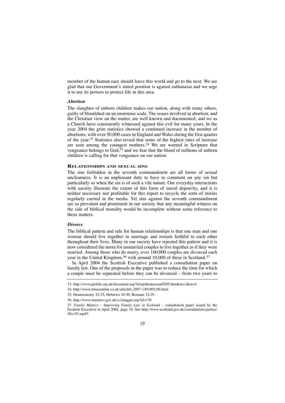member of the human race should leave this world and go to the next. We are glad that our Government's stated position is against euthanasia and we urge it to use its powers to protect life in this area.

#### *Abortion*

The slaughter of unborn children makes our nation, along with many others, guilty of bloodshed on an enormous scale. The issues involved in abortion, and the Christian view on the matter, are well known and documented, and we as a Church have consistently witnessed against this evil for many years. In the year 2004 the grim statistics showed a continued increase in the number of abortions, with over 50,000 cases in England and Wales during the first quarter of the year.33 Statistics also reveal that some of the highest rates of increase are seen among the youngest mothers.<sup>34</sup> We are warned in Scripture that vengeance belongs to  $God$ ,  $35$  and we fear that the blood of millions of unborn children is calling for that vengeance on our nation.

#### **RELATIONSHIPS AND SEXUAL SINS**

The sins forbidden in the seventh commandment are all forms of sexual uncleanness. It is an unpleasant duty to have to comment on any sin but particularly so when the sin is of such a vile nature. Our everyday interactions with society illustrate the extent of this form of moral depravity, and it is neither necessary nor profitable for this report to recycle the sorts of stories regularly carried in the media. Yet sins against the seventh commandment are so prevalent and prominent in our society that any meaningful witness on the side of biblical morality would be incomplete without some reference to these matters.

#### *Divorce*

The biblical pattern and rule for human relationships is that one man and one woman should live together in marriage and remain faithful to each other throughout their lives. Many in our society have rejected this pattern and it is now considered the norm for unmarried couples to live together as if they were married. Among those who do marry, over 160,000 couples are divorced each year in the United Kingdom,<sup>36</sup> with around 10,000 of these in Scotland.<sup>37</sup>

In April 2004 the Scottish Executive published a consultation paper on family law. One of the proposals in the paper was to reduce the time for which a couple must be separated before they can be divorced – from two years to

<sup>33.</sup> http://www.prolife.org.uk/document.asp?id=prabratessoar0205.htm&se=2&st=4

<sup>34.</sup> http://www.timesonline.co.uk/article0,,2087-1491802,00.html

<sup>35.</sup> Deuteronomy 32:35; Hebrews 10:30; Romans 12:19.

<sup>36.</sup> http://www.statistics.gov.uk/cci/nugget.asp?id=170

<sup>37.</sup> *Family Matters – Improving Family Law in Scotland –* consultation paper issued by the Scottish Executive in April 2004, page 16. See http://www.scotland.gov.uk/consultations/justice/ iflis-03.asp#3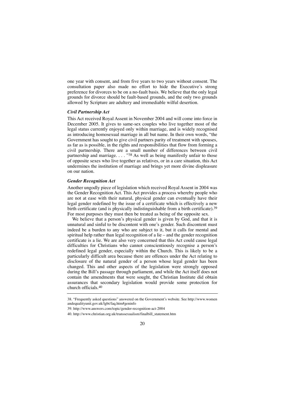one year with consent, and from five years to two years without consent. The consultation paper also made no effort to hide the Executive's strong preference for divorces to be on a no-fault basis. We believe that the only legal grounds for divorce should be fault-based grounds, and the only two grounds allowed by Scripture are adultery and irremediable wilful desertion.

#### *Civil Partnership Act*

This Act received Royal Assent in November 2004 and will come into force in December 2005. It gives to same-sex couples who live together most of the legal status currently enjoyed only within marriage, and is widely recognised as introducing homosexual marriage in all but name. In their own words, "the Government has sought to give civil partners parity of treatment with spouses, as far as is possible, in the rights and responsibilities that flow from forming a civil partnership. There are a small number of differences between civil partnership and marriage. . . . "<sup>38</sup> As well as being manifestly unfair to those of opposite sexes who live together as relatives, or in a care situation, this Act undermines the institution of marriage and brings yet more divine displeasure on our nation.

#### *Gender Recognition Act*

Another ungodly piece of legislation which received Royal Assent in 2004 was the Gender Recognition Act. This Act provides a process whereby people who are not at ease with their natural, physical gender can eventually have their legal gender redefined by the issue of a certificate which is effectively a new birth certificate (and is physically indistinguishable from a birth certificate).<sup>39</sup> For most purposes they must then be treated as being of the opposite sex.

We believe that a person's physical gender is given by God, and that it is unnatural and sinful to be discontent with one's gender. Such discontent must indeed be a burden to any who are subject to it, but it calls for mental and spiritual help rather than legal recognition of a lie – and the gender recognition certificate is a lie. We are also very concerned that this Act could cause legal difficulties for Christians who cannot conscientiously recognise a person's redefined legal gender, especially within the Church. This is likely to be a particularly difficult area because there are offences under the Act relating to disclosure of the natural gender of a person whose legal gender has been changed. This and other aspects of the legislation were strongly opposed during the Bill's passage through parliament, and while the Act itself does not contain the amendments that were sought, the Christian Institute did obtain assurances that secondary legislation would provide some protection for church officials.40

<sup>38. &</sup>quot;Frequently asked questions" answered on the Government's website. See http://www.women andequalityunit.gov.uk/lgbt/faq.htm#geninfo

<sup>39.</sup> http://www.answers.com/topic/gender-recognition-act-2004

<sup>40.</sup> http://www.christian.org.uk/transsexualism/finalbill\_statement.htm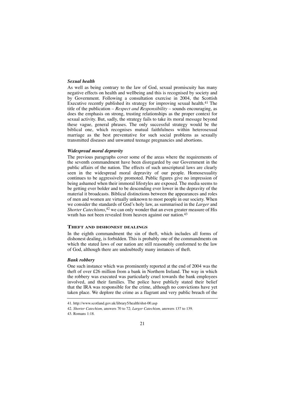#### *Sexual health*

As well as being contrary to the law of God, sexual promiscuity has many negative effects on health and wellbeing and this is recognised by society and by Government. Following a consultation exercise in 2004, the Scottish Executive recently published its strategy for improving sexual health.41 The title of the publication – *Respect and Responsibility* – sounds encouraging, as does the emphasis on strong, trusting relationships as the proper context for sexual activity. But, sadly, the strategy fails to take its moral message beyond these vague, general phrases. The only successful strategy would be the biblical one, which recognises mutual faithfulness within heterosexual marriage as the best preventative for such social problems as sexually transmitted diseases and unwanted teenage pregnancies and abortions.

#### *Widespread moral depravity*

The previous paragraphs cover some of the areas where the requirements of the seventh commandment have been disregarded by our Government in the public affairs of the nation. The effects of such unscriptural laws are clearly seen in the widespread moral depravity of our people. Homosexuality continues to be aggressively promoted. Public figures give no impression of being ashamed when their immoral lifestyles are exposed. The media seems to be getting ever bolder and to be descending ever lower in the depravity of the material it broadcasts. Biblical distinctions between the appearances and roles of men and women are virtually unknown to most people in our society. When we consider the standards of God's holy law, as summarised in the *Larger* and *Shorter Catechisms*,42 we can only wonder that an even greater measure of His wrath has not been revealed from heaven against our nation.<sup>43</sup>

#### **THEFT AND DISHONEST DEALINGS**

In the eighth commandment the sin of theft, which includes all forms of dishonest dealing, is forbidden. This is probably one of the commandments on which the stated laws of our nation are still reasonably conformed to the law of God, although there are undoubtedly many instances of theft.

#### *Bank robbery*

One such instance which was prominently reported at the end of 2004 was the theft of over £26 million from a bank in Northern Ireland. The way in which the robbery was executed was particularly cruel towards the bank employees involved, and their families. The police have publicly stated their belief that the IRA was responsible for the crime, although no convictions have yet taken place. We deplore the crime as a flagrant and very public breach of the

<sup>41.</sup> http://www.scotland.gov.uk/library5/health/shst-00.asp

<sup>42.</sup> *Shorter Catechism,* answers 70 to 72; *Larger Catechism,* answers 137 to 139.

<sup>43.</sup> Romans 1:18.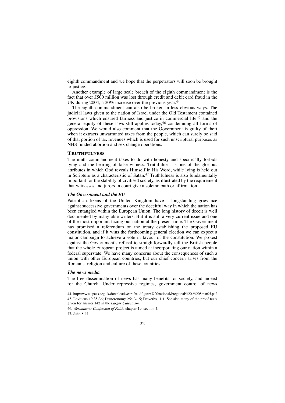eighth commandment and we hope that the perpetrators will soon be brought to justice.

Another example of large scale breach of the eighth commandment is the fact that over £500 million was lost through credit and debit card fraud in the UK during 2004, a 20% increase over the previous year. 44

The eighth commandment can also be broken in less obvious ways. The judicial laws given to the nation of Israel under the Old Testament contained provisions which ensured fairness and justice in commercial life 45 and the general equity of these laws still applies today, 46 condemning all forms of oppression. We would also comment that the Government is guilty of theft when it extracts unwarranted taxes from the people, which can surely be said of that portion of tax revenues which is used for such unscriptural purposes as NHS funded abortion and sex change operations.

#### **TRUTHFULNESS**

The ninth commandment takes to do with honesty and specifically forbids lying and the bearing of false witness. Truthfulness is one of the glorious attributes in which God reveals Himself in His Word, while lying is held out in Scripture as a characteristic of Satan.47 Truthfulness is also fundamentally important for the stability of civilised society, as illustrated by the requirement that witnesses and jurors in court give a solemn oath or affirmation.

#### *The Government and the EU*

Patriotic citizens of the United Kingdom have a longstanding grievance against successive governments over the deceitful way in which the nation has been entangled within the European Union. The long history of deceit is well documented by many able writers. But it is still a very current issue and one of the most important facing our nation at the present time. The Government has promised a referendum on the treaty establishing the proposed EU constitution, and if it wins the forthcoming general election we can expect a major campaign to achieve a vote in favour of the constitution. We protest against the Government's refusal to straightforwardly tell the British people that the whole European project is aimed at incorporating our nation within a federal superstate. We have many concerns about the consequences of such a union with other European countries, but our chief concern arises from the Romanist religion and culture of these countries.

#### *The news media*

The free dissemination of news has many benefits for society, and indeed for the Church. Under repressive regimes, government control of news

<sup>44.</sup> http://www.apacs.org.uk/downloads/cardfraudfigures%20national&regional%20-%208mar05.pdf 45. Leviticus 19:35-36; Deuteronomy 25:13-15; Proverbs 11:1. See also many of the proof texts given for answer 142 in the *Larger Catechism.*

<sup>46.</sup> *Westminster Confession of Faith,* chapter 19, section 4.

<sup>47.</sup> John 8:44.

<sup>22</sup>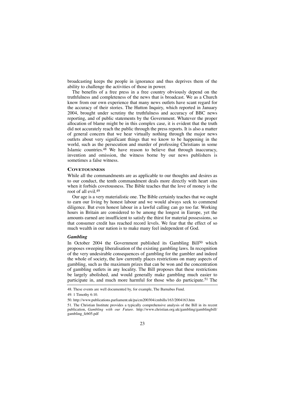broadcasting keeps the people in ignorance and thus deprives them of the ability to challenge the activities of those in power.

The benefits of a free press in a free country obviously depend on the truthfulness and completeness of the news that is broadcast. We as a Church know from our own experience that many news outlets have scant regard for the accuracy of their stories. The Hutton Inquiry, which reported in January 2004, brought under scrutiny the truthfulness and accuracy of BBC news reporting, and of public statements by the Government. Whatever the proper allocation of blame might be in this complex case, it is evident that the truth did not accurately reach the public through the press reports. It is also a matter of general concern that we hear virtually nothing through the major news outlets about very significant things that we know to be happening in the world, such as the persecution and murder of professing Christians in some Islamic countries.<sup>48</sup> We have reason to believe that through inaccuracy, invention and omission, the witness borne by our news publishers is sometimes a false witness.

#### **COVETOUSNESS**

While all the commandments are as applicable to our thoughts and desires as to our conduct, the tenth commandment deals more directly with heart sins when it forbids covetousness. The Bible teaches that the love of money is the root of all evil.49

Our age is a very materialistic one. The Bible certainly teaches that we ought to earn our living by honest labour and we would always seek to commend diligence. But even honest labour in a lawful calling can go too far. Working hours in Britain are considered to be among the longest in Europe, yet the amounts earned are insufficient to satisfy the thirst for material possessions, so that consumer credit has reached record levels. We fear that the effect of so much wealth in our nation is to make many feel independent of God.

#### *Gambling*

In October 2004 the Government published its Gambling Bill<sup>50</sup> which proposes sweeping liberalisation of the existing gambling laws. In recognition of the very undesirable consequences of gambling for the gambler and indeed the whole of society, the law currently places restrictions on many aspects of gambling, such as the maximum prizes that can be won and the concentration of gambling outlets in any locality. The Bill proposes that these restrictions be largely abolished, and would generally make gambling much easier to participate in, and much more harmful for those who do participate.<sup>51</sup> The

<sup>48.</sup> These events are well documented by, for example, The Barnabus Fund.

<sup>49. 1</sup> Timothy 6:10.

<sup>50.</sup> http://www.publications.parliament.uk/pa/cm200304/cmbills/163/2004163.htm

<sup>51.</sup> The Christian Institute provides a typically comprehensive analysis of the Bill in its recent publication, *Gambling with our Future.* http://www.christian.org.uk/gambling/gamblingbill/ gambling\_feb05.pdf

<sup>23</sup>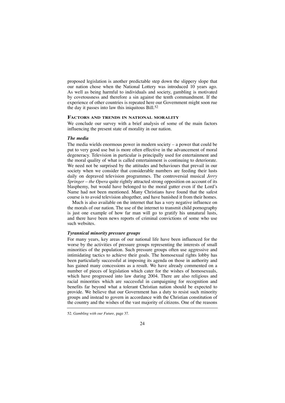proposed legislation is another predictable step down the slippery slope that our nation chose when the National Lottery was introduced 10 years ago. As well as being harmful to individuals and society, gambling is motivated by covetousness and therefore a sin against the tenth commandment. If the experience of other countries is repeated here our Government might soon rue the day it passes into law this iniquitous Bill.<sup>52</sup>

#### **FACTORS AND TRENDS IN NATIONAL MORALITY**

We conclude our survey with a brief analysis of some of the main factors influencing the present state of morality in our nation.

#### *The media*

The media wields enormous power in modern society  $-$  a power that could be put to very good use but is more often effective in the advancement of moral degeneracy. Television in particular is principally used for entertainment and the moral quality of what is called entertainment is continuing to deteriorate. We need not be surprised by the attitudes and behaviours that prevail in our society when we consider that considerable numbers are feeding their lusts daily on depraved television programmes. The controversial musical *Jerry Springer – the Opera* quite rightly attracted strong opposition on account of its blasphemy, but would have belonged to the moral gutter even if the Lord's Name had not been mentioned. Many Christians have found that the safest course is to avoid television altogether, and have banished it from their homes.

Much is also available on the internet that has a very negative influence on the morals of our nation. The use of the internet to transmit child pornography is just one example of how far man will go to gratify his unnatural lusts, and there have been news reports of criminal convictions of some who use such websites.

#### *Tyrannical minority pressure groups*

For many years, key areas of our national life have been influenced for the worse by the activities of pressure groups representing the interests of small minorities of the population. Such pressure groups often use aggressive and intimidating tactics to achieve their goals. The homosexual rights lobby has been particularly successful at imposing its agenda on those in authority and has gained many concessions as a result. We have already commented on a number of pieces of legislation which cater for the wishes of homosexuals, which have progressed into law during 2004. There are also religious and racial minorities which are successful in campaigning for recognition and benefits far beyond what a tolerant Christian nation should be expected to provide. We believe that our Government has a duty to resist such minority groups and instead to govern in accordance with the Christian constitution of the country and the wishes of the vast majority of citizens. One of the reasons

<sup>52.</sup> *Gambling with our Future,* page 37.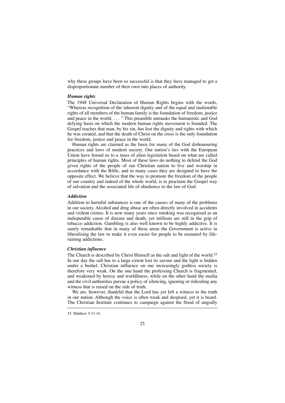why these groups have been so successful is that they have managed to get a disproportionate number of their own into places of authority.

#### *Human rights*

The 1948 Universal Declaration of Human Rights begins with the words, "Whereas recognition of the inherent dignity and of the equal and inalienable rights of all members of the human family is the foundation of freedom, justice and peace in the world. . . . " This preamble unmasks the humanistic and God defying basis on which the modern human rights movement is founded. The Gospel teaches that man, by his sin, has lost the dignity and rights with which he was created, and that the death of Christ on the cross is the only foundation for freedom, justice and peace in the world.

Human rights are claimed as the basis for many of the God dishonouring practices and laws of modern society. Our nation's ties with the European Union have bound us to a mass of alien legislation based on what are called principles of human rights. Most of these laws do nothing to defend the God given rights of the people of our Christian nation to live and worship in accordance with the Bible, and in many cases they are designed to have the opposite effect. We believe that the way to promote the freedom of the people of our country and indeed of the whole world, is to proclaim the Gospel way of salvation and the associated life of obedience to the law of God.

#### *Addiction*

Addition to harmful substances is one of the causes of many of the problems in our society. Alcohol and drug abuse are often directly involved in accidents and violent crimes. It is now many years since smoking was recognised as an indisputable cause of disease and death, yet millions are still in the grip of tobacco addiction. Gambling is also well known to be highly addictive. It is surely remarkable that in many of these areas the Government is active in liberalising the law to make it even easier for people to be ensnared by liferuining addictions.

#### *Christian influence*

The Church is described by Christ Himself as the salt and light of the world.<sup>53</sup> In our day the salt has to a large extent lost its savour and the light is hidden under a bushel. Christian influence on our increasingly godless society is therefore very weak. On the one hand the professing Church is fragmented, and weakened by heresy and worldliness, while on the other hand the media and the civil authorities pursue a policy of silencing, ignoring or ridiculing any witness that is raised on the side of truth.

We are, however, thankful that the Lord has yet left a witness to the truth in our nation. Although the voice is often weak and despised, yet it is heard. The Christian Institute continues to campaign against the flood of ungodly

<sup>53.</sup> Matthew 5:13-14.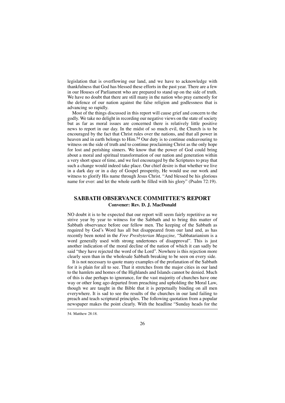legislation that is overflowing our land, and we have to acknowledge with thankfulness that God has blessed these efforts in the past year. There are a few in our Houses of Parliament who are prepared to stand up on the side of truth. We have no doubt that there are still many in the nation who pray earnestly for the defence of our nation against the false religion and godlessness that is advancing so rapidly.

Most of the things discussed in this report will cause grief and concern to the godly. We take no delight in recording our negative views on the state of society but as far as moral issues are concerned there is relatively little positive news to report in our day. In the midst of so much evil, the Church is to be encouraged by the fact that Christ rules over the nations, and that all power in heaven and in earth belongs to Him.54 Our duty is to continue endeavouring to witness on the side of truth and to continue proclaiming Christ as the only hope for lost and perishing sinners. We know that the power of God could bring about a moral and spiritual transformation of our nation and generation within a very short space of time, and we feel encouraged by the Scriptures to pray that such a change would indeed take place. Our chief desire is that whether we live in a dark day or in a day of Gospel prosperity, He would use our work and witness to glorify His name through Jesus Christ. "And blessed be his glorious name for ever: and let the whole earth be filled with his glory" (Psalm 72:19).

## **SABBATH OBSERVANCE COMMITTEE'S REPORT Convener: Rev. D. J. MacDonald**

NO doubt it is to be expected that our report will seem fairly repetitive as we strive year by year to witness for the Sabbath and to bring this matter of Sabbath observance before our fellow men. The keeping of the Sabbath as required by God's Word has all but disappeared from our land and, as has recently been noted in the *Free Presbyterian Magazine,* "Sabbatarianism is a word generally used with strong undertones of disapproval". This is just another indication of the moral decline of the nation of which it can sadly be said "they have rejected the word of the Lord". Nowhere is this rejection more clearly seen than in the wholesale Sabbath breaking to be seen on every side.

It is not necessary to quote many examples of the profanation of the Sabbath for it is plain for all to see. That it stretches from the major cities in our land to the hamlets and homes of the Highlands and Islands cannot be denied. Much of this is due perhaps to ignorance, for the vast majority of churches have one way or other long ago departed from preaching and upholding the Moral Law, though we are taught in the Bible that it is perpetually binding on all men everywhere. It is sad to see the results of the churches in our land failing to preach and teach scriptural principles. The following quotation from a popular newspaper makes the point clearly. With the headline "Sunday heads for the

<sup>54.</sup> Matthew 28:18.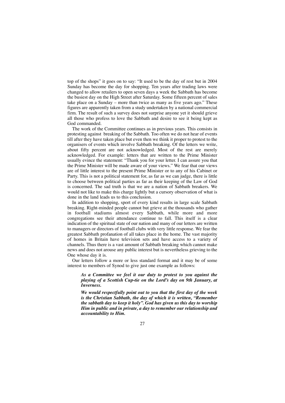top of the shops" it goes on to say: "It used to be the day of rest but in 2004 Sunday has become the day for shopping. Ten years after trading laws were changed to allow retailers to open seven days a week the Sabbath has become the busiest day on the High Street after Saturday. Some fifteen percent of sales take place on a Sunday – more than twice as many as five years ago." These figures are apparently taken from a study undertaken by a national commercial firm. The result of such a survey does not surprise anyone yet it should grieve all those who profess to love the Sabbath and desire to see it being kept as God commanded.

The work of the Committee continues as in previous years. This consists in protesting against breaking of the Sabbath. Too often we do not hear of events till after they have taken place but even then we think it proper to protest to the organisers of events which involve Sabbath breaking. Of the letters we write, about fifty percent are not acknowledged. Most of the rest are merely acknowledged. For example: letters that are written to the Prime Minister usually evince the statement: "Thank you for your letter. I can assure you that the Prime Minister will be made aware of your views." We fear that our views are of little interest to the present Prime Minister or to any of his Cabinet or Party. This is not a political statement for, as far as we can judge, there is little to choose between political parties as far as their keeping of the Law of God is concerned. The sad truth is that we are a nation of Sabbath breakers. We would not like to make this charge lightly but a cursory observation of what is done in the land leads us to this conclusion.

In addition to shopping, sport of every kind results in large scale Sabbath breaking. Right-minded people cannot but grieve at the thousands who gather in football stadiums almost every Sabbath, while more and more congregations see their attendance continue to fall. This itself is a clear indication of the spiritual state of our nation and many of our letters are written to managers or directors of football clubs with very little response. We fear the greatest Sabbath profanation of all takes place in the home. The vast majority of homes in Britain have television sets and have access to a variety of channels. Thus there is a vast amount of Sabbath breaking which cannot make news and does not arouse any public interest but is nevertheless grieving to the One whose day it is.

Our letters follow a more or less standard format and it may be of some interest to members of Synod to give just one example as follows:

*As a Committee we feel it our duty to protest to you against the playing of a Scottish Cup-tie on the Lord's day on 9th January, at Inverness.*

*We would respectfully point out to you that the first day of the week is the Christian Sabbath, the day of which it is written, "Remember the sabbath day to keep it holy". God has given us this day to worship Him in public and in private, a day to remember our relationship and accountability to Him.*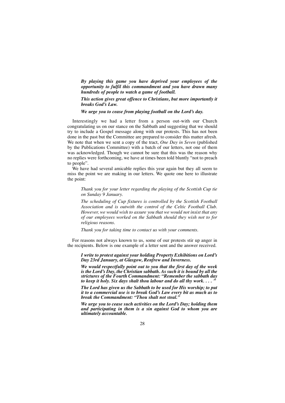*By playing this game you have deprived your employees of the opportunity to fulfil this commandment and you have drawn many hundreds of people to watch a game of football.*

*This action gives great offence to Christians, but more importantly it breaks God's Law.*

*We urge you to cease from playing football on the Lord's day.*

Interestingly we had a letter from a person out-with our Church congratulating us on our stance on the Sabbath and suggesting that we should try to include a Gospel message along with our protests. This has not been done in the past but the Committee are prepared to consider this matter afresh. We note that when we sent a copy of the tract, *One Day in Seven* (published by the Publications Committee) with a batch of our letters, not one of them was acknowledged. Though we cannot be sure that this was the reason why no replies were forthcoming, we have at times been told bluntly "not to preach to people".

We have had several amicable replies this year again but they all seem to miss the point we are making in our letters. We quote one here to illustrate the point:

*Thank you for your letter regarding the playing of the Scottish Cup tie on Sunday 9 January.*

*The scheduling of Cup fixtures is controlled by the Scottish Football Association and is outwith the control of the Celtic Football Club. However, we would wish to assure you that we would not insist that any of our employees worked on the Sabbath should they wish not to for religious reasons.*

*Thank you for taking time to contact us with your comments.*

For reasons not always known to us, some of our protests stir up anger in the recipients. Below is one example of a letter sent and the answer received.

*I write to protest against your holding Property Exhibitions on Lord's Day 23rd January, at Glasgow, Renfrew and Inverness.*

*We would respectfully point out to you that the first day of the week is the Lord's Day, the Christian sabbath. As such it is bound by all the strictures of the Fourth Commandment: "Remember the sabbath day to keep it holy. Six days shalt thou labour and do all thy work. . . . "*

*The Lord has given us the Sabbath to be used for His worship; to put it to a commercial use is to break God's Law every bit as much as to break the Commandment: "Thou shalt not steal."*

*We urge you to cease such activities on the Lord's Day; holding them and participating in them is a sin against God to whom you are ultimately accountable.*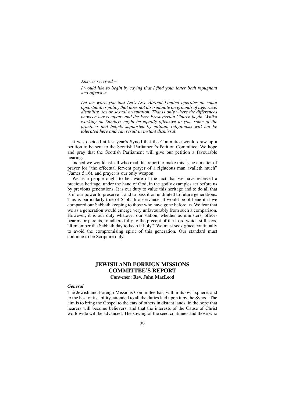#### *Answer received –*

*I would like to begin by saying that I find your letter both repugnant and offensive.*

*Let me warn you that Let's Live Abroad Limited operates an equal opportunities policy that does not discriminate on grounds of age, race, disability, sex or sexual orientation. That is only where the differences between our company and the Free Presbyterian Church begin. Whilst working on Sundays might be equally offensive to you, some of the practices and beliefs supported by militant religionists will not be tolerated here and can result in instant dismissal.*

It was decided at last year's Synod that the Committee would draw up a petition to be sent to the Scottish Parliament's Petition Committee. We hope and pray that the Scottish Parliament will give our petition a favourable hearing.

Indeed we would ask all who read this report to make this issue a matter of prayer for "the effectual fervent prayer of a righteous man availeth much" (James 5:16), and prayer is our only weapon.

We as a people ought to be aware of the fact that we have received a precious heritage, under the hand of God, in the godly examples set before us by previous generations. It is our duty to value this heritage and to do all that is in our power to preserve it and to pass it on undiluted to future generations. This is particularly true of Sabbath observance. It would be of benefit if we compared our Sabbath keeping to those who have gone before us. We fear that we as a generation would emerge very unfavourably from such a comparison. However, it is our duty whatever our station, whether as ministers, officebearers or parents, to adhere fully to the precept of the Lord which still says, "Remember the Sabbath day to keep it holy". We must seek grace continually to avoid the compromising spirit of this generation. Our standard must continue to be Scripture only.

## **JEWISH AND FOREIGN MISSIONS COMMITTEE'S REPORT Convener: Rev. John MacLeod**

#### *General*

The Jewish and Foreign Missions Committee has, within its own sphere, and to the best of its ability, attended to all the duties laid upon it by the Synod. The aim is to bring the Gospel to the ears of others in distant lands, in the hope that hearers will become believers, and that the interests of the Cause of Christ worldwide will be advanced. The sowing of the seed continues and those who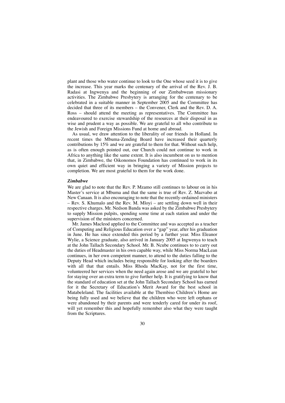plant and those who water continue to look to the One whose seed it is to give the increase. This year marks the centenary of the arrival of the Rev. J. B. Radasi at Ingwenya and the beginning of our Zimbabwean missionary activities. The Zimbabwe Presbytery is arranging for the centenary to be celebrated in a suitable manner in September 2005 and the Committee has decided that three of its members – the Convener, Clerk and the Rev. D. A. Ross – should attend the meeting as representatives. The Committee has endeavoured to exercise stewardship of the resources at their disposal in as wise and prudent a way as possible. We are grateful to all who contribute to the Jewish and Foreign Missions Fund at home and abroad.

As usual, we draw attention to the liberality of our friends in Holland. In recent times the Mbuma-Zending Board have increased their quarterly contributions by 15% and we are grateful to them for that. Without such help, as is often enough pointed out, our Church could not continue to work in Africa to anything like the same extent. It is also incumbent on us to mention that, in Zimbabwe, the Oikonomos Foundation has continued to work in its own quiet and efficient way in bringing a variety of Mission projects to completion. We are most grateful to them for the work done.

#### *Zimbabwe*

We are glad to note that the Rev. P. Mzamo still continues to labour on in his Master's service at Mbuma and that the same is true of Rev. Z. Mazvabo at New Canaan. It is also encouraging to note that the recently-ordained ministers – Rev. S. Khumalo and the Rev. M. Mloyi – are settling down well in their respective charges. Mr. Nedson Banda was asked by the Zimbabwe Presbytery to supply Mission pulpits, spending some time at each station and under the supervision of the ministers concerned.

Mr. James Macleod applied to the Committee and was accepted as a teacher of Computing and Religious Education over a "gap" year, after his graduation in June. He has since extended this period by a further year. Miss Eleanor Wylie, a Science graduate, also arrived in January 2005 at Ingwenya to teach at the John Tallach Secondary School. Mr. B. Ncube continues to to carry out the duties of Headmaster in his own capable way, while Miss Norma MacLean continues, in her own competent manner, to attend to the duties falling to the Deputy Head which includes being responsible for looking after the boarders with all that that entails. Miss Rhoda MacKay, not for the first time, volunteered her services when the need again arose and we are grateful to her for staying over an extra term to give further help. It is gratifying to know that the standard of education set at the John Tallach Secondary School has earned for it the Secretary of Education's Merit Award for the best school in Matabeleland. The facilities available at the Thembiso Children's Home are being fully used and we believe that the children who were left orphans or were abandoned by their parents and were tenderly cared for under its roof, will yet remember this and hopefully remember also what they were taught from the Scriptures.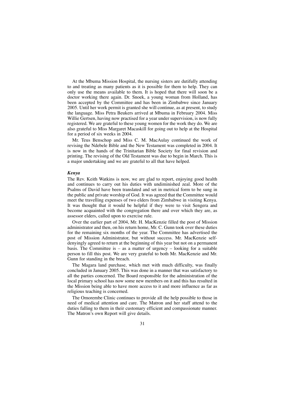At the Mbuma Mission Hospital, the nursing sisters are dutifully attending to and treating as many patients as it is possible for them to help. They can only use the means available to them. It is hoped that there will soon be a doctor working there again. Dr. Snoek, a young woman from Holland, has been accepted by the Committee and has been in Zimbabwe since January 2005. Until her work permit is granted she will continue, as at present, to study the language. Miss Petra Beukers arrived at Mbuma in February 2004. Miss Willie Gertsen, having now practised for a year under supervision, is now fully registered. We are grateful to these young women for the work they do. We are also grateful to Miss Margaret Macaskill for going out to help at the Hospital for a period of six weeks in 2004.

Mr. Teus Benschop and Miss C. M. MacAulay continued the work of revising the Ndebele Bible and the New Testament was completed in 2004. It is now in the hands of the Trinitarian Bible Society for final revision and printing. The revising of the Old Testament was due to begin in March. This is a major undertaking and we are grateful to all that have helped.

#### *Kenya*

The Rev. Keith Watkins is now, we are glad to report, enjoying good health and continues to carry out his duties with undiminished zeal. More of the Psalms of David have been translated and set in metrical form to be sung in the public and private worship of God. It was agreed that the Committee would meet the travelling expenses of two elders from Zimbabwe in visiting Kenya. It was thought that it would be helpful if they were to visit Sengera and become acquainted with the congregation there and over which they are, as assessor elders, called upon to exercise rule.

Over the earlier part of 2004, Mr. H. MacKenzie filled the post of Mission administrator and then, on his return home, Mr. C. Gunn took over these duties for the remaining six months of the year. The Committee has advertised the post of Mission Administrator, but without success. Mr. MacKenzie selfdenyingly agreed to return at the beginning of this year but not on a permanent basis. The Committee is  $-$  as a matter of urgency  $-$  looking for a suitable person to fill this post. We are very grateful to both Mr. MacKenzie and Mr. Gunn for standing in the breach.

The Magara land purchase, which met with much difficulty, was finally concluded in January 2005. This was done in a manner that was satisfactory to all the parties concerned. The Board responsible for the administration of the local primary school has now some new members on it and this has resulted in the Mission being able to have more access to it and more influence as far as religious teaching is concerned.

The Omorembe Clinic continues to provide all the help possible to those in need of medical attention and care. The Matron and her staff attend to the duties falling to them in their customary efficient and compassionate manner. The Matron's own Report will give details.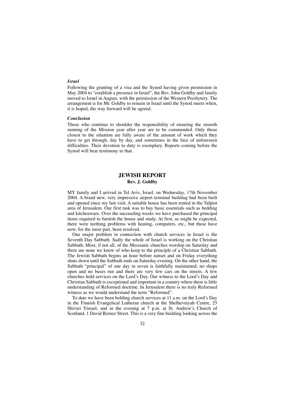#### *Israel*

Following the granting of a visa and the Synod having given permission in May 2004 to "establish a presence in Israel", the Rev. John Goldby and family moved to Israel in August, with the permission of the Western Presbytery. The arrangement is for Mr. Goldby to remain in Israel until the Synod meets when, it is hoped, the way forward will be agreed.

#### *Conclusion*

Those who continue to shoulder the responsibility of ensuring the smooth running of the Mission year after year are to be commended. Only those closest to the situation are fully aware of the amount of work which they have to get through, day by day, and sometimes in the face of unforeseen difficulties. Their devotion to duty is exemplary. Reports coming before the Synod will bear testimony to that.

## **JEWISH REPORT Rev. J. Goldby**

MY family and I arrived in Tel Aviv, Israel, on Wednesday, 17th November 2004. A brand new, very impressive airport terminal building had been built and opened since my last visit. A suitable house has been rented in the Talpiot area of Jerusalem. Our first task was to buy basic essentials such as bedding and kitchenware. Over the succeeding weeks we have purchased the principal items required to furnish the house and study. At first, as might be expected, there were teething problems with heating, computers, etc., but these have now, for the most part, been resolved.

One major problem in connection with church services in Israel is the Seventh Day Sabbath. Sadly the whole of Israel is working on the Christian Sabbath. Most, if not all, of the Messianic churches worship on Saturday and there are none we know of who keep to the principle of a Christian Sabbath. The Jewish Sabbath begins an hour before sunset and on Friday everything shuts down until the Sabbath ends on Saturday evening. On the other hand, the Sabbath "principal" of one day in seven is faithfully maintained; no shops open and no buses run and there are very few cars on the streets. A few churches hold services on the Lord's Day. Our witness to the Lord's Day and Christian Sabbath is exceptional and important in a country where there is little understanding of Reformed doctrine. In Jerusalem there is no truly Reformed witness as we would understand the term "Reformed".

To date we have been holding church services at 11 a.m. on the Lord's Day in the Finnish Evangelical Lutheran church at the Shelhevetyah Centre, 25 Shivtei Yisrael, and in the evening at 7 p.m. at St. Andrew's Church of Scotland, 1 David Remez Street. This is a very fine building looking across the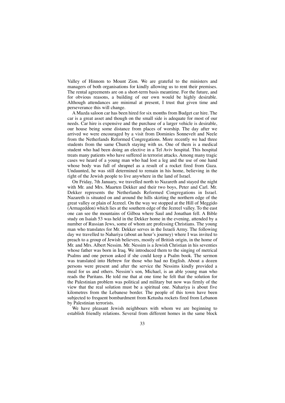Valley of Hinnom to Mount Zion. We are grateful to the ministers and managers of both organisations for kindly allowing us to rent their premises. The rental agreements are on a short-term basis meantime. For the future, and for obvious reasons, a building of our own would be highly desirable. Although attendances are minimal at present, I trust that given time and perseverance this will change.

A Mazda saloon car has been hired for six months from Budget car hire. The car is a great asset and though on the small side is adequate for most of our needs. Car hire is expensive and the purchase of a larger vehicle is desirable, our house being some distance from places of worship. The day after we arrived we were encouraged by a visit from Dominies Sonnevelt and Neele from the Netherlands Reformed Congregations. More recently we had three students from the same Church staying with us. One of them is a medical student who had been doing an elective in a Tel Aviv hospital. This hospital treats many patients who have suffered in terrorist attacks. Among many tragic cases we heard of a young man who had lost a leg and the use of one hand whose body was full of shrapnel as a result of a rocket fired from Gaza. Undaunted, he was still determined to remain in his home, believing in the right of the Jewish people to live anywhere in the land of Israel.

On Friday, 7th January, we travelled north to Nazareth and stayed the night with Mr. and Mrs. Maarten Dekker and their two boys, Peter and Carl. Mr. Dekker represents the Netherlands Reformed Congregations in Israel. Nazareth is situated on and around the hills skirting the northern edge of the great valley or plain of Jezreel. On the way we stopped at the Hill of Meggido (Armageddon) which lies at the southern edge of the Jezreel valley. To the east one can see the mountains of Gilboa where Saul and Jonathan fell. A Bible study on Isaiah 53 was held in the Dekker home in the evening, attended by a number of Russian Jews, some of whom are professing Christians. The young man who translates for Mr. Dekker serves in the Israeli Army. The following day we travelled to Nahariya (about an hour's journey) where I was invited to preach to a group of Jewish believers, mostly of British origin, in the home of Mr. and Mrs. Albert Nessim. Mr. Nessim is a Jewish Christian in his seventies whose father was born in Iraq. We introduced them to the singing of metrical Psalms and one person asked if she could keep a Psalm book. The sermon was translated into Hebrew for those who had no English. About a dozen persons were present and after the service the Nessims kindly provided a meal for us and others. Nessim's son, Michael, is an able young man who reads the Puritans. He told me that at one time he felt that the solution for the Palestinian problem was political and military but now was firmly of the view that the real solution must be a spiritual one. Nahariya is about five kilometres from the Lebanese border. The people of this town have been subjected to frequent bombardment from Ketusha rockets fired from Lebanon by Palestinian terrorists.

We have pleasant Jewish neighbours with whom we are beginning to establish friendly relations. Several from different homes in the same block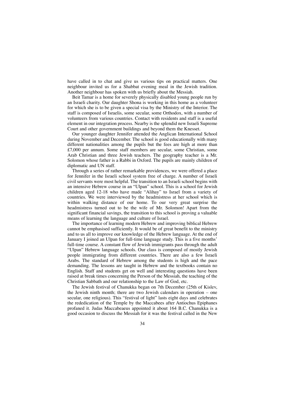have called in to chat and give us various tips on practical matters. One neighbour invited us for a Shabbat evening meal in the Jewish tradition. Another neighbour has spoken with us briefly about the Messiah.

Beit Tamar is a home for severely physically disabled young people run by an Israeli charity. Our daughter Shona is working in this home as a volunteer for which she is to be given a special visa by the Ministry of the Interior. The staff is composed of Israelis, some secular, some Orthodox, with a number of volunteers from various countries. Contact with residents and staff is a useful element in our integration process. Nearby is the splendid new Israeli Supreme Court and other government buildings and beyond them the Knesset.

Our younger daughter Jennifer attended the Anglican International School during November and December. The school is good educationally with many different nationalities among the pupils but the fees are high at more than £7,000 per annum. Some staff members are secular, some Christian, some Arab Christian and three Jewish teachers. The geography teacher is a Mr. Solomon whose father is a Rabbi in Oxford. The pupils are mainly children of diplomatic and UN staff.

Through a series of rather remarkable providences, we were offered a place for Jennifer in the Israeli school system free of charge. A number of Israeli civil servants were most helpful. The transition to an Israeli school begins with an intensive Hebrew course in an "Ulpan" school. This is a school for Jewish children aged 12-18 who have made "Alihay" to Israel from a variety of countries. We were interviewed by the headmistress at her school which is within walking distance of our home. To our very great surprise the headmistress turned out to be the wife of Mr. Solomon! Apart from the significant financial savings, the transition to this school is proving a valuable means of learning the language and culture of Israel.

The importance of learning modern Hebrew and improving biblical Hebrew cannot be emphasised sufficiently. It would be of great benefit to the ministry and to us all to improve our knowledge of the Hebrew language. At the end of January I joined an Ulpan for full-time language study. This is a five months' full-time course. A constant flow of Jewish immigrants pass through the adult "Ulpan" Hebrew language schools. Our class is composed of mostly Jewish people immigrating from different countries. There are also a few Israeli Arabs. The standard of Hebrew among the students is high and the pace demanding. The lessons are taught in Hebrew and the textbooks contain no English. Staff and students get on well and interesting questions have been raised at break times concerning the Person of the Messiah, the teaching of the Christian Sabbath and our relationship to the Law of God, etc.

The Jewish festival of Chanukka began on 7th December (25th of Kislev, the Jewish ninth month; there are two Jewish calendars in operation – one secular, one religious). This "festival of light" lasts eight days and celebrates the rededication of the Temple by the Maccabees after Antiochus Epiphanes profaned it. Judas Maccabeaeus appointed it about 164 B.C. Chanukka is a good occasion to discuss the Messiah for it was the festival called in the New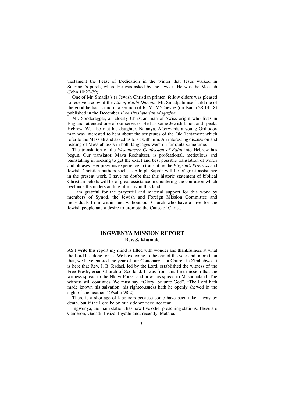Testament the Feast of Dedication in the winter that Jesus walked in Solomon's porch, where He was asked by the Jews if He was the Messiah (John 10:22-39).

One of Mr. Smadja's (a Jewish Christian printer) fellow elders was pleased to receive a copy of the *Life of Rabbi Duncan.* Mr. Smadja himself told me of the good he had found in a sermon of R. M. M'Cheyne (on Isaiah 28:14-18) published in the December *Free Presbyterian Magazine.*

Mr. Sonderegger, an elderly Christian man of Swiss origin who lives in England, attended one of our services. He has some Jewish blood and speaks Hebrew. We also met his daughter, Natanya. Afterwards a young Orthodox man was interested to hear about the scriptures of the Old Testament which refer to the Messiah and asked us to sit with him. An interesting discussion and reading of Messiah texts in both languages went on for quite some time.

The translation of the *Westminster Confession of Faith* into Hebrew has begun. Our translator, Maya Rechnitzer, is professional, meticulous and painstaking in seeking to get the exact and best possible translation of words and phrases. Her previous experience in translating the *Pilgrim's Progress* and Jewish Christian authors such as Adolph Saphir will be of great assistance in the present work. I have no doubt that this historic statement of biblical Christian beliefs will be of great assistance in countering the confusion which beclouds the understanding of many in this land.

I am grateful for the prayerful and material support for this work by members of Synod, the Jewish and Foreign Mission Committee and individuals from within and without our Church who have a love for the Jewish people and a desire to promote the Cause of Christ.

## **INGWENYA MISSION REPORT Rev. S. Khumalo**

AS I write this report my mind is filled with wonder and thankfulness at what the Lord has done for us. We have come to the end of the year and, more than that, we have entered the year of our Centenary as a Church in Zimbabwe. It is here that Rev. J. B. Radasi, led by the Lord, established the witness of the Free Presbyterian Church of Scotland. It was from this first mission that the witness spread to the Nkayi Forest and now has spread to Mashonaland. The witness still continues. We must say, "Glory be unto God". "The Lord hath made known his salvation: his righteousness hath he openly shewed in the sight of the heathen" (Psalm 98:2).

There is a shortage of labourers because some have been taken away by death, but if the Lord be on our side we need not fear.

Ingwenya, the main station, has now five other preaching stations. These are Cameron, Gadadi, Insiza, Inyathi and, recently, Matapa.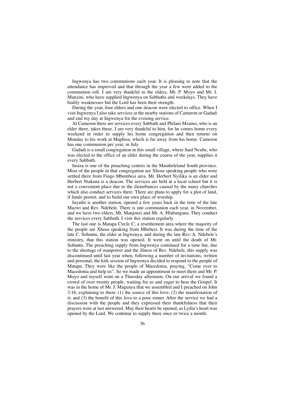Ingwenya has two communions each year. It is pleasing to note that the attendance has improved and that through the year a few were added to the communion roll. I am very thankful to the elders, Mr. P. Moyo and Mr. I. Manzini, who have supplied Ingwenya on Sabbaths and weekdays. They have bodily weaknesses but the Lord has been their strength.

During the year, four elders and one deacon were elected to office. When I visit Ingwenya I also take services at the nearby stations of Cameron or Gadadi and end my day at Ingwenya for the evening service.

At Cameron there are services every Sabbath and Philani Mzamo, who is an elder there, takes these. I am very thankful to him, for he comes home every weekend in order to supply his home congregation and then returns on Monday to his work at Maphisa, which is far away from his home. Cameron has one communion per year, in July.

Gadadi is a small congregation in this small village, where Saul Ncube, who was elected to the office of an elder during the course of the year, supplies it every Sabbath.

Insiza is one of the preaching centres in the Matabeleland South province. Most of the people in that congregation are Xhosa speaking people who were settled there from Fingo Mbembesi area. Mr. Herbert Nyilika is an elder and Herbert Ntakana is a deacon. The services are held at a local school but it is not a convenient place due to the disturbances caused by the many churches which also conduct services there. There are plans to apply for a plot of land, if funds permit, and to build our own place of worship.

Inyathi is another station, opened a few years back in the time of the late Mazwi and Rev. Ndebele. There is one communion each year, in November, and we have two elders, Mr. Manjonzi and Mr. A. Hlabangana. They conduct the services every Sabbath. I visit this station regularly.

The last one is Matapa Circle C, a resettlement area where the majority of the people are Xhosa speaking from Mbebesi. It was during the time of the late C. Sobantu, the elder at Ingwenya, and during the late Rev. A. Ndebele's ministry, that this station was opened. It went on until the death of Mr. Sobantu. The preaching supply from Ingwenya continued for a time but, due to the shortage of manpower and the illness of Rev. Ndebele, this supply was discontinued until last year when, following a number of invitations, written and personal, the kirk session of Ingwenya decided to respond to the people of Matapa. They were like the people of Macedonia, praying, "Come over to Macedonia and help us". So we made an appointment to meet them and Mr. P. Moyo and myself went on a Thursday afternoon. On our arrival we found a crowd of over twenty people, waiting for us and eager to hear the Gospel. It was in the home of Mr. J. Magunya that we assembled and I preached on John 3:16, explaining to them: (1) the source of this love; (2) the manifestation of it; and (3) the benefit of this love to a poor sinner. After the service we had a discussion with the people and they expressed their thankfulness that their prayers were at last answered. May their hearts be opened, as Lydia's heart was opened by the Lord. We continue to supply there once or twice a month.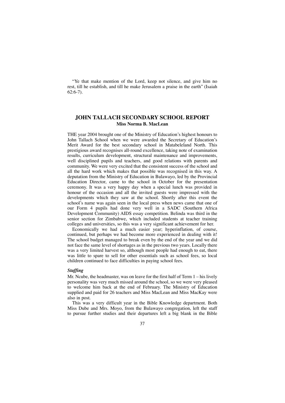"Ye that make mention of the Lord, keep not silence, and give him no rest, till he establish, and till he make Jerusalem a praise in the earth" (Isaiah 62:6-7).

### **JOHN TALLACH SECONDARY SCHOOL REPORT Miss Norma B. MacLean**

THE year 2004 brought one of the Ministry of Education's highest honours to John Tallach School when we were awarded the Secretary of Education's Merit Award for the best secondary school in Matabeleland North. This prestigious award recognises all-round excellence, taking note of examination results, curriculum development, structural maintenance and improvements, well disciplined pupils and teachers, and good relations with parents and community. We were very excited that the consistent success of the school and all the hard work which makes that possible was recognised in this way. A deputation from the Ministry of Education in Bulawayo, led by the Provincial Education Director, came to the school in October for the presentation ceremony. It was a very happy day when a special lunch was provided in honour of the occasion and all the invited guests were impressed with the developments which they saw at the school. Shortly after this event the school's name was again seen in the local press when news came that one of our Form 4 pupils had done very well in a SADC (Southern Africa Development Community) AIDS essay competition. Belinda was third in the senior section for Zimbabwe, which included students at teacher training colleges and universities, so this was a very significant achievement for her.

Economically we had a much easier year; hyperinflation, of course, continued, but perhaps we had become more experienced in dealing with it! The school budget managed to break even by the end of the year and we did not face the same level of shortages as in the previous two years. Locally there was a very limited harvest so, although most people had enough to eat, there was little to spare to sell for other essentials such as school fees, so local children continued to face difficulties in paying school fees.

### *Staffing*

Mr. Ncube, the headmaster, was on leave for the first half of Term 1 – his lively personality was very much missed around the school, so we were very pleased to welcome him back at the end of February. The Ministry of Education supplied and paid for 26 teachers and Miss MacLean and Miss MacKay were also in post.

This was a very difficult year in the Bible Knowledge department. Both Miss Dube and Mrs. Moyo, from the Bulawayo congregation, left the staff to pursue further studies and their departures left a big blank in the Bible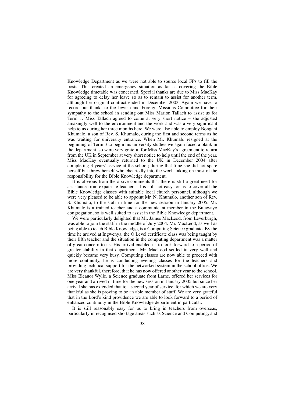Knowledge Department as we were not able to source local FPs to fill the posts. This created an emergency situation as far as covering the Bible Knowledge timetable was concerned. Special thanks are due to Miss MacKay for agreeing to delay her leave so as to remain to assist for another term, although her original contract ended in December 2003. Again we have to record our thanks to the Jewish and Foreign Missions Committee for their sympathy to the school in sending out Miss Marion Tallach to assist us for Term 1. Miss Tallach agreed to come at very short notice – she adjusted amazingly well to the environment and the work and was a very significant help to us during her three months here. We were also able to employ Bongani Khumalo, a son of Rev. S. Khumalo, during the first and second terms as he was waiting for university entrance. When Mr. Khumalo resigned at the beginning of Term 3 to begin his university studies we again faced a blank in the department, so were very grateful for Miss MacKay's agreement to return from the UK in September at very short notice to help until the end of the year. Miss MacKay eventually returned to the UK in December 2004 after completing 3 years' service at the school; during that time she did not spare herself but threw herself wholeheartedly into the work, taking on most of the responsibility for the Bible Knowledge department.

It is obvious from the above comments that there is still a great need for assistance from expatriate teachers. It is still not easy for us to cover all the Bible Knowledge classes with suitable local church personnel, although we were very pleased to be able to appoint Mr. N. Khumalo, another son of Rev. S. Khumalo, to the staff in time for the new session in January 2005. Mr. Khumalo is a trained teacher and a communicant member in the Bulawayo congregation, so is well suited to assist in the Bible Knowledge department.

We were particularly delighted that Mr. James MacLeod, from Leverburgh, was able to join the staff in the middle of July 2004. Mr. MacLeod, as well as being able to teach Bible Knowledge, is a Computing Science graduate. By the time he arrived at Ingwenya, the O Level certificate class was being taught by their fifth teacher and the situation in the computing department was a matter of great concern to us. His arrival enabled us to look forward to a period of greater stability in that department. Mr. MacLeod settled in very well and quickly became very busy. Computing classes are now able to proceed with more continuity, he is conducting evening classes for the teachers and providing technical support for the networked system in the school office. We are very thankful, therefore, that he has now offered another year to the school. Miss Eleanor Wylie, a Science graduate from Larne, offered her services for one year and arrived in time for the new session in January 2005 but since her arrival she has extended that to a second year of service, for which we are very thankful as she is proving to be an able member of staff. We are very grateful that in the Lord's kind providence we are able to look forward to a period of enhanced continuity in the Bible Knowledge department in particular.

It is still reasonably easy for us to bring in teachers from overseas, particularly in recognised shortage areas such as Science and Computing, and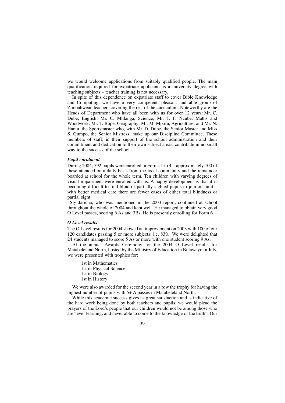we would welcome applications from suitably qualified people. The main qualification required for expatriate applicants is a university degree with teaching subjects – teacher training is not necessary.

In spite of this dependence on expatriate staff to cover Bible Knowledge and Computing, we have a very competent, pleasant and able group of Zimbabwean teachers covering the rest of the curriculum. Noteworthy are the Heads of Department who have all been with us for over 12 years: Mr. C. Dube, English; Mr. C. Mhlanga, Science; Mr. T. F. Ncube, Maths and Woodwork; Mr. T. Bope, Geography; Mr. M. Mpofu, Agriculture; and Mr. N. Hamu, the Sportsmaster who, with Mr. D. Dube, the Senior Master and Miss S. Gumpo, the Senior Mistress, make up our Discipline Committee. These members of staff, in their support of the school administration and their commitment and dedication to their own subject areas, contribute in no small way to the success of the school.

### *Pupil enrolment*

During 2004, 592 pupils were enrolled in Forms 1 to 4 – approximately 100 of these attended on a daily basis from the local community and the remainder boarded at school for the whole term. Ten children with varying degrees of visual impairment were enrolled with us. A happy development is that it is becoming difficult to find blind or partially sighted pupils to join our unit – with better medical care there are fewer cases of either total blindness or partial sight.

Sly Jaricha, who was mentioned in the 2003 report, continued at school throughout the whole of 2004 and kept well. He managed to obtain very good O Level passes, scoring 6 As and 3Bs. He is presently enrolling for Form 6.

#### *O Level results*

The O Level results for 2004 showed an improvement on 2003 with 100 of our 120 candidates passing 5 or more subjects; i.e. 83%. We were delighted that 24 students managed to score 5 As or more with one student scoring 9 As.

At the annual Awards Ceremony for the 2004 O Level results for Matabeleland North, hosted by the Ministry of Education in Bulawayo in July, we were presented with trophies for:

1st in Mathematics 1st in Physical Science 1st in Biology 1st in History

We were also awarded for the second year in a row the trophy for having the highest number of pupils with 5+ A passes in Matabeleland North.

While this academic success gives us great satisfaction and is indicative of the hard work being done by both teachers and pupils, we would plead the prayers of the Lord's people that our children would not be among those who are "ever learning, and never able to come to the knowledge of the truth". Our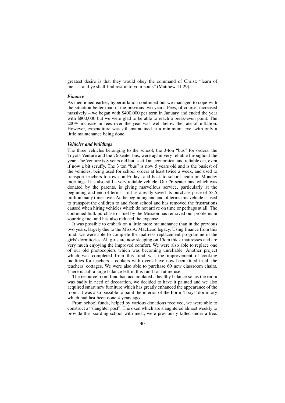greatest desire is that they would obey the command of Christ: "learn of me . . . and ye shall find rest unto your souls" (Matthew 11:29).

### *Finance*

As mentioned earlier, hyperinflation continued but we managed to cope with the situation better than in the previous two years. Fees, of course, increased massively – we began with  $$400,000$  per term in January and ended the year with \$800,000 but we were glad to be able to reach a break-even point. The 200% increase in fees over the year was well below the rate of inflation. However, expenditure was still maintained at a minimum level with only a little maintenance being done.

### *Vehicles and buildings*

The three vehicles belonging to the school, the 3-ton "bus" for orders, the Toyota Venture and the 76-seater bus, were again very reliable throughout the year. The Venture is 8 years old but is still an economical and reliable car, even if now a bit scruffy. The 3 ton "bus" is now 5 years old and is the busiest of the vehicles, being used for school orders at least twice a week, and used to transport teachers to town on Fridays and back to school again on Monday mornings. It is also still a very reliable vehicle. Our 76-seater bus, which was donated by the parents, is giving marvellous service, particularly at the beginning and end of terms – it has already saved its purchase price of \$3.5 million many times over. At the beginning and end of terms this vehicle is used to transport the children to and from school and has removed the frustrations caused when hiring vehicles which do not arrive on time or perhaps at all. The continued bulk purchase of fuel by the Mission has removed our problems in sourcing fuel and has also reduced the expense.

It was possible to embark on a little more maintenance than in the previous two years, largely due to the Miss A. MacLeod legacy. Using finance from this fund, we were able to complete the mattress replacement programme in the girls' dormitories. All girls are now sleeping on 15cm thick mattresses and are very much enjoying the improved comfort. We were also able to replace one of our old photocopiers which was becoming unreliable. Another project which was completed from this fund was the improvement of cooking facilities for teachers – cookers with ovens have now been fitted in all the teachers' cottages. We were also able to purchase 60 new classroom chairs. There is still a large balance left in this fund for future use.

The resource room fund had accumulated a healthy balance so, as the room was badly in need of decoration, we decided to have it painted and we also acquired smart new furniture which has greatly enhanced the appearance of the room. It was also possible to paint the interior of the Form 4 boys' dormitory which had last been done 4 years ago.

From school funds, helped by various donations received, we were able to construct a "slaughter post". The oxen which are slaughtered almost weekly to provide the boarding school with meat, were previously killed under a tree.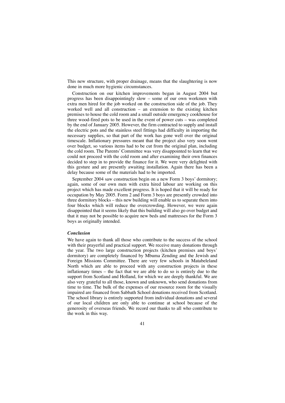This new structure, with proper drainage, means that the slaughtering is now done in much more hygienic circumstances.

Construction on our kitchen improvements began in August 2004 but progress has been disappointingly slow – some of our own workmen with extra men hired for the job worked on the construction side of the job. They worked well and all construction – an extension to the existing kitchen premises to house the cold room and a small outside emergency cookhouse for three wood-fired pots to be used in the event of power cuts – was completed by the end of January 2005. However, the firm contracted to supply and install the electric pots and the stainless steel fittings had difficulty in importing the necessary supplies, so that part of the work has gone well over the original timescale. Inflationary pressures meant that the project also very soon went over budget, so various items had to be cut from the original plan, including the cold room. The Parents' Committee was very disappointed to learn that we could not proceed with the cold room and after examining their own finances decided to step in to provide the finance for it. We were very delighted with this gesture and are presently awaiting installation. Again there has been a delay because some of the materials had to be imported.

September 2004 saw construction begin on a new Form 3 boys' dormitory; again, some of our own men with extra hired labour are working on this project which has made excellent progress. It is hoped that it will be ready for occupation by May 2005. Form 2 and Form 3 boys are presently crowded into three dormitory blocks – this new building will enable us to separate them into four blocks which will reduce the overcrowding. However, we were again disappointed that it seems likely that this building will also go over budget and that it may not be possible to acquire new beds and mattresses for the Form 3 boys as originally intended.

#### *Conclusion*

We have again to thank all those who contribute to the success of the school with their prayerful and practical support. We receive many donations through the year. The two large construction projects (kitchen premises and boys' dormitory) are completely financed by Mbuma Zending and the Jewish and Foreign Missions Committee. There are very few schools in Matabeleland North which are able to proceed with any construction projects in these inflationary times – the fact that we are able to do so is entirely due to the support from Scotland and Holland, for which we are deeply thankful. We are also very grateful to all those, known and unknown, who send donations from time to time. The bulk of the expenses of our resource room for the visually impaired are financed from Sabbath School donations received from Scotland. The school library is entirely supported from individual donations and several of our local children are only able to continue at school because of the generosity of overseas friends. We record our thanks to all who contribute to the work in this way.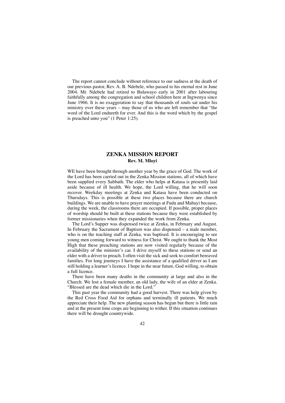The report cannot conclude without reference to our sadness at the death of our previous pastor, Rev. A. B. Ndebele, who passed to his eternal rest in June 2004. Mr. Ndebele had retired to Bulawayo early in 2001 after labouring faithfully among the congregation and school children here at Ingwenya since June 1966. It is no exaggeration to say that thousands of souls sat under his ministry over these years – may those of us who are left remember that "the word of the Lord endureth for ever. And this is the word which by the gospel is preached unto you" (1 Peter 1:25).

# **ZENKA MISSION REPORT Rev. M. Mloyi**

WE have been brought through another year by the grace of God. The work of the Lord has been carried out in the Zenka Mission stations, all of which have been supplied every Sabbath. The elder who helps at Katasa is presently laid aside because of ill health. We hope, the Lord willing, that he will soon recover. Weekday meetings at Zenka and Katasa have been conducted on Thursdays. This is possible at these two places because there are church buildings. We are unable to have prayer meetings at Fudu and Mabayi because, during the week, the classrooms there are occupied. If possible, proper places of worship should be built at these stations because they were established by former missionaries when they expanded the work from Zenka.

The Lord's Supper was dispensed twice at Zenka, in February and August. In February the Sacrament of Baptism was also dispensed – a male member, who is on the teaching staff at Zenka, was baptised. It is encouraging to see young men coming forward to witness for Christ. We ought to thank the Most High that these preaching stations are now visited regularly because of the availability of the minister's car. I drive myself to these stations or send an elder with a driver to preach. I often visit the sick and seek to comfort bereaved families. For long journeys I have the assistance of a qualified driver as I am still holding a learner's licence. I hope in the near future, God willing, to obtain a full licence.

There have been many deaths in the community at large and also in the Church. We lost a female member, an old lady, the wife of an elder at Zenka. "Blessed are the dead which die in the Lord."

This past year the community had a good harvest. There was help given by the Red Cross Food Aid for orphans and terminally ill patients. We much appreciate their help. The new planting season has begun but there is little rain and at the present time crops are beginning to wither. If this situation continues there will be drought countrywide.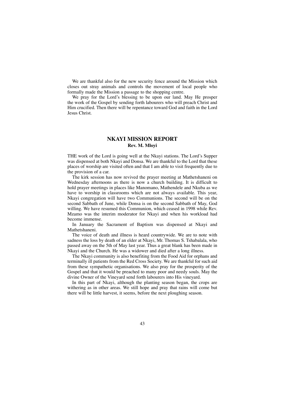We are thankful also for the new security fence around the Mission which closes out stray animals and controls the movement of local people who formally made the Mission a passage to the shopping centre.

We pray for the Lord's blessing to be upon our land. May He prosper the work of the Gospel by sending forth labourers who will preach Christ and Him crucified. Then there will be repentance toward God and faith in the Lord Jesus Christ.

# **NKAYI MISSION REPORT Rev. M. Mloyi**

THE work of the Lord is going well at the Nkayi stations. The Lord's Supper was dispensed at both Nkayi and Donsa. We are thankful to the Lord that these places of worship are visited often and that I am able to visit frequently due to the provision of a car.

The kirk session has now revived the prayer meeting at Mathetshaneni on Wednesday afternoons as there is now a church building. It is difficult to hold prayer meetings in places like Manomano, Mathendele and Nkuba as we have to worship in classrooms which are not always available. This year, Nkayi congregation will have two Communions. The second will be on the second Sabbath of June, while Donsa is on the second Sabbath of May, God willing. We have resumed this Communion, which ceased in 1998 while Rev. Mzamo was the interim moderator for Nkayi and when his workload had become immense.

In January the Sacrament of Baptism was dispensed at Nkayi and Mathetshaneni.

The voice of death and illness is heard countrywide. We are to note with sadness the loss by death of an elder at Nkayi, Mr. Thomas S. Tshabalala, who passed away on the 5th of May last year. Thus a great blank has been made in Nkayi and the Church. He was a widower and died after a long illness.

The Nkayi community is also benefiting from the Food Aid for orphans and terminally ill patients from the Red Cross Society. We are thankful for such aid from these sympathetic organisations. We also pray for the prosperity of the Gospel and that it would be preached to many poor and needy souls. May the divine Owner of the Vineyard send forth labourers into His vineyard.

In this part of Nkayi, although the planting season began, the crops are withering as in other areas. We still hope and pray that rains will come but there will be little harvest, it seems, before the next ploughing season.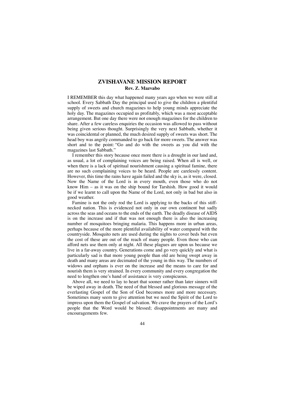## **ZVISHAVANE MISSION REPORT Rev. Z. Mazvabo**

I REMEMBER this day what happened many years ago when we were still at school. Every Sabbath Day the principal used to give the children a plentiful supply of sweets and church magazines to help young minds appreciate the holy day. The magazines occupied us profitably, which was a most acceptable arrangement. But one day there were not enough magazines for the children to share. After a few careless enquiries the occasion was allowed to pass without being given serious thought. Surprisingly the very next Sabbath, whether it was coincidental or planned, the much desired supply of sweets was short. The head boy was angrily commanded to go back for more sweets. The answer was short and to the point: "Go and do with the sweets as you did with the magazines last Sabbath."

I remember this story because once more there is a drought in our land and, as usual, a lot of complaining voices are being raised. When all is well, or when there is a lack of spiritual nourishment causing a spiritual famine, there are no such complaining voices to be heard. People are carelessly content. However, this time the rains have again failed and the sky is, as it were, closed. Now the Name of the Lord is in every mouth, even those who do not know Him – as it was on the ship bound for Tarshish. How good it would be if we learnt to call upon the Name of the Lord, not only in bad but also in good weather.

Famine is not the only rod the Lord is applying to the backs of this stiffnecked nation. This is evidenced not only in our own continent but sadly across the seas and oceans to the ends of the earth. The deadly disease of AIDS is on the increase and if that was not enough there is also the increasing number of mosquitoes bringing malaria. This happens more in urban areas, perhaps because of the more plentiful availability of water compared with the countryside. Mosquito nets are used during the nights to cover beds but even the cost of these are out of the reach of many people. Even those who can afford nets use them only at night. All these plagues are upon us because we live in a far-away country. Generations come and go very quickly and what is particularly sad is that more young people than old are being swept away in death and many areas are decimated of the young in this way. The numbers of widows and orphans is ever on the increase and the means to care for and nourish them is very strained. In every community and every congregation the need to lengthen one's hand of assistance is very conspicuous.

Above all, we need to lay to heart that sooner rather than later sinners will be wiped away in death. The need of that blessed and glorious message of the everlasting Gospel of the Son of God becomes more and more necessary. Sometimes many seem to give attention but we need the Spirit of the Lord to impress upon them the Gospel of salvation. We crave the prayers of the Lord's people that the Word would be blessed; disappointments are many and encouragements few.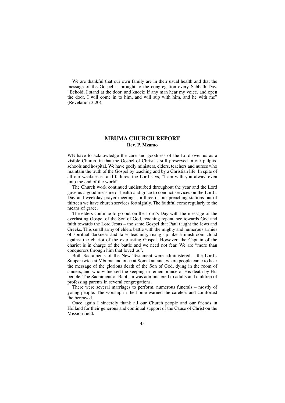We are thankful that our own family are in their usual health and that the message of the Gospel is brought to the congregation every Sabbath Day. "Behold, I stand at the door, and knock: if any man hear my voice, and open the door, I will come in to him, and will sup with him, and he with me" (Revelation 3:20).

# **MBUMA CHURCH REPORT Rev. P. Mzamo**

WE have to acknowledge the care and goodness of the Lord over us as a visible Church, in that the Gospel of Christ is still preserved in our pulpits, schools and hospital. We have godly ministers, elders, teachers and nurses who maintain the truth of the Gospel by teaching and by a Christian life. In spite of all our weaknesses and failures, the Lord says, "I am with you alway, even unto the end of the world".

The Church work continued undisturbed throughout the year and the Lord gave us a good measure of health and grace to conduct services on the Lord's Day and weekday prayer meetings. In three of our preaching stations out of thirteen we have church services fortnightly. The faithful come regularly to the means of grace.

The elders continue to go out on the Lord's Day with the message of the everlasting Gospel of the Son of God, teaching repentance towards God and faith towards the Lord Jesus – the same Gospel that Paul taught the Jews and Greeks. This small army of elders battle with the mighty and numerous armies of spiritual darkness and false teaching, rising up like a mushroom cloud against the chariot of the everlasting Gospel. However, the Captain of the chariot is in charge of the battle and we need not fear. We are "more than conquerors through him that loved us".

Both Sacraments of the New Testament were administered – the Lord's Supper twice at Mbuma and once at Somakantana, where people came to hear the message of the glorious death of the Son of God, dying in the room of sinners, and who witnessed the keeping in remembrance of His death by His people. The Sacrament of Baptism was administered to adults and children of professing parents in several congregations.

There were several marriages to perform, numerous funerals – mostly of young people. The worship in the home warned the careless and comforted the bereaved.

Once again I sincerely thank all our Church people and our friends in Holland for their generous and continual support of the Cause of Christ on the Mission field.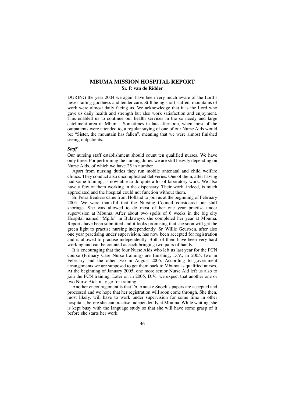## **MBUMA MISSION HOSPITAL REPORT Sr. P. van de Ridder**

DURING the year 2004 we again have been very much aware of the Lord's never failing goodness and tender care. Still being short staffed, mountains of work were almost daily facing us. We acknowledge that it is the Lord who gave us daily health and strength but also work satisfaction and enjoyment. This enabled us to continue our health services in the so needy and large catchment area of Mbuma. Sometimes in late afternoon, when most of the outpatients were attended to, a regular saying of one of our Nurse Aids would be: "Sister, the mountain has fallen", meaning that we were almost finished seeing outpatients.

### *Staff*

Our nursing staff establishment should count ten qualified nurses. We have only three. For performing the nursing duties we are still heavily depending on Nurse Aids, of which we have 25 in number.

Apart from nursing duties they run mobile antenatal and child welfare clinics. They conduct also uncomplicated deliveries. One of them, after having had some training, is now able to do quite a lot of laboratory work. We also have a few of them working in the dispensary. Their work, indeed, is much appreciated and the hospital could not function without them.

Sr. Petra Beukers came from Holland to join us at the beginning of February 2004. We were thankful that the Nursing Council considered our staff shortage. She was allowed to do most of her one year practise under supervision at Mbuma. After about two spells of 6 weeks in the big city Hospital named "Mpilo" in Bulawayo, she completed her year at Mbuma. Reports have been submitted and it looks promising that she soon will get the green light to practise nursing independently. Sr. Willie Geurtsen, after also one year practising under supervision, has now been accepted for registration and is allowed to practise independently. Both of them have been very hard working and can be counted as each bringing two pairs of hands.

It is encouraging that the four Nurse Aids who left us last year for the PCN course (Primary Care Nurse training) are finishing, D.V., in 2005, two in February and the other two in August 2005. According to government arrangements we are supposed to get them back to Mbuma as qualified nurses. At the beginning of January 2005, one more senior Nurse Aid left us also to join the PCN training. Later on in 2005, D.V., we expect that another one or two Nurse Aids may go for training.

Another encouragement is that Dr. Anneke Snoek's papers are accepted and processed and we hope that her registration will soon come through. She then, most likely, will have to work under supervision for some time in other hospitals, before she can practise independently at Mbuma. While waiting, she is kept busy with the language study so that she will have some grasp of it before she starts her work.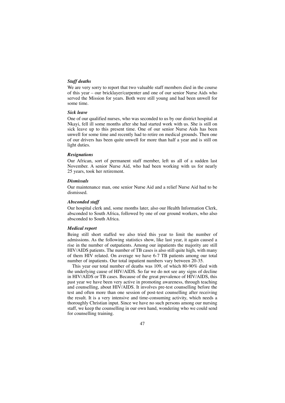### *Staff deaths*

We are very sorry to report that two valuable staff members died in the course of this year – our bricklayer/carpenter and one of our senior Nurse Aids who served the Mission for years. Both were still young and had been unwell for some time.

### *Sick leave*

One of our qualified nurses, who was seconded to us by our district hospital at Nkayi, fell ill some months after she had started work with us. She is still on sick leave up to this present time. One of our senior Nurse Aids has been unwell for some time and recently had to retire on medical grounds. Then one of our drivers has been quite unwell for more than half a year and is still on light duties.

### *Resignations*

Our African, sort of permanent staff member, left us all of a sudden last November. A senior Nurse Aid, who had been working with us for nearly 25 years, took her retirement.

### *Dismissals*

Our maintenance man, one senior Nurse Aid and a relief Nurse Aid had to be dismissed.

### *Absconded staff*

Our hospital clerk and, some months later, also our Health Information Clerk, absconded to South Africa, followed by one of our ground workers, who also absconded to South Africa.

### *Medical report*

Being still short staffed we also tried this year to limit the number of admissions. As the following statistics show, like last year, it again caused a rise in the number of outpatients. Among our inpatients the majority are still HIV/AIDS patients. The number of TB cases is also still quite high, with many of them HIV related. On average we have 6-7 TB patients among our total number of inpatients. Our total inpatient numbers vary between 20-35.

This year our total number of deaths was 109, of which 80-90% died with the underlying cause of HIV/AIDS. So far we do not see any signs of decline in HIV/AIDS or TB cases. Because of the great prevalence of HIV/AIDS, this past year we have been very active in promoting awareness, through teaching and counselling, about HIV/AIDS. It involves pre-test counselling before the test and often more than one session of post-test counselling after receiving the result. It is a very intensive and time-consuming activity, which needs a thoroughly Christian input. Since we have no such persons among our nursing staff, we keep the counselling in our own hand, wondering who we could send for counselling training.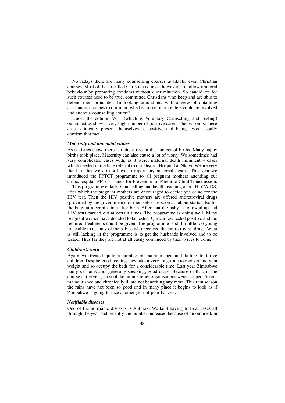Nowadays there are many counselling courses available, even Christian courses. Most of the so-called Christian courses, however, still allow immoral behaviour by promoting condoms without discrimination. So candidates for such courses need to be true, committed Christians who keep and are able to defend their principles. In looking around us, with a view of obtaining assistance, it comes to our mind whether some of our elders could be involved and attend a counselling course?

Under the column VCT (which is Voluntary Counselling and Testing) our statistics show a very high number of positive cases. The reason is, these cases clinically present themselves as positive and being tested usually confirm that fact.

### *Maternity and antenatal clinics*

As statistics show, there is quite a rise in the number of births. Many happy births took place. Maternity can also cause a lot of worry. We sometimes had very complicated cases with, as it were, maternal death imminent – cases which needed immediate referral to our District Hospital at Nkayi. We are very thankful that we do not have to report any maternal deaths. This year we introduced the PPTCT programme to all pregnant mothers attending our clinic/hospital. PPTCT stands for Prevention of Parent to Child Transmission.

This programme entails: Counselling and health teaching about HIV/AIDS, after which the pregnant mothers are encouraged to decide yes or no for the HIV test. Then the HIV positive mothers are offered antiretroviral drugs (provided by the government) for themselves as soon as labour starts, also for the baby at a certain time after birth. After that the baby is followed up and HIV tests carried out at certain times. The programme is doing well. Many pregnant women have decided to be tested. Quite a few tested positive and the required treatments could be given. The programme is still a little too young to be able to test any of the babies who received the antiretroviral drugs. What is still lacking in the programme is to get the husbands involved and to be tested. Thus far they are not at all easily convinced by their wives to come.

#### *Children's ward*

Again we treated quite a number of malnourished and failure to thrive children. Despite good feeding they take a very long time to recover and gain weight and so occupy the beds for a considerable time. Last year Zimbabwe had good rains and, generally speaking, good crops. Because of that, in the course of the year, most of the famine relief organisations were stopped. So our malnourished and chronically ill are not benefiting any more. This rain season the rains have not been so good and in many place it begins to look as if Zimbabwe is going to face another year of poor harvest.

### *Notifiable diseases*

One of the notifiable diseases is Anthrax. We kept having to treat cases all through the year and recently the number increased because of an outbreak in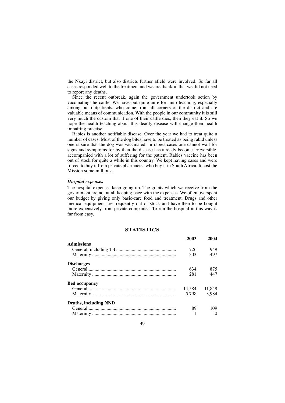the Nkayi district, but also districts further afield were involved. So far all cases responded well to the treatment and we are thankful that we did not need to report any deaths.

Since the recent outbreak, again the government undertook action by vaccinating the cattle. We have put quite an effort into teaching, especially among our outpatients, who come from all corners of the district and are valuable means of communication. With the people in our community it is still very much the custom that if one of their cattle dies, then they eat it. So we hope the health teaching about this deadly disease will change their health impairing practise.

Rabies is another notifiable disease. Over the year we had to treat quite a number of cases. Most of the dog bites have to be treated as being rabid unless one is sure that the dog was vaccinated. In rabies cases one cannot wait for signs and symptoms for by then the disease has already become irreversible, accompanied with a lot of suffering for the patient. Rabies vaccine has been out of stock for quite a while in this country. We kept having cases and were forced to buy it from private pharmacies who buy it in South Africa. It cost the Mission some millions.

### *Hospital expenses*

The hospital expenses keep going up. The grants which we receive from the government are not at all keeping pace with the expenses. We often overspent our budget by giving only basic-care food and treatment. Drugs and other medical equipment are frequently out of stock and have then to be bought more expensively from private companies. To run the hospital in this way is far from easy.

### **STATISTICS**

|                       | 2003          | 2004  |
|-----------------------|---------------|-------|
| <b>Admissions</b>     |               |       |
|                       | 726           | 949   |
|                       | 303           | 497   |
| <b>Discharges</b>     |               |       |
|                       | 634           | 875   |
|                       | 281           | 447   |
| Bed occupancy         |               |       |
|                       | 14.584 11.849 |       |
|                       | 5,798         | 3.984 |
| Deaths, including NND |               |       |
|                       | 89            | 109   |
|                       |               |       |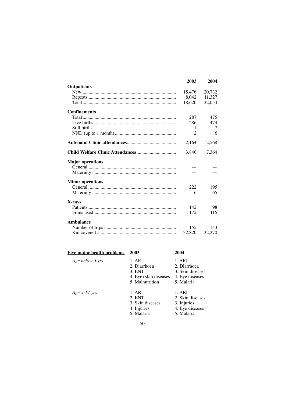|                         | 2003           | 2004   |
|-------------------------|----------------|--------|
| <b>Outpatients</b>      |                |        |
|                         | 15,476         | 20,732 |
|                         | 8,042          | 11,327 |
|                         | 18,620         | 32,054 |
| <b>Confinements</b>     |                |        |
|                         | 287            | 475    |
|                         | 286            | 474    |
|                         | 1              | 7      |
|                         | $\overline{2}$ | 6      |
|                         | 2,164          | 2,568  |
|                         | 3,846          | 7,364  |
| <b>Major operations</b> |                |        |
|                         |                |        |
|                         |                |        |
| <b>Minor operations</b> |                |        |
|                         | 222            | 195    |
|                         | 6              | 65     |
| X-rays                  |                |        |
|                         | 142            | 98     |
|                         | 172            | 115    |
| Ambulance               |                |        |
|                         | 155            | 143    |
|                         | 32,820         | 32,270 |

| <u>Five major health problems</u> | 2003                                                                        | 2004                                                                        |
|-----------------------------------|-----------------------------------------------------------------------------|-----------------------------------------------------------------------------|
| Age below 5 yrs                   | 1. ARI<br>2. Diarrhoea<br>3. ENT<br>4. Eye+skin diseases<br>5. Malnutrition | 1. ARI<br>2. Diarrhoea<br>3. Skin diseases<br>4. Eye diseases<br>5. Malaria |
| Age $5-14$ yrs                    | 1. ARI<br>2. ENT<br>3. Skin diseases<br>4. Injuries<br>5. Malaria           | 1. ARI<br>2. Skin diseases<br>3. Injuries<br>4. Eye diseases<br>5. Malaria  |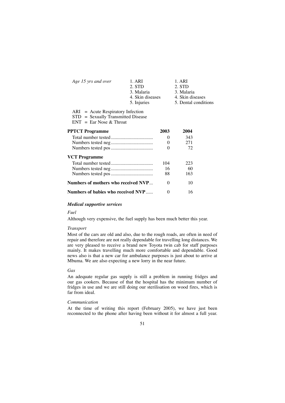| Age 15 yrs and over | 1. ARI           | 1. ARI               |
|---------------------|------------------|----------------------|
|                     | 2. STD           | 2. STD               |
|                     | 3. Malaria       | 3. Malaria           |
|                     | 4. Skin diseases | 4. Skin diseases     |
|                     | 5. Injuries      | 5. Dental conditions |
|                     |                  |                      |

ARI = Acute Respiratory Infection

STD = Sexually Transmitted Disease

 $ENT = Ear Nose & Throat$ 

| <b>PPTCT</b> Programme              | 2003              | 2004 |
|-------------------------------------|-------------------|------|
|                                     | 0                 | 343  |
|                                     | 0                 | 271  |
|                                     |                   | 72   |
| <b>VCT Programme</b>                |                   |      |
|                                     | 104               | 223  |
|                                     | 16                | 60   |
|                                     | 88                | 163  |
| Numbers of mothers who received NVP | $\mathbf{\Omega}$ | 10   |
| Numbers of babies who received NVP  |                   |      |

### *Medical supportive services*

*Fuel*

Although very expensive, the fuel supply has been much better this year.

#### *Transport*

Most of the cars are old and also, due to the rough roads, are often in need of repair and therefore are not really dependable for travelling long distances. We are very pleased to receive a brand new Toyota twin cab for staff purposes mainly. It makes travelling much more comfortable and dependable. Good news also is that a new car for ambulance purposes is just about to arrive at Mbuma. We are also expecting a new lorry in the near future.

### *Gas*

An adequate regular gas supply is still a problem in running fridges and our gas cookers. Because of that the hospital has the minimum number of fridges in use and we are still doing our sterilisation on wood fires, which is far from ideal.

### *Communication*

At the time of writing this report (February 2005), we have just been reconnected to the phone after having been without it for almost a full year.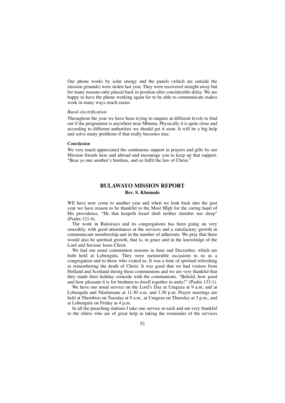Our phone works by solar energy and the panels (which are outside the mission grounds) were stolen last year. They were recovered straight away but for many reasons only placed back in position after considerable delay. We are happy to have the phone working again for to be able to communicate makes work in many ways much easier.

#### *Rural electrification*

Throughout the year we have been trying to enquire at different levels to find out if the programme is anywhere near Mbuma. Physically it is quite close and according to different authorities we should get it soon. It will be a big help and solve many problems if that really becomes true.

### *Conclusion*

We very much appreciated the continuous support in prayers and gifts by our Mission friends here and abroad and encourage you to keep up that support. "Bear ye one another's burdens, and so fulfil the law of Christ."

# **BULAWAYO MISSION REPORT Rev. S. Khumalo**

WE have now come to another year and when we look back into the past year we have reason to be thankful to the Most HIgh for the caring hand of His providence. "He that keepeth Israel shall neither slumber nor sleep" (Psalm 121:4).

The work in Bulawayo and its congregations has been going on very smoothly, with good attendances at the services and a satisfactory growth in communicant membership and in the number of adherents. We pray that there would also be spiritual growth, that is, in grace and in the knowledge of the Lord and Saviour Jesus Christ.

We had our usual communion seasons in June and December, which are both held at Lobengula. They were memorable occasions to us as a congregation and to those who visited us. It was a time of spiritual refreshing in remembering the death of Christ. It was good that we had visitors from Holland and Scotland during these communions and we are very thankful that they made their holiday coincide with the communions. "Behold, how good and how pleasant it is for brethren to dwell together in unity!" (Psalm 133:1).

We have our usual service on the Lord's Day at Umguza at 9 a.m. and at Lobengula and Nkulumane at 11.30 a.m. and 1.30 p.m. Prayer meetings are held at Thembiso on Tuesday at 9 a.m., at Umguza on Thursday at 3 p.m., and at Lobengula on Friday at 4 p.m.

In all the preaching stations I take one service in each and am very thankful to the elders who are of great help in taking the remainder of the services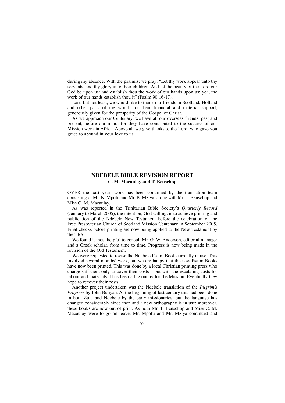during my absence. With the psalmist we pray: "Let thy work appear unto thy servants, and thy glory unto their children. And let the beauty of the Lord our God be upon us: and establish thou the work of our hands upon us; yea, the work of our hands establish thou it" (Psalm 90:16-17).

Last, but not least, we would like to thank our friends in Scotland, Holland and other parts of the world, for their financial and material support, generously given for the prosperity of the Gospel of Christ.

As we approach our Centenary, we have all our overseas friends, past and present, before our mind, for they have contributed to the success of our Mission work in Africa. Above all we give thanks to the Lord, who gave you grace to abound in your love to us.

## **NDEBELE BIBLE REVISION REPORT C. M. Macaulay and T. Benschop**

OVER the past year, work has been continued by the translation team consisting of Mr. N. Mpofu and Mr. B. Mziya, along with Mr. T. Benschop and Miss C. M. Macaulay.

As was reported in the Trinitarian Bible Society's *Quarterly Record* (January to March 2005), the intention, God willing, is to achieve printing and publication of the Ndebele New Testament before the celebration of the Free Presbyterian Church of Scotland Mission Centenary in September 2005. Final checks before printing are now being applied to the New Testament by the TBS.

We found it most helpful to consult Mr. G. W. Anderson, editorial manager and a Greek scholar, from time to time. Progress is now being made in the revision of the Old Testament.

We were requested to revise the Ndebele Psalm Book currently in use. This involved several months' work, but we are happy that the new Psalm Books have now been printed. This was done by a local Christian printing press who charge sufficient only to cover their costs – but with the escalating costs for labour and materials it has been a big outlay for the Mission. Eventually they hope to recover their costs.

Another project undertaken was the Ndebele translation of the *Pilgrim's Progress* by John Bunyan. At the beginning of last century this had been done in both Zulu and Ndebele by the early missionaries, but the language has changed considerably since then and a new orthography is in use; moreover, these books are now out of print. As both Mr. T. Benschop and Miss C. M. Macaulay were to go on leave, Mr. Mpofu and Mr. Mziya continued and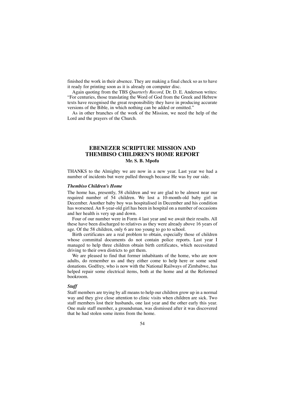finished the work in their absence. They are making a final check so as to have it ready for printing soon as it is already on computer disc.

Again quoting from the TBS *Quarterly Record,* Dr. D. E. Anderson writes: "For centuries, those translating the Word of God from the Greek and Hebrew texts have recognised the great responsibility they have in producing accurate versions of the Bible, in which nothing can be added or omitted."

As in other branches of the work of the Mission, we need the help of the Lord and the prayers of the Church.

## **EBENEZER SCRIPTURE MISSION AND THEMBISO CHILDREN'S HOME REPORT Mr. S. B. Mpofu**

THANKS to the Almighty we are now in a new year. Last year we had a number of incidents but were pulled through because He was by our side.

### *Thembiso Children's Home*

The home has, presently, 58 children and we are glad to be almost near our required number of 54 children. We lost a 10-month-old baby girl in December. Another baby boy was hospitalised in December and his condition has worsened. An 8-year-old girl has been in hospital on a number of occasions and her health is very up and down.

Four of our number were in Form 4 last year and we await their results. All these have been discharged to relatives as they were already above 16 years of age. Of the 58 children, only 6 are too young to go to school.

Birth certificates are a real problem to obtain, especially those of children whose committal documents do not contain police reports. Last year I managed to help three children obtain birth certificates, which necessitated driving to their own districts to get them.

We are pleased to find that former inhabitants of the home, who are now adults, do remember us and they either come to help here or some send donations. Godfrey, who is now with the National Railways of Zimbabwe, has helped repair some electrical items, both at the home and at the Reformed bookroom.

### *Staff*

Staff members are trying by all means to help our children grow up in a normal way and they give close attention to clinic visits when children are sick. Two staff members lost their husbands, one last year and the other early this year. One male staff member, a groundsman, was dismissed after it was discovered that he had stolen some items from the home.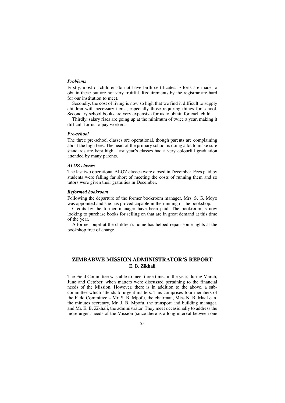### *Problems*

Firstly, most of children do not have birth certificates. Efforts are made to obtain these but are not very fruitful. Requirements by the registrar are hard for our institution to meet.

Secondly, the cost of living is now so high that we find it difficult to supply children with necessary items, especially those requiring things for school. Secondary school books are very expensive for us to obtain for each child.

Thirdly, salary rises are going up at the minimum of twice a year, making it difficult for us to pay workers.

### *Pre-school*

The three pre-school classes are operational, though parents are complaining about the high fees. The head of the primary school is doing a lot to make sure standards are kept high. Last year's classes had a very colourful graduation attended by many parents.

### *ALOZ classes*

The last two operational ALOZ classes were closed in December. Fees paid by students were falling far short of meeting the costs of running them and so tutors were given their gratuities in December.

### *Reformed bookroom*

Following the departure of the former bookroom manager, Mrs. S. G. Moyo was appointed and she has proved capable in the running of the bookshop.

Credits by the former manager have been paid. The bookroom is now looking to purchase books for selling on that are in great demand at this time of the year.

A former pupil at the children's home has helped repair some lights at the bookshop free of charge.

# **ZIMBABWE MISSION ADMINISTRATOR'S REPORT E. B. Zikhali**

The Field Committee was able to meet three times in the year, during March, June and October, when matters were discussed pertaining to the financial needs of the Mission. However, there is in addition to the above, a subcommittee which attends to urgent matters. This comprises four members of the Field Committee – Mr. S. B. Mpofu, the chairman, Miss N. B. MacLean, the minutes secretary, Mr. J. B. Mpofu, the transport and building manager, and Mr. E. B. Zikhali, the administrator. They meet occasionally to address the more urgent needs of the Mission (since there is a long interval between one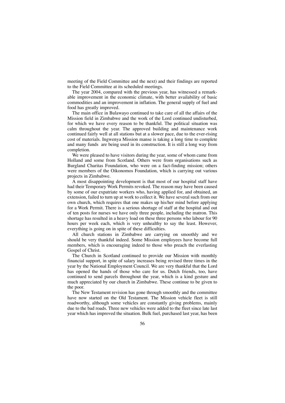meeting of the Field Committee and the next) and their findings are reported to the Field Committee at its scheduled meetings.

The year 2004, compared with the previous year, has witnessed a remarkable improvement in the economic climate, with better availability of basic commodities and an improvement in inflation. The general supply of fuel and food has greatly improved.

The main office in Bulawayo continued to take care of all the affairs of the Mission field in Zimbabwe and the work of the Lord continued undisturbed, for which we have every reason to be thankful. The political situation was calm throughout the year. The approved building and maintenance work continued fairly well at all stations but at a slower pace, due to the ever-rising cost of materials. Ingwenya Mission manse is taking a long time to complete and many funds are being used in its construction. It is still a long way from completion.

We were pleased to have visitors during the year, some of whom came from Holland and some from Scotland. Others were from organisations such as Burgland Charitas Foundation, who were on a fact-finding mission; others were members of the Oikonomos Foundation, which is carrying out various projects in Zimbabwe.

A most disappointing development is that most of our hospital staff have had their Temporary Work Permits revoked. The reason may have been caused by some of our expatriate workers who, having applied for, and obtained, an extension, failed to turn up at work to collect it. We have several such from our own church, which requires that one makes up his/her mind before applying for a Work Permit. There is a serious shortage of staff at the hospital and out of ten posts for nurses we have only three people, including the matron. This shortage has resulted in a heavy load on these three persons who labour for 90 hours per week each, which is very unhealthy to say the least. However, everything is going on in spite of these difficulties.

All church stations in Zimbabwe are carrying on smoothly and we should be very thankful indeed. Some Mission employees have become full members, which is encouraging indeed to those who preach the everlasting Gospel of Christ.

The Church in Scotland continued to provide our Mission with monthly financial support, in spite of salary increases being revised three times in the year by the National Employment Council. We are very thankful that the Lord has opened the hands of those who care for us. Dutch friends, too, have continued to send parcels throughout the year, which is a kind gesture and much appreciated by our church in Zimbabwe. These continue to be given to the poor.

The New Testament revision has gone through smoothly and the committee have now started on the Old Testament. The Mission vehicle fleet is still roadworthy, although some vehicles are constantly giving problems, mainly due to the bad roads. Three new vehicles were added to the fleet since late last year which has improved the situation. Bulk fuel, purchased last year, has been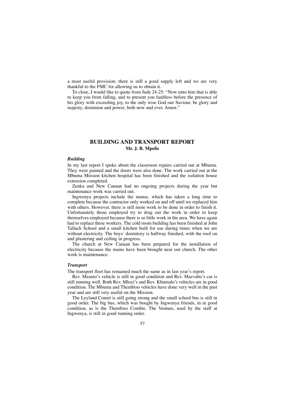a most useful provision; there is still a good supply left and we are very thankful to the FMC for allowing us to obtain it.

To close, I would like to quote from Jude 24-25: "Now unto him that is able to keep you from falling, and to present you faultless before the presence of his glory with exceeding joy, to the only wise God our Saviour, be glory and majesty, dominion and power, both now and ever. Amen."

## **BUILDING AND TRANSPORT REPORT Mr. J. B. Mpofu**

#### *Building*

In my last report I spoke about the classroom repairs carried out at Mbuma. They were painted and the doors were also done. The work carried out at the Mbuma Mission kitchen hospital has been finished and the isolation house extension completed.

Zenka and New Canaan had no ongoing projects during the year but maintenance work was carried out.

Ingwenya projects include the manse, which has taken a long time to complete because the contractor only worked on and off until we replaced him with others. However, there is still more work to be done in order to finish it. Unfortunately those employed try to drag out the work in order to keep themselves employed because there is so little work in the area. We have again had to replace these workers. The cold room building has been finished at John Tallach School and a small kitchen built for use during times when we are without electricity. The boys' dormitory is halfway finished, with the roof on and plastering and ceiling in progress.

The church at New Canaan has been prepared for the installation of electricity because the mains have been brought near our church. The other work is maintenance.

### *Transport*

The transport fleet has remained much the same as in last year's report.

Rev. Mzamo's vehicle is still in good condition and Rev. Mazvabo's car is still running well. Both Rev. Mloyi's and Rev. Khumalo's vehicles are in good condition. The Mbuma and Thembiso vehicles have done very well in the past year and are still very useful on the Mission.

The Leyland Comet is still going strong and the small school bus is still in good order. The big bus, which was bought by Ingwenya friends, in in good condition, as is the Thembiso Combie. The Venture, used by the staff at Ingwenya, is still in good running order.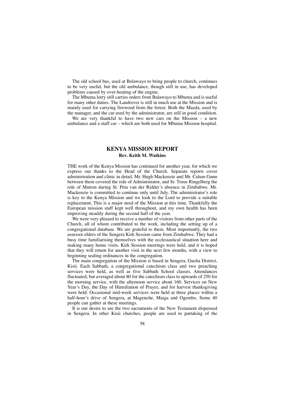The old school bus, used at Bulawayo to bring people to church, continues to be very useful, but the old ambulance, though still in use, has developed problems caused by over-heating of the engine.

The Mbuma lorry still carries orders from Bulawayo to Mbuma and is useful for many other duties. The Landrover is still in much use at the Mission and is mainly used for carrying firewood from the forest. Both the Mazda, used by the manager, and the car used by the administrator, are still in good condition.

We are very thankful to have two new cars on the Mission – a new ambulance and a staff car – which are both used for Mbuma Mission hospital.

### **KENYA MISSION REPORT Rev. Keith M. Watkins**

THE work of the Kenya Mission has continued for another year, for which we express our thanks to the Head of the Church. Separate reports cover administration and clinic in detail. Mr. Hugh Mackenzie and Mr. Calum Gunn between them covered the role of Administrator, and Sr. Truus Ringelberg the role of Matron during Sr. Peta van der Ridder's absence in Zimbabwe. Mr. Mackenzie is committed to continue only until July. The administrator's role is key to the Kenya Mission and we look to the Lord to provide a suitable replacement. This is a major need of the Mission at this time. Thankfully the European mission staff kept well throughout, and my own health has been improving steadily during the second half of the year.

We were very pleased to receive a number of visitors from other parts of the Church, all of whom contributed to the work, including the setting up of a congregational database. We are grateful to them. Most importantly, the two assessor elders of the Sengera Kirk Session came from Zimbabwe. They had a busy time familiarising themselves with the ecclesiastical situation here and making many home visits. Kirk Session meetings were held, and it is hoped that they will return for another visit in the next few months, with a view to beginning sealing ordinances in the congregation.

The main congregation of the Mission is based in Sengera, Gucha District, Kisii. Each Sabbath, a congregational catechism class and two preaching services were held, as well as five Sabbath School classes. Attendances fluctuated, but averaged about 80 for the catechism class to upwards of 250 for the morning service, with the afternoon service about 160. Services on New Year's Day, the Day of Humiliation of Prayer, and for harvest thanksgiving were held. Occasional mid-week services were held at three places within a half-hour's drive of Sengera, at Magenche, Maiga and Ogembo. Some 40 people can gather at these meetings.

It is our desire to see the two sacraments of the New Testament dispensed in Sengera. In other Kisii churches, people are used to partaking of the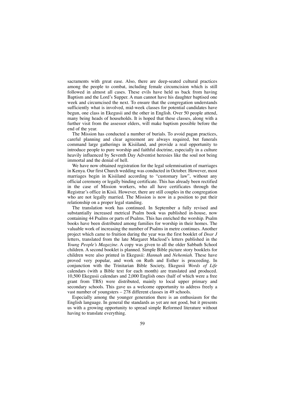sacraments with great ease. Also, there are deep-seated cultural practices among the people to combat, including female circumcision which is still followed in almost all cases. These evils have held us back from having Baptism and the Lord's Supper. A man cannot have his daughter baptised one week and circumcised the next. To ensure that the congregation understands sufficiently what is involved, mid-week classes for potential candidates have begun, one class in Ekegusii and the other in English. Over 50 people attend, many being heads of households. It is hoped that these classes, along with a further visit from the assessor elders, will make baptism possible before the end of the year.

The Mission has conducted a number of burials. To avoid pagan practices, careful planning and clear agreement are always required, but funerals command large gatherings in Kisiiland, and provide a real opportunity to introduce people to pure worship and faithful doctrine, especially in a culture heavily influenced by Seventh Day Adventist heresies like the soul not being immortal and the denial of hell.

We have now obtained registration for the legal solemnisation of marriages in Kenya. Our first Church wedding was conducted in October. However, most marriages begin in Kisiiland according to "customary law", without any official ceremony or legally binding certificate. This has already been rectified in the case of Mission workers, who all have certificates through the Registrar's office in Kisii. However, there are still couples in the congregation who are not legally married. The Mission is now in a position to put their relationship on a proper legal standing.

The translation work has continued. In September a fully revised and substantially increased metrical Psalm book was published in-house, now containing 44 Psalms or parts of Psalms. This has enriched the worship. Psalm books have been distributed among families for worship in their homes. The valuable work of increasing the number of Psalms in metre continues. Another project which came to fruition during the year was the first booklet of *Dear J* letters, translated from the late Margaret Macleod's letters published in the *Young People's Magazine.* A copy was given to all the older Sabbath School children. A second booklet is planned. Simple Bible picture story booklets for children were also printed in Ekegusii: *Hannah* and *Nehemiah*. These have proved very popular, and work on Ruth and Esther is proceeding. In conjunction with the Trinitarian Bible Society, Ekegusii *Words of Life* calendars (with a Bible text for each month) are translated and produced. 10,500 Ekegusii calendars and 2,000 English ones (half of which were a free grant from TBS) were distributed, mainly to local upper primary and secondary schools. This gave us a welcome opportunity to address freely a vast number of youngsters – 278 different classes in 49 schools.

Especially among the younger generation there is an enthusiasm for the English language. In general the standards as yet are not good, but it presents us with a growing opportunity to spread simple Reformed literature without having to translate everything.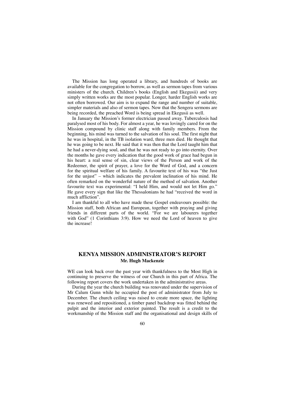The Mission has long operated a library, and hundreds of books are available for the congregation to borrow, as well as sermon tapes from various ministers of the church. Children's books (English and Ekegusii) and very simply written works are the most popular. Longer, harder English works are not often borrowed. Our aim is to expand the range and number of suitable, simpler materials and also of sermon tapes. Now that the Sengera sermons are being recorded, the preached Word is being spread in Ekegusii as well.

In January the Mission's former electrician passed away. Tuberculosis had paralysed most of his body. For almost a year, he was lovingly cared for on the Mission compound by clinic staff along with family members. From the beginning, his mind was turned to the salvation of his soul. The first night that he was in hospital, in the TB isolation ward, three men died. He thought that he was going to be next. He said that it was then that the Lord taught him that he had a never-dying soul, and that he was not ready to go into eternity. Over the months he gave every indication that the good work of grace had begun in his heart: a real sense of sin, clear views of the Person and work of the Redeemer, the spirit of prayer, a love for the Word of God, and a concern for the spiritual welfare of his family. A favourite text of his was "the Just for the unjust" – which indicates the prevalent inclination of his mind. He often remarked on the wonderful nature of the method of salvation. Another favourite text was experimental: "I held Him, and would not let Him go." He gave every sign that like the Thessalonians he had "received the word in much affliction".

I am thankful to all who have made these Gospel endeavours possible: the Mission staff, both African and European, together with praying and giving friends in different parts of the world. "For we are labourers together with God" (1 Corinthians 3:9). How we need the Lord of heaven to give the increase!

# **KENYA MISSION ADMINISTRATOR'S REPORT Mr. Hugh Mackenzie**

WE can look back over the past year with thankfulness to the Most High in continuing to preserve the witness of our Church in this part of Africa. The following report covers the work undertaken in the administrative areas.

During the year the church building was renovated under the supervision of Mr Calum Gunn while he occupied the post of administrator from July to December. The church ceiling was raised to create more space, the lighting was renewed and repositioned, a timber panel backdrop was fitted behind the pulpit and the interior and exterior painted. The result is a credit to the workmanship of the Mission staff and the organisational and design skills of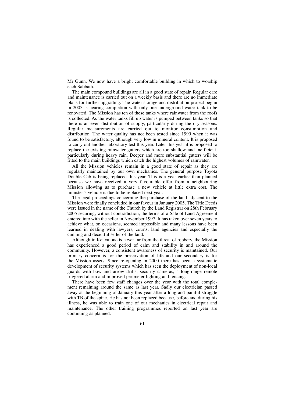Mr Gunn. We now have a bright comfortable building in which to worship each Sabbath.

The main compound buildings are all in a good state of repair. Regular care and maintenance is carried out on a weekly basis and there are no immediate plans for further upgrading. The water storage and distribution project begun in 2003 is nearing completion with only one underground water tank to be renovated. The Mission has ten of these tanks where rainwater from the roofs is collected. As the water tanks fill up water is pumped between tanks so that there is an even distribution of supply, particularly during the dry seasons. Regular measurements are carried out to monitor consumption and distribution. The water quality has not been tested since 1999 when it was found to be satisfactory, although very low in mineral content. It is proposed to carry out another laboratory test this year. Later this year it is proposed to replace the existing rainwater gutters which are too shallow and inefficient, particularly during heavy rain. Deeper and more substantial gutters will be fitted to the main buildings which catch the highest volumes of rainwater.

All the Mission vehicles remain in a good state of repair as they are regularly maintained by our own mechanics. The general purpose Toyota Double Cab is being replaced this year. This is a year earlier than planned because we have received a very favourable offer from a neighbouring Mission allowing us to purchase a new vehicle at little extra cost. The minister's vehicle is due to be replaced next year.

The legal proceedings concerning the purchase of the land adjacent to the Mission were finally concluded in our favour in January 2005. The Title Deeds were issued in the name of the Church by the Land Registrar on 28th February 2005 securing, without contradiction, the terms of a Sale of Land Agreement entered into with the seller in November 1997. It has taken over seven years to achieve what, on occasions, seemed impossible and many lessons have been learned in dealing with lawyers, courts, land agencies and especially the cunning and deceitful seller of the land.

Although in Kenya one is never far from the threat of robbery, the Mission has experienced a good period of calm and stability in and around the community. However, a consistent awareness of security is maintained. Our primary concern is for the preservation of life and our secondary is for the Mission assets. Since re-opening in 2000 there has been a systematic development of security systems which has seen the deployment of non-local guards with bow and arrow skills, security cameras, a long-range remote triggered alarm and improved perimeter lighting and fencing.

There have been few staff changes over the year with the total complement remaining around the same as last year. Sadly our electrician passed away at the beginning of January this year after a long and painful struggle with TB of the spine. He has not been replaced because, before and during his illness, he was able to train one of our mechanics in electrical repair and maintenance. The other training programmes reported on last year are continuing as planned.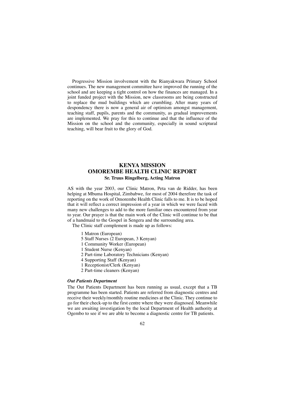Progressive Mission involvement with the Rianyakwara Primary School continues. The new management committee have improved the running of the school and are keeping a tight control on how the finances are managed. In a joint funded project with the Mission, new classrooms are being constructed to replace the mud buildings which are crumbling. After many years of despondency there is now a general air of optimism amongst management, teaching staff, pupils, parents and the community, as gradual improvements are implemented. We pray for this to continue and that the influence of the Mission on the school and the community, especially in sound scriptural teaching, will bear fruit to the glory of God.

# **KENYA MISSION OMOREMBE HEALTH CLINIC REPORT Sr. Truus Ringelberg, Acting Matron**

AS with the year 2003, our Clinic Matron, Peta van de Ridder, has been helping at Mbuma Hospital, Zimbabwe, for most of 2004 therefore the task of reporting on the work of Omorembe Health Clinic falls to me. It is to be hoped that it will reflect a correct impression of a year in which we were faced with many new challenges to add to the more familiar ones encountered from year to year. Our prayer is that the main work of the Clinic will continue to be that of a handmaid to the Gospel in Sengera and the surrounding area.

The Clinic staff complement is made up as follows:

- 1 Matron (European)
- 5 Staff Nurses (2 European, 3 Kenyan)
- 1 Community Worker (European)
- 1 Student Nurse (Kenyan)
- 2 Part-time Laboratory Technicians (Kenyan)
- 4 Supporting Staff (Kenyan)
- 1 Receptionist/Clerk (Kenyan)
- 2 Part-time cleaners (Kenyan)

#### *Out Patients Department*

The Out Patients Department has been running as usual, except that a TB programme has been started. Patients are referred from diagnostic centres and receive their weekly/monthly routine medicines at the Clinic. They continue to go for their check-up to the first centre where they were diagnosed. Meanwhile we are awaiting investigation by the local Department of Health authority at Ogembo to see if we are able to become a diagnostic centre for TB patients.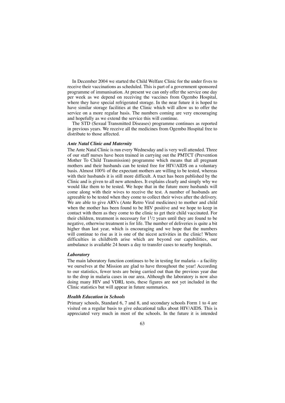In December 2004 we started the Child Welfare Clinic for the under fives to receive their vaccinations as scheduled. This is part of a government sponsored programme of immunisation. At present we can only offer the service one day per week as we depend on receiving the vaccines from Ogembo Hospital, where they have special refrigerated storage. In the near future it is hoped to have similar storage facilities at the Clinic which will allow us to offer the service on a more regular basis. The numbers coming are very encouraging and hopefully as we extend the service this will continue.

The STD (Sexual Transmitted Diseases) programme continues as reported in previous years. We receive all the medicines from Ogembo Hospital free to distribute to those affected.

### *Ante Natal Clinic and Maternity*

The Ante Natal Clinic is run every Wednesday and is very well attended. Three of our staff nurses have been trained in carrying out the PMTCT (Prevention Mother To Child Transmission) programme which means that all pregnant mothers and their husbands can be tested free for HIV/AIDS on a voluntary basis. Almost 100% of the expectant mothers are willing to be tested, whereas with their husbands it is still more difficult. A tract has been published by the Clinic and is given to all new attendees. It explains clearly and simply why we would like them to be tested. We hope that in the future more husbands will come along with their wives to receive the test. A number of husbands are agreeable to be tested when they come to collect their wives after the delivery. We are able to give ARVs (Ante Retro Viral medicines) to mother and child when the mother has been found to be HIV positive and we hope to keep in contact with them as they come to the clinic to get their child vaccinated. For their children, treatment is necessary for  $1\frac{1}{2}$  years until they are found to be negative, otherwise treatment is for life. The number of deliveries is quite a bit higher than last year, which is encouraging and we hope that the numbers will continue to rise as it is one of the nicest activities in the clinic! Where difficulties in childbirth arise which are beyond our capabilities, our ambulance is available 24 hours a day to transfer cases to nearby hospitals.

#### *Laboratory*

The main laboratory function continues to be in testing for malaria – a facility we ourselves at the Mission are glad to have throughout the year! According to our statistics, fewer tests are being carried out than the previous year due to the drop in malaria cases in our area. Although the laboratory is now also doing many HIV and VDRL tests, these figures are not yet included in the Clinic statistics but will appear in future summaries.

### *Health Education in Schools*

Primary schools, Standard 6, 7 and 8, and secondary schools Form 1 to 4 are visited on a regular basis to give educational talks about HIV/AIDS. This is appreciated very much in most of the schools. In the future it is intended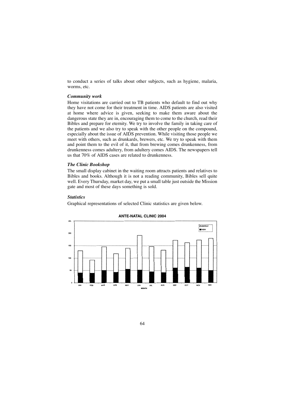to conduct a series of talks about other subjects, such as hygiene, malaria, worms, etc.

### *Community work*

Home visitations are carried out to TB patients who default to find out why they have not come for their treatment in time. AIDS patients are also visited at home where advice is given, seeking to make them aware about the dangerous state they are in, encouraging them to come to the church, read their Bibles and prepare for eternity. We try to involve the family in taking care of the patients and we also try to speak with the other people on the compound, especially about the issue of AIDS prevention. While visiting those people we meet with others, such as drunkards, brewers, etc. We try to speak with them and point them to the evil of it, that from brewing comes drunkenness, from drunkenness comes adultery, from adultery comes AIDS. The newspapers tell us that 70% of AIDS cases are related to drunkenness.

#### *The Clinic Bookshop*

The small display cabinet in the waiting room attracts patients and relatives to Bibles and books. Although it is not a reading community, Bibles sell quite well. Every Thursday, market day, we put a small table just outside the Mission gate and most of these days something is sold.

### *Statistics*

Graphical representations of selected Clinic statistics are given below.



#### **ANTE-NATAL CLINIC 2004**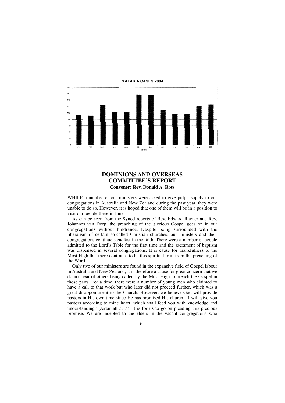

# **DOMINIONS AND OVERSEAS COMMITTEE'S REPORT Convener: Rev. Donald A. Ross**

WHILE a number of our ministers were asked to give pulpit supply to our congregations in Australia and New Zealand during the past year, they were unable to do so. However, it is hoped that one of them will be in a position to visit our people there in June.

As can be seen from the Synod reports of Rev. Edward Rayner and Rev. Johannes van Dorp, the preaching of the glorious Gospel goes on in our congregations without hindrance. Despite being surrounded with the liberalism of certain so-called Christian churches, our ministers and their congregations continue steadfast in the faith. There were a number of people admitted to the Lord's Table for the first time and the sacrament of baptism was dispensed in several congregations. It is cause for thankfulness to the Most High that there continues to be this spiritual fruit from the preaching of the Word.

Only two of our ministers are found in the expansive field of Gospel labour in Australia and New Zealand; it is therefore a cause for great concern that we do not hear of others being called by the Most High to preach the Gospel in those parts. For a time, there were a number of young men who claimed to have a call to that work but who later did not proceed further, which was a great disappointment to the Church. However, we believe God will provide pastors in His own time since He has promised His church, "I will give you pastors according to mine heart, which shall feed you with knowledge and understanding" (Jeremiah 3:15). It is for us to go on pleading this precious promise. We are indebted to the elders in the vacant congregations who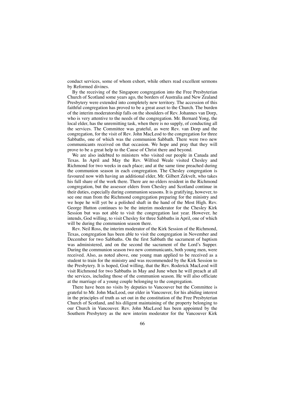conduct services, some of whom exhort, while others read excellent sermons by Reformed divines.

By the receiving of the Singapore congregation into the Free Presbyterian Church of Scotland some years ago, the borders of Australia and New Zealand Presbytery were extended into completely new territory. The accession of this faithful congregation has proved to be a great asset to the Church. The burden of the interim moderatorship falls on the shoulders of Rev. Johannes van Dorp, who is very attentive to the needs of the congregation. Mr. Bernard Yong, the local elder, has the unremitting task, when there is no supply, of conducting all the services. The Committee was grateful, as were Rev. van Dorp and the congregation, for the visit of Rev. John MacLeod to the congregation for three Sabbaths, one of which was the communion Sabbath. There were two new communicants received on that occasion. We hope and pray that they will prove to be a great help to the Cause of Christ there and beyond.

We are also indebted to ministers who visited our people in Canada and Texas. In April and May the Rev. Wilfred Weale visited Chesley and Richmond for two weeks in each place; and at the same time preached during the communion season in each congregation. The Chesley congregation is favoured now with having an additional elder, Mr. Gilbert Zekvelt, who takes his full share of the work there. There are no elders resident in the Richmond congregation, but the assessor elders from Chesley and Scotland continue in their duties, especially during communion seasons. It is gratifying, however, to see one man from the Richmond congregation preparing for the ministry and we hope he will yet be a polished shaft in the hand of the Most High. Rev. George Hutton continues to be the interim moderator for the Chesley Kirk Session but was not able to visit the congregation last year. However, he intends, God willing, to visit Chesley for three Sabbaths in April, one of which will be during the communion season there.

Rev. Neil Ross, the interim moderator of the Kirk Session of the Richmond, Texas, congregation has been able to visit the congregation in November and December for two Sabbaths. On the first Sabbath the sacrament of baptism was administered, and on the second the sacrament of the Lord's Supper. During the communion season two new communicants, both young men, were received. Also, as noted above, one young man applied to be received as a student to train for the ministry and was recommended by the Kirk Session to the Presbytery. It is hoped, God willing, that the Rev. Roderick MacLeod will visit Richmond for two Sabbaths in May and June when he will preach at all the services, including those of the communion season. He will also officiate at the marriage of a young couple belonging to the congregation.

There have been no visits by deputies to Vancouver but the Committee is grateful to Mr. John MacLeod, our elder in Vancouver, for his abiding interest in the principles of truth as set out in the constitution of the Free Presbyterian Church of Scotland, and his diligent maintaining of the property belonging to our Church in Vancouver. Rev. John MacLeod has been appointed by the Southern Presbytery as the new interim moderator for the Vancouver Kirk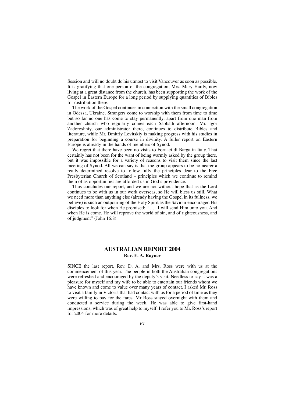Session and will no doubt do his utmost to visit Vancouver as soon as possible. It is gratifying that one person of the congregation, Mrs. Mary Hardy, now living at a great distance from the church, has been supporting the work of the Gospel in Eastern Europe for a long period by supplying quantities of Bibles for distribution there.

The work of the Gospel continues in connection with the small congregation in Odessa, Ukraine. Strangers come to worship with them from time to time but so far no one has come to stay permanently, apart from one man from another church who regularly comes each Sabbath afternoon. Mr. Igor Zadoroshniy, our administrator there, continues to distribute Bibles and literature, while Mr. Dmitriy Levitskiy is making progress with his studies in preparation for beginning a course in divinity. A fuller report on Eastern Europe is already in the hands of members of Synod.

We regret that there have been no visits to Fornaci di Barga in Italy. That certainly has not been for the want of being warmly asked by the group there, but it was impossible for a variety of reasons to visit them since the last meeting of Synod. All we can say is that the group appears to be no nearer a really determined resolve to follow fully the principles dear to the Free Presbyterian Church of Scotland – principles which we continue to remind them of as opportunities are afforded us in God's providence.

Thus concludes our report, and we are not without hope that as the Lord continues to be with us in our work overseas, so He will bless us still. What we need more than anything else (already having the Gospel in its fullness, we believe) is such an outpouring of the Holy Spirit as the Saviour encouraged His disciples to look for when He promised: " . . . I will send Him unto you. And when He is come, He will reprove the world of sin, and of righteousness, and of judgment" (John 16:8).

# **AUSTRALIAN REPORT 2004 Rev. E. A. Rayner**

SINCE the last report, Rev. D. A. and Mrs. Ross were with us at the commencement of this year. The people in both the Australian congregations were refreshed and encouraged by the deputy's visit. Needless to say it was a pleasure for myself and my wife to be able to entertain our friends whom we have known and come to value over many years of contact. I asked Mr. Ross to visit a family in Victoria that had contact with us for a period of time as they were willing to pay for the fares. Mr Ross stayed overnight with them and conducted a service during the week. He was able to give first-hand impressions, which was of great help to myself. I refer you to Mr. Ross's report for 2004 for more details.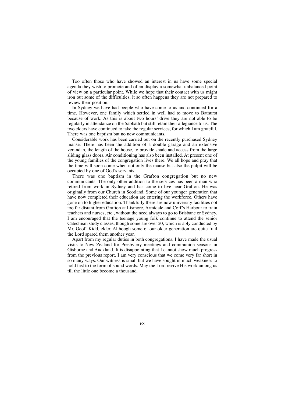Too often those who have showed an interest in us have some special agenda they wish to promote and often display a somewhat unbalanced point of view on a particular point. While we hope that their contact with us might iron out some of the difficulties, it so often happens they are not prepared to review their position.

In Sydney we have had people who have come to us and continued for a time. However, one family which settled in well had to move to Bathurst because of work. As this is about two hours' drive they are not able to be regularly in attendance on the Sabbath but still retain their allegiance to us. The two elders have continued to take the regular services, for which I am grateful. There was one baptism but no new communicants.

Considerable work has been carried out on the recently purchased Sydney manse. There has been the addition of a double garage and an extensive verandah, the length of the house, to provide shade and access from the large sliding glass doors. Air conditioning has also been installed. At present one of the young families of the congregation lives there. We all hope and pray that the time will soon come when not only the manse but also the pulpit will be occupied by one of God's servants.

There was one baptism in the Grafton congregation but no new communicants. The only other addition to the services has been a man who retired from work in Sydney and has come to live near Grafton. He was originally from our Church in Scotland. Some of our younger generation that have now completed their education are entering the workforce. Others have gone on to higher education. Thankfully there are now university facilities not too far distant from Grafton at Lismore, Armidale and Coff's Harbour to train teachers and nurses, etc., without the need always to go to Brisbane or Sydney. I am encouraged that the teenage young folk continue to attend the senior Catechism study classes, though some are over 20, which is ably conducted by Mr. Geoff Kidd, elder. Although some of our older generation are quite frail the Lord spared them another year.

Apart from my regular duties in both congregations, I have made the usual visits to New Zealand for Presbytery meetings and communion seasons in Gisborne and Auckland. It is disappointing that I cannot show much progress from the previous report. I am very conscious that we come very far short in so many ways. Our witness is small but we have sought in much weakness to hold fast to the form of sound words. May the Lord revive His work among us till the little one become a thousand.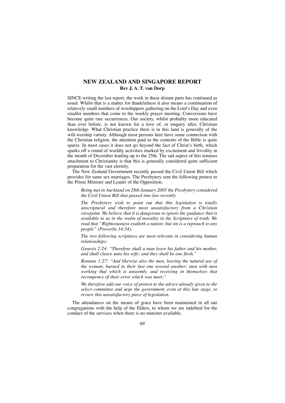# **NEW ZEALAND AND SINGAPORE REPORT Rev J. A. T. van Dorp**

SINCE writing the last report, the work in these distant parts has continued as usual. Whilst that is a matter for thankfulness it also means a continuation of relatively small numbers of worshippers gathering on the Lord's Day and even smaller numbers that come to the weekly prayer meeting. Conversions have become quite rare occurrences. Our society, whilst probably more educated than ever before, is not known for a love of, or enquiry after, Christian knowledge. What Christian practice there is in this land is generally of the will-worship variety. Although most persons here have some connection with the Christian religion, the attention paid to the contents of the Bible is quite sparse. In most cases it does not go beyond the fact of Christ's birth, which sparks off a round of worldly activities marked by excitement and frivolity in the month of December leading up to the 25th. The sad aspect of this tenuous attachment to Christianity is that this is generally considered quite sufficient preparation for the vast eternity.

The New Zealand Government recently passed the Civil Union Bill which provides for same sex marriages. The Presbytery sent the following protest to the Prime Minister and Leader of the Opposition:

*Being met in Auckland on 28th January 2005 the Presbytery considered the Civil Union Bill that passed into law recently.*

*The Presbytery wish to point out that this legislation is totally unscriptural and therefore most unsatisfactory from a Christian viewpoint. We believe that it is dangerous to ignore the guidance that is available to us in the realm of morality in the Scriptures of truth. We read that "Righteousness exalteth a nation: but sin is a reproach to any people" (Proverbs 14:34).*

*The two following scriptures are most relevant in considering human relationships:*

*Genesis 2:24: "Therefore shall a man leave his father and his mother, and shall cleave unto his wife: and they shall be one flesh."*

*Romans 1:27: "And likewise also the men, leaving the natural use of the woman, burned in their lust one toward another; men with men working that which is unseemly, and receiving in themselves that recompence of their error which was meet."*

*We therefore add our voice of protest to the advice already given to the select committee and urge the government, even at this late stage, to review this unsatisfactory piece of legislation.*

The attendances on the means of grace have been maintained in all our congregations with the help of the Elders, to whom we are indebted for the conduct of the services when there is no minister available.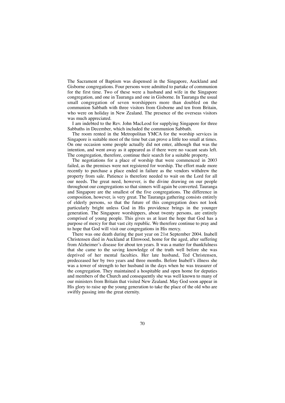The Sacrament of Baptism was dispensed in the Singapore, Auckland and Gisborne congregations. Four persons were admitted to partake of communion for the first time. Two of these were a husband and wife in the Singapore congregation, and one in Tauranga and one in Gisborne. In Tauranga the usual small congregation of seven worshippers more than doubled on the communion Sabbath with three visitors from Gisborne and ten from Britain, who were on holiday in New Zealand. The presence of the overseas visitors was much appreciated.

I am indebted to the Rev. John MacLeod for supplying Singapore for three Sabbaths in December, which included the communion Sabbath.

The room rented in the Metropolitan YMCA for the worship services in Singapore is suitable most of the time but can prove a little too small at times. On one occasion some people actually did not enter, although that was the intention, and went away as it appeared as if there were no vacant seats left. The congregation, therefore, continue their search for a suitable property.

The negotiations for a place of worship that were commenced in 2003 failed, as the premises were not registered for worship. The effort made more recently to purchase a place ended in failure as the vendors withdrew the property from sale. Patience is therefore needed to wait on the Lord for all our needs. The great need, however, is the divine drawing on our people throughout our congregations so that sinners will again be converted. Tauranga and Singapore are the smallest of the five congregations. The difference in composition, however, is very great. The Tauranga gathering consists entirely of elderly persons, so that the future of this congregation does not look particularly bright unless God in His providence brings in the younger generation. The Singapore worshippers, about twenty persons, are entirely comprised of young people. This gives us at least the hope that God has a purpose of mercy for that vast city republic. We therefore continue to pray and to hope that God will visit our congregations in His mercy.

There was one death during the past year on 21st September 2004. Inabell Christensen died in Auckland at Elmwood, home for the aged, after suffering from Alzheimer's disease for about ten years. It was a matter for thankfulness that she came to the saving knowledge of the truth well before she was deprived of her mental faculties. Her late husband, Ted Christensen, predeceased her by two years and three months. Before Inabell's illness she was a tower of strength to her husband in the days when he was treasurer of the congregation. They maintained a hospitable and open home for deputies and members of the Church and consequently she was well known to many of our ministers from Britain that visited New Zealand. May God soon appear in His glory to raise up the young generation to take the place of the old who are swiftly passing into the great eternity.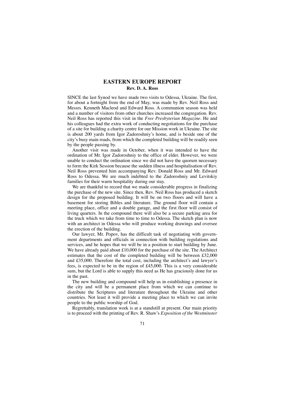### **EASTERN EUROPE REPORT Rev. D. A. Ross**

SINCE the last Synod we have made two visits to Odessa, Ukraine. The first, for about a fortnight from the end of May, was made by Rev. Neil Ross and Messrs. Kenneth Macleod and Edward Ross. A communion season was held and a number of visitors from other churches increased the congregation. Rev. Neil Ross has reported this visit in the *Free Presbyterian Magazine.* He and his colleagues had the extra work of conducting negotiations for the purchase of a site for building a charity centre for our Mission work in Ukraine. The site is about 200 yards from Igor Zadoroshniy's home, and is beside one of the city's busy main roads, from which the completed building will be readily seen by the people passing by.

Another visit was made in October, when it was intended to have the ordination of Mr. Igor Zadoroshniy to the office of elder. However, we were unable to conduct the ordination since we did not have the quorum necessary to form the Kirk Session because the sudden illness and hospitalisation of Rev. Neil Ross prevented him accompanying Rev. Donald Ross and Mr. Edward Ross to Odessa. We are much indebted to the Zadoroshniy and Levitskiy families for their warm hospitality during our stay.

We are thankful to record that we made considerable progress in finalizing the purchase of the new site. Since then, Rev. Neil Ross has produced a sketch design for the proposed building. It will be on two floors and will have a basement for storing Bibles and literature. The ground floor will contain a meeting place, office and a double garage, and the first floor will consist of living quarters. In the compound there will also be a secure parking area for the truck which we take from time to time to Odessa. The sketch plan is now with an architect in Odessa who will produce working drawings and oversee the erection of the building.

Our lawyer, Mr. Popov, has the difficult task of negotiating with government departments and officials in connection with building regulations and services, and he hopes that we will be in a position to start building by June. We have already paid about £10,000 for the purchase of the site. The Architect estimates that the cost of the completed building will be between £32,000 and £35,000. Therefore the total cost, including the architect's and lawyer's fees, is expected to be in the region of £45,000. This is a very considerable sum, but the Lord is able to supply this need as He has graciously done for us in the past.

The new building and compound will help us in establishing a presence in the city and will be a permanent place from which we can continue to distribute the Scriptures and literature throughout the Ukraine and other countries. Not least it will provide a meeting place to which we can invite people to the public worship of God.

Regrettably, translation work is at a standstill at present. Our main priority is to proceed with the printing of Rev. R. Shaw's *Exposition of the Westminster*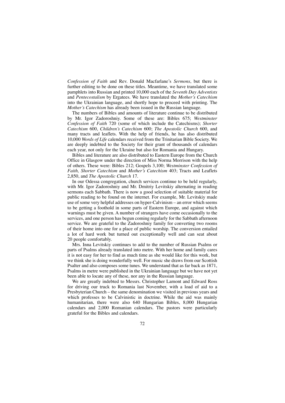*Confession of Faith* and Rev. Donald Macfarlane's *Sermons*, but there is further editing to be done on these titles. Meantime, we have translated some pamphlets into Russian and printed 10,000 each of the *Seventh Day Adventists* and *Pentecostalism* by Ergatees. We have translated the *Mother's Catechism* into the Ukrainian language, and shortly hope to proceed with printing. The *Mother's Catechism* has already been issued in the Russian language.

The numbers of Bibles and amounts of literature continue to be distributed by Mr. Igor Zadoroshniy. Some of these are: Bibles 675; *Westminster Confession of Faith* 720 (some of which include the Catechisms); *Shorter Catechism* 600, *Children's Catechism* 600; *The Apostolic Church* 600, and many tracts and leaflets. With the help of friends, he has also distributed 10,000 *Words of Life* calendars received from the Trinitarian Bible Society. We are deeply indebted to the Society for their grant of thousands of calendars each year, not only for the Ukraine but also for Romania and Hungary.

Bibles and literature are also distributed to Eastern Europe from the Church Office in Glasgow under the direction of Miss Norma Morrison with the help of others. These were: Bibles 212; Gospels 3,100; *Westminster Confession of Faith, Shorter Catechism* and *Mother's Catechism* 403; Tracts and Leaflets 2,850, and *The Apostolic Church* 17.

In our Odessa congregation, church services continue to be held regularly, with Mr. Igor Zadoroshniy and Mr. Dmitriy Levitskiy alternating in reading sermons each Sabbath. There is now a good selection of suitable material for public reading to be found on the internet. For example, Mr. Levitskiy made use of some very helpful addresses on hyper-Calvinism – an error which seems to be getting a foothold in some parts of Eastern Europe, and against which warnings must be given. A number of strangers have come occasionally to the services, and one person has begun coming regularly for the Sabbath afternoon service. We are grateful to the Zadoroshniy family for converting two rooms of their home into one for a place of public worship. The conversion entailed a lot of hard work but turned out exceptionally well and can seat about 20 people comfortably.

Mrs. Inna Levitskiy continues to add to the number of Russian Psalms or parts of Psalms already translated into metre. With her home and family cares it is not easy for her to find as much time as she would like for this work, but we think she is doing wonderfully well. For music she draws from our Scottish Psalter and also composes some tunes. We understand that as far back as 1871, Psalms in metre were published in the Ukrainian language but we have not yet been able to locate any of these, nor any in the Russian language.

We are greatly indebted to Messrs. Christopher Lamont and Edward Ross for driving our truck to Romania last November, with a load of aid to a Presbyterian Church – the same denomination we visited in previous years and which professes to be Calvinistic in doctrine. While the aid was mainly humanitarian, there were also 640 Hungarian Bibles, 8,000 Hungarian calendars and 2,000 Romanian calendars. The pastors were particularly grateful for the Bibles and calendars.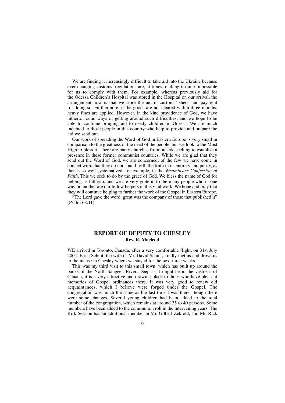We are finding it increasingly difficult to take aid into the Ukraine because ever changing customs' regulations are, at times, making it quite impossible for us to comply with them. For example, whereas previously aid for the Odessa Children's Hospital was stored in the Hospital on our arrival, the arrangement now is that we store the aid in customs' sheds and pay rent for doing so. Furthermore, if the goods are not cleared within three months, heavy fines are applied. However, in the kind providence of God, we have hitherto found ways of getting around such difficulties, and we hope to be able to continue bringing aid to needy children in Odessa. We are much indebted to those people in this country who help to provide and prepare the aid we send out.

Our work of spreading the Word of God in Eastern Europe is very small in comparison to the greatness of the need of the people, but we look to the Most High to bless it. There are many churches from outside seeking to establish a presence in these former communist countries. While we are glad that they send out the Word of God, we are concerned, of the few we have come in contact with, that they do not sound forth the truth in its entirety and purity, as that is so well systematized, for example, in the *Westminster Confession of Faith.* This we seek to do by the grace of God. We bless the name of God for helping us hitherto, and we are very grateful to the many people who in one way or another are our fellow helpers in this vital work. We hope and pray that they will continue helping to further the work of the Gospel in Eastern Europe.

"The Lord gave the word: great was the company of those that published it" (Psalm 68:11).

# **REPORT OF DEPUTY TO CHESLEY Rev. R. Macleod**

WE arrived in Toronto, Canada, after a very comfortable flight, on 31st July 2004. Erica Schuit, the wife of Mr. David Schuit, kindly met us and drove us to the manse in Chesley where we stayed for the next three weeks.

This was my third visit to this small town, which has built up around the banks of the North Saugeen River. Deep as it might be in the vastness of Canada, it is a very attractive and drawing place to those who have pleasant memories of Gospel ordinances there. It was very good to renew old acquaintances, which I believe were forged under the Gospel. The congregation was much the same as the last time I was there, though there were some changes. Several young children had been added to the total number of the congregation, which remains at around 35 to 40 persons. Some members have been added to the communion roll in the intervening years. The Kirk Session has an additional member in Mr. Gilbert Zekfeld, and Mr. Rick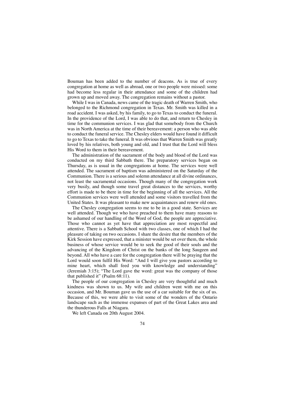Bouman has been added to the number of deacons. As is true of every congregation at home as well as abroad, one or two people were missed: some had become less regular in their attendance and some of the children had grown up and moved away. The congregation remains without a pastor.

While I was in Canada, news came of the tragic death of Warren Smith, who belonged to the Richmond congregation in Texas. Mr. Smith was killed in a road accident. I was asked, by his family, to go to Texas to conduct the funeral. In the providence of the Lord, I was able to do that, and return to Chesley in time for the communion services. I was glad that somebody from the Church was in North America at the time of their bereavement: a person who was able to conduct the funeral service. The Chesley elders would have found it difficult to go to Texas to take the funeral. It was obvious that Warren Smith was greatly loved by his relatives, both young and old, and I trust that the Lord will bless His Word to them in their bereavement.

The administration of the sacrament of the body and blood of the Lord was conducted on my third Sabbath there. The preparatory services began on Thursday, as is usual in the congregations at home. The services were well attended. The sacrament of baptism was administered on the Saturday of the Communion. There is a serious and solemn attendance at all divine ordinances, not least the sacramental occasions. Though many of the congregation work very busily, and though some travel great distances to the services, worthy effort is made to be there in time for the beginning of all the services. All the Communion services were well attended and some visitors travelled from the United States. It was pleasant to make new acquaintances and renew old ones.

The Chesley congregation seems to me to be in a good state. Services are well attended. Though we who have preached to them have many reasons to be ashamed of our handling of the Word of God, the people are appreciative. Those who cannot as yet have that appreciation are most respectful and attentive. There is a Sabbath School with two classes, one of which I had the pleasure of taking on two occasions. I share the desire that the members of the Kirk Session have expressed, that a minister would be set over them, the whole business of whose service would be to seek the good of their souls and the advancing of the Kingdom of Christ on the banks of the long Saugeen and beyond. All who have a care for the congregation there will be praying that the Lord would soon fulfil His Word: "And I will give you pastors according to mine heart, which shall feed you with knowledge and understanding" (Jeremiah 3:15); "The Lord gave the word: great was the company of those that published it" (Psalm 68:11).

The people of our congregation in Chesley are very thoughtful and much kindness was shown to us. My wife and children went with me on this occasion, and Mr. Bouman gave us the use of a car suitable for the six of us. Because of this, we were able to visit some of the wonders of the Ontario landscape such as the immense expanses of part of the Great Lakes area and the thunderous Falls at Niagara.

We left Canada on 20th August 2004.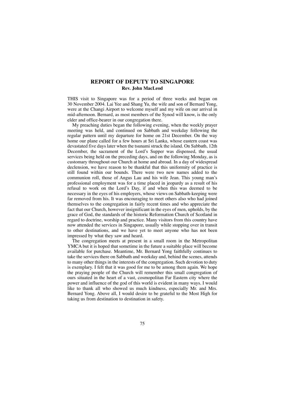# **REPORT OF DEPUTY TO SINGAPORE Rev. John MacLeod**

THIS visit to Singapore was for a period of three weeks and began on 30 November 2004. Lai Yee and Shang Yu, the wife and son of Bernard Yong, were at the Changi Airport to welcome myself and my wife on our arrival in mid-afternoon. Bernard, as most members of the Synod will know, is the only elder and office-bearer in our congregation there.

My preaching duties began the following evening, when the weekly prayer meeting was held, and continued on Sabbath and weekday following the regular pattern until my departure for home on 21st December. On the way home our plane called for a few hours at Sri Lanka, whose eastern coast was devastated five days later when the tsunami struck the island. On Sabbath, 12th December, the sacrament of the Lord's Supper was dispensed, the usual services being held on the preceding days, and on the following Monday, as is customary throughout our Church at home and abroad. In a day of widespread declension, we have reason to be thankful that this uniformity of practice is still found within our bounds. There were two new names added to the communion roll, those of Angus Lau and his wife Jean. This young man's professional employment was for a time placed in jeopardy as a result of his refusal to work on the Lord's Day, if and when this was deemed to be necessary in the eyes of his employers, whose views on Sabbath-keeping were far removed from his. It was encouraging to meet others also who had joined themselves to the congregation in fairly recent times and who appreciate the fact that our Church, however insignificant in the eyes of men, upholds, by the grace of God, the standards of the historic Reformation Church of Scotland in regard to doctrine, worship and practice. Many visitors from this country have now attended the services in Singapore, usually while stopping over in transit to other destinations, and we have yet to meet anyone who has not been impressed by what they saw and heard.

The congregation meets at present in a small room in the Metropolitan YMCA but it is hoped that sometime in the future a suitable place will become available for purchase. Meantime, Mr. Bernard Yong faithfully continues to take the services there on Sabbath and weekday and, behind the scenes, attends to many other things in the interests of the congregation. Such devotion to duty is exemplary. I felt that it was good for me to be among them again. We hope the praying people of the Church will remember this small congregation of ours situated in the heart of a vast, cosmopolitan Far Eastern city where the power and influence of the god of this world is evident in many ways. I would like to thank all who showed us much kindness, especially Mr. and Mrs. Bernard Yong. Above all, I would desire to be grateful to the Most High for taking us from destination to destination in safety.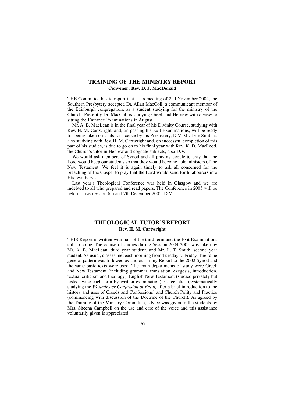# **TRAINING OF THE MINISTRY REPORT Convener: Rev. D. J. MacDonald**

THE Committee has to report that at its meeting of 2nd November 2004, the Southern Presbytery accepted Dr. Allan MacColl, a communicant member of the Edinburgh congregation, as a student studying for the ministry of the Church. Presently Dr. MacColl is studying Greek and Hebrew with a view to sitting the Entrance Examinations in August.

Mr. A. B. MacLean is in the final year of his Divinity Course, studying with Rev. H. M. Cartwright, and, on passing his Exit Examinations, will be ready for being taken on trials for licence by his Presbytery, D.V. Mr. Lyle Smith is also studying with Rev. H. M. Cartwright and, on successful completion of this part of his studies, is due to go on to his final year with Rev. K. D. MacLeod, the Church's tutor in Hebrew and cognate subjects, also D.V.

We would ask members of Synod and all praying people to pray that the Lord would keep our students so that they would become able ministers of the New Testament. We feel it is again timely to ask all concerned for the preaching of the Gospel to pray that the Lord would send forth labourers into His own harvest.

Last year's Theological Conference was held in Glasgow and we are indebted to all who prepared and read papers. The Conference in 2005 will be held in Inverness on 6th and 7th December 2005, D.V.

## **THEOLOGICAL TUTOR'S REPORT Rev. H. M. Cartwright**

THIS Report is written with half of the third term and the Exit Examinations still to come. The course of studies during Session 2004-2005 was taken by Mr. A. B. MacLean, third year student, and Mr. L. T. Smith, second year student. As usual, classes met each morning from Tuesday to Friday. The same general pattern was followed as laid out in my Report to the 2002 Synod and the same basic texts were used. The main departments of study were Greek and New Testament (including grammar, translation, exegesis, introduction, textual criticism and theology), English New Testament (studied privately but tested twice each term by written examination), Catechetics (systematically studying the *Westminster Confession of Faith,* after a brief introduction to the history and uses of Creeds and Confessions) and Church Polity and Practice (commencing with discussion of the Doctrine of the Church). As agreed by the Training of the Ministry Committee, advice was given to the students by Mrs. Sheena Campbell on the use and care of the voice and this assistance voluntarily given is appreciated.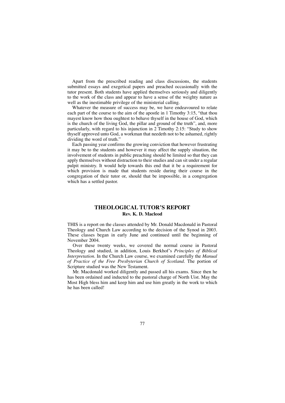Apart from the prescribed reading and class discussions, the students submitted essays and exegetical papers and preached occasionally with the tutor present. Both students have applied themselves seriously and diligently to the work of the class and appear to have a sense of the weighty nature as well as the inestimable privilege of the ministerial calling.

Whatever the measure of success may be, we have endeavoured to relate each part of the course to the aim of the apostle in 1 Timothy 3:15, "that thou mayest know how thou oughtest to behave thyself in the house of God, which is the church of the living God, the pillar and ground of the truth", and, more particularly, with regard to his injunction in 2 Timothy 2:15: "Study to show thyself approved unto God, a workman that needeth not to be ashamed, rightly dividing the word of truth."

Each passing year confirms the growing conviction that however frustrating it may be to the students and however it may affect the supply situation, the involvement of students in public preaching should be limited so that they can apply themselves without distraction to their studies and can sit under a regular pulpit ministry. It would help towards this end that it be a requirement for which provision is made that students reside during their course in the congregation of their tutor or, should that be impossible, in a congregation which has a settled pastor.

# **THEOLOGICAL TUTOR'S REPORT Rev. K. D. Macleod**

THIS is a report on the classes attended by Mr. Donald Macdonald in Pastoral Theology and Church Law according to the decision of the Synod in 2003. These classes began in early June and continued until the beginning of November 2004.

Over these twenty weeks, we covered the normal course in Pastoral Theology and studied, in addition, Louis Berkhof's *Principles of Biblical Interpretation.* In the Church Law course, we examined carefully the *Manual of Practice of the Free Presbyterian Church of Scotland*. The portion of Scripture studied was the New Testament.

Mr. Macdonald worked diligently and passed all his exams. Since then he has been ordained and inducted to the pastoral charge of North Uist. May the Most High bless him and keep him and use him greatly in the work to which he has been called!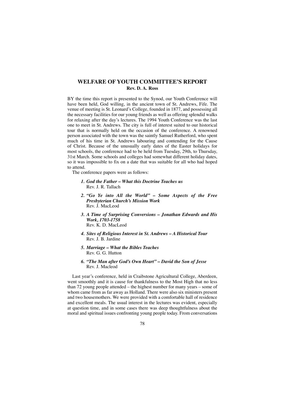# **WELFARE OF YOUTH COMMITTEE'S REPORT Rev. D. A. Ross**

BY the time this report is presented to the Synod, our Youth Conference will have been held, God willing, in the ancient town of St. Andrews, Fife. The venue of meeting is St. Leonard's College, founded in 1877, and possessing all the necessary facilities for our young friends as well as offering splendid walks for relaxing after the day's lectures. The 1994 Youth Conference was the last one to meet in St. Andrews. The city is full of interest suited to our historical tour that is normally held on the occasion of the conference. A renowned person associated with the town was the saintly Samuel Rutherford, who spent much of his time in St. Andrews labouring and contending for the Cause of Christ. Because of the unusually early dates of the Easter holidays for most schools, the conference had to be held from Tuesday, 29th, to Thursday, 31st March. Some schools and colleges had somewhat different holiday dates, so it was impossible to fix on a date that was suitable for all who had hoped to attend.

The conference papers were as follows:

- *1. God the Father What this Doctrine Teaches us* Rev. J. R. Tallach
- *2. "Go Ye into All the World" – Some Aspects of the Free Presbyterian Church's Mission Work* Rev. J. MacLeod
- *3. A Time of Surprising Conversions Jonathan Edwards and His Work, 1703-1758* Rev. K. D. MacLeod
- *4. Sites of Religious Interest in St. Andrews A Historical Tour* Rev. J. B. Jardine
- *5. Marriage What the Bibles Teaches* Rev. G. G. Hutton
- *6. "The Man after God's Own Heart" David the Son of Jesse* Rev. J. Macleod

Last year's conference, held in Craibstone Agricultural College, Aberdeen, went smoothly and it is cause for thankfulness to the Most High that no less than 72 young people attended – the highest number for many years – some of whom came from as far away as Holland. There were also six ministers present and two housemothers. We were provided with a comfortable hall of residence and excellent meals. The usual interest in the lectures was evident, especially at question time, and in some cases there was deep thoughtfulness about the moral and spiritual issues confronting young people today. From conversations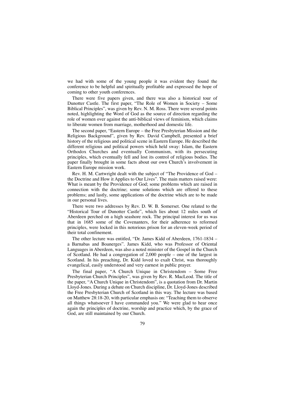we had with some of the young people it was evident they found the conference to be helpful and spiritually profitable and expressed the hope of coming to other youth conferences.

There were five papers given, and there was also a historical tour of Dunotter Castle. The first paper, "The Role of Women in Society – Some Biblical Principles", was given by Rev. N. M. Ross. There were several points noted, highlighting the Word of God as the source of direction regarding the role of women over against the anti-biblical views of feminism, which claims to liberate women from marriage, motherhood and domestic life.

The second paper, "Eastern Europe – the Free Presbyterian Mission and the Religious Background", given by Rev. David Campbell, presented a brief history of the religious and political scene in Eastern Europe. He described the different religious and political powers which held sway: Islam, the Eastern Orthodox Churches and eventually Communism, with its persecuting principles, which eventually fell and lost its control of religious bodies. The paper finally brought in some facts about our own Church's involvement in Eastern Europe mission work.

Rev. H. M. Cartwright dealt with the subject of "The Providence of God – the Doctrine and How it Applies to Our Lives". The main matters raised were: What is meant by the Providence of God; some problems which are raised in connection with the doctrine; some solutions which are offered to these problems; and lastly, some applications of the doctrine which are to be made in our personal lives.

There were two addresses by Rev. D. W. B. Somerset. One related to the "Historical Tour of Dunotter Castle", which lies about 12 miles south of Aberdeen perched on a high seashore rock. The principal interest for us was that in 1685 some of the Covenanters, for their adherence to reformed principles, were locked in this notorious prison for an eleven-week period of their total confinement.

The other lecture was entitled, "Dr. James Kidd of Aberdeen, 1761-1834 – a Barnabas and Boanerges". James Kidd, who was Professor of Oriental Languages in Aberdeen, was also a noted minister of the Gospel in the Church of Scotland. He had a congregation of 2,000 people – one of the largest in Scotland. In his preaching, Dr. Kidd loved to exalt Christ, was thoroughly evangelical, easily understood and very earnest in public prayer.

The final paper, "A Church Unique in Christendom – Some Free Presbyterian Church Principles", was given by Rev. R. MacLeod. The title of the paper, "A Church Unique in Christendom", is a quotation from Dr. Martin Lloyd-Jones. During a debate on Church discipline, Dr. Lloyd-Jones described the Free Presbyterian Church of Scotland in this way. The lecture was based on Matthew 28:18-20, with particular emphasis on: "Teaching them to observe all things whatsoever I have commanded you." We were glad to hear once again the principles of doctrine, worship and practice which, by the grace of God, are still maintained by our Church.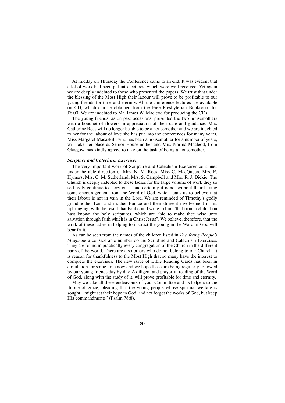At midday on Thursday the Conference came to an end. It was evident that a lot of work had been put into lectures, which were well received. Yet again we are deeply indebted to those who presented the papers. We trust that under the blessing of the Most High their labour will prove to be profitable to our young friends for time and eternity. All the conference lectures are available on CD, which can be obtained from the Free Presbyterian Bookroom for £6.00. We are indebted to Mr. James W. Macleod for producing the CDs.

The young friends, as on past occasions, presented the two housemothers with a bouquet of flowers in appreciation of their care and guidance. Mrs. Catherine Ross will no longer be able to be a housemother and we are indebted to her for the labour of love she has put into the conferences for many years. Miss Margaret Macaskill, who has been a housemother for a number of years, will take her place as Senior Housemother and Mrs. Norma Macleod, from Glasgow, has kindly agreed to take on the task of being a housemother.

#### *Scripture and Catechism Exercises*

The very important work of Scripture and Catechism Exercises continues under the able direction of Mrs. N. M. Ross, Miss C. MacQueen, Mrs. E. Hymers, Mrs. C. M. Sutherland, Mrs. S. Campbell and Mrs. R. J. Dickie. The Church is deeply indebted to these ladies for the large volume of work they so selflessly continue to carry out – and certainly it is not without their having some encouragement from the Word of God, which leads us to believe that their labour is not in vain in the Lord. We are reminded of Timothy's godly grandmother Lois and mother Eunice and their diligent involvement in his upbringing, with the result that Paul could write to him "that from a child thou hast known the holy scriptures, which are able to make thee wise unto salvation through faith which is in Christ Jesus". We believe, therefore, that the work of these ladies in helping to instruct the young in the Word of God will bear fruit.

As can be seen from the names of the children listed in *The Young People's Magazine* a considerable number do the Scripture and Catechism Exercises. They are found in practically every congregation of the Church in the different parts of the world. There are also others who do not belong to our Church. It is reason for thankfulness to the Most High that so many have the interest to complete the exercises. The new issue of Bible Reading Cards has been in circulation for some time now and we hope these are being regularly followed by our young friends day by day. A diligent and prayerful reading of the Word of God, along with the study of it, will prove profitable for time and eternity.

May we take all these endeavours of your Committee and its helpers to the throne of grace, pleading that the young people whose spiritual welfare is sought, "might set their hope in God, and not forget the works of God, but keep His commandments" (Psalm 78:8).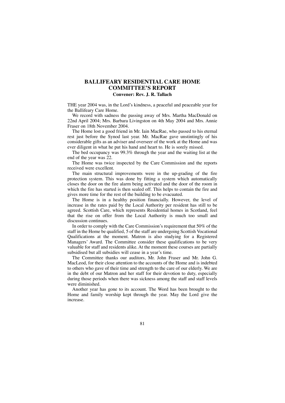# **BALLIFEARY RESIDENTIAL CARE HOME COMMITTEE'S REPORT**

## **Convener: Rev. J. R. Tallach**

THE year 2004 was, in the Lord's kindness, a peaceful and peaceable year for the Ballifeary Care Home.

We record with sadness the passing away of Mrs. Martha MacDonald on 22nd April 2004; Mrs. Barbara Livingston on 4th May 2004 and Mrs. Annie Fraser on 18th November 2004.

The Home lost a good friend in Mr. Iain MacRae, who passed to his eternal rest just before the Synod last year. Mr. MacRae gave unstintingly of his considerable gifts as an adviser and overseer of the work at the Home and was ever diligent in what he put his hand and heart to. He is sorely missed.

The bed occupancy was 99.3% through the year and the waiting list at the end of the year was 22.

The Home was twice inspected by the Care Commission and the reports received were excellent.

The main structural improvements were in the up-grading of the fire protection system. This was done by fitting a system which automatically closes the door on the fire alarm being activated and the door of the room in which the fire has started is then sealed off. This helps to contain the fire and gives more time for the rest of the building to be evacuated.

The Home is in a healthy position financially. However, the level of increase in the rates paid by the Local Authority per resident has still to be agreed. Scottish Care, which represents Residential homes in Scotland, feel that the rise on offer from the Local Authority is much too small and discussion continues.

In order to comply with the Care Commission's requirement that 50% of the staff in the Home be qualified, 5 of the staff are undergoing Scottish Vocational Qualifications at the moment. Matron is also studying for a Registered Managers' Award. The Committee consider these qualifications to be very valuable for staff and residents alike. At the moment these courses are partially subsidised but all subsidies will cease in a year's time.

The Committee thanks our auditors, Mr. John Fraser and Mr. John G. MacLeod, for their close attention to the accounts of the Home and is indebted to others who gave of their time and strength to the care of our elderly. We are in the debt of our Matron and her staff for their devotion to duty, especially during those periods when there was sickness among the staff and staff levels were diminished.

Another year has gone to its account. The Word has been brought to the Home and family worship kept through the year. May the Lord give the increase.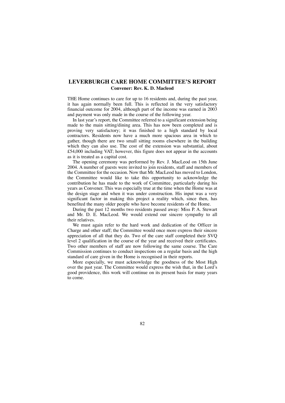# **LEVERBURGH CARE HOME COMMITTEE'S REPORT Convener: Rev. K. D. Macleod**

THE Home continues to care for up to 16 residents and, during the past year, it has again normally been full. This is reflected in the very satisfactory financial outcome for 2004, although part of the income was earned in 2003 and payment was only made in the course of the following year.

In last year's report, the Committee referred to a significant extension being made to the main sitting/dining area. This has now been completed and is proving very satisfactory; it was finished to a high standard by local contractors. Residents now have a much more spacious area in which to gather, though there are two small sitting rooms elsewhere in the building which they can also use. The cost of the extension was substantial, about £54,000 including VAT; however, this figure does not appear in the accounts as it is treated as a capital cost.

The opening ceremony was performed by Rev. J. MacLeod on 15th June 2004. A number of guests were invited to join residents, staff and members of the Committee for the occasion. Now that Mr. MacLeod has moved to London, the Committee would like to take this opportunity to acknowledge the contribution he has made to the work of Committee, particularly during his years as Convener. This was especially true at the time when the Home was at the design stage and when it was under construction. His input was a very significant factor in making this project a reality which, since then, has benefited the many older people who have become residents of the Home.

During the past 12 months two residents passed away: Miss P. A. Stewart and Mr. D. E. MacLeod. We would extend our sincere sympathy to all their relatives.

We must again refer to the hard work and dedication of the Officer in Charge and other staff; the Committee would once more express their sincere appreciation of all that they do. Two of the care staff completed their SVQ level 2 qualification in the course of the year and received their certificates. Two other members of staff are now following the same course. The Care Commission continues to conduct inspections on a regular basis and the high standard of care given in the Home is recognised in their reports.

More especially, we must acknowledge the goodness of the Most High over the past year. The Committee would express the wish that, in the Lord's good providence, this work will continue on its present basis for many years to come.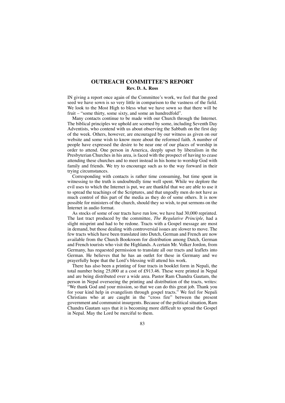# **OUTREACH COMMITTEE'S REPORT Rev. D. A. Ross**

IN giving a report once again of the Committee's work, we feel that the good seed we have sown is so very little in comparison to the vastness of the field. We look to the Most High to bless what we have sown so that there will be fruit – "some thirty, some sixty, and some an hundredfold".

Many contacts continue to be made with our Church through the Internet. The biblical principles we uphold are scorned by some, including Seventh Day Adventists, who contend with us about observing the Sabbath on the first day of the week. Others, however, are encouraged by our witness as given on our website and some wish to know more about the reformed faith. A number of people have expressed the desire to be near one of our places of worship in order to attend. One person in America, deeply upset by liberalism in the Presbyterian Churches in his area, is faced with the prospect of having to cease attending these churches and to meet instead in his home to worship God with family and friends. We try to encourage such as to the way forward in their trying circumstances.

Corresponding with contacts is rather time consuming, but time spent in witnessing to the truth is undoubtedly time well spent. While we deplore the evil uses to which the Internet is put, we are thankful that we are able to use it to spread the teachings of the Scriptures, and that ungodly men do not have as much control of this part of the media as they do of some others. It is now possible for ministers of the church, should they so wish, to put sermons on the Internet in audio format.

As stocks of some of our tracts have run low, we have had 30,000 reprinted. The last tract produced by the committee, *The Regulative Principle,* had a slight misprint and had to be redone. Tracts with a Gospel message are most in demand, but those dealing with controversial issues are slower to move. The few tracts which have been translated into Dutch, German and French are now available from the Church Bookroom for distribution among Dutch, German and French tourists who visit the Highlands. A certain Mr. Volker Jordon, from Germany, has requested permission to translate all our tracts and leaflets into German. He believes that he has an outlet for these in Germany and we prayerfully hope that the Lord's blessing will attend his work.

There has also been a printing of four tracts in booklet form in Nepali, the total number being 25,000 at a cost of £913.46. These were printed in Nepal and are being distributed over a wide area. Pastor Ram Chandra Gautam, the person in Nepal overseeing the printing and distribution of the tracts, writes: "We thank God and your mission, so that we can do this great job. Thank you for your kind help in evangelism through gospel tracts." We feel for Nepali Christians who at are caught in the "cross fire" between the present government and communist insurgents. Because of the political situation, Ram Chandra Gautam says that it is becoming more difficult to spread the Gospel in Nepal. May the Lord be merciful to them.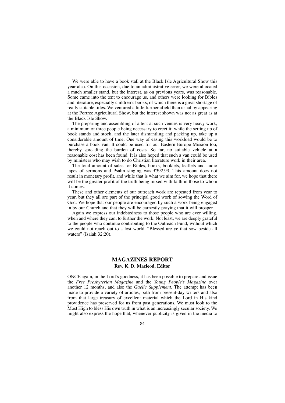We were able to have a book stall at the Black Isle Agricultural Show this year also. On this occasion, due to an administrative error, we were allocated a much smaller stand, but the interest, as on previous years, was reasonable. Some came into the tent to encourage us, and others were looking for Bibles and literature, especially children's books, of which there is a great shortage of really suitable titles. We ventured a little further afield than usual by appearing at the Portree Agricultural Show, but the interest shown was not as great as at the Black Isle Show.

The preparing and assembling of a tent at such venues is very heavy work, a minimum of three people being necessary to erect it; while the setting up of book stands and stock, and the later dismantling and packing up, take up a considerable amount of time. One way of easing this workload would be to purchase a book van. It could be used for our Eastern Europe Mission too, thereby spreading the burden of costs. So far, no suitable vehicle at a reasonable cost has been found. It is also hoped that such a van could be used by ministers who may wish to do Christian literature work in their area.

The total amount of sales for Bibles, books, booklets, leaflets and audio tapes of sermons and Psalm singing was £392.93. This amount does not result in monetary profit, and while that is what we aim for, we hope that there will be the greater profit of the truth being mixed with faith in those to whom it comes.

These and other elements of our outreach work are repeated from year to year, but they all are part of the principal good work of sowing the Word of God. We hope that our people are encouraged by such a work being engaged in by our Church and that they will be earnestly praying that it will prosper.

Again we express our indebtedness to those people who are ever willing, when and where they can, to further the work. Not least, we are deeply grateful to the people who continue contributing to the Outreach Fund, without which we could not reach out to a lost world. "Blessed are ye that sow beside all waters" (Isaiah 32:20).

### **MAGAZINES REPORT Rev. K. D. Macleod, Editor**

ONCE again, in the Lord's goodness, it has been possible to prepare and issue the *Free Presbyterian Magazine* and the *Young People's Magazine* over another 12 months, and also the *Gaelic Supplement*. The attempt has been made to provide a variety of articles, both from present-day writers and also from that large treasury of excellent material which the Lord in His kind providence has preserved for us from past generations. We must look to the Most High to bless His own truth in what is an increasingly secular society. We might also express the hope that, whenever publicity is given in the media to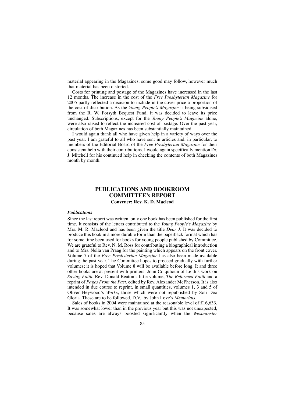material appearing in the Magazines, some good may follow, however much that material has been distorted.

Costs for printing and postage of the Magazines have increased in the last 12 months. The increase in the cost of the *Free Presbyterian Magazine* for 2005 partly reflected a decision to include in the cover price a proportion of the cost of distribution. As the *Young People's Magazine* is being subsidised from the R. W. Forsyth Bequest Fund, it was decided to leave its price unchanged. Subscriptions, except for the *Young People's Magazine* alone, were also raised to reflect the increased cost of postage. Over the past year, circulation of both Magazines has been substantially maintained.

I would again thank all who have given help in a variety of ways over the past year. I am grateful to all who have sent in articles and, in particular, to members of the Editorial Board of the *Free Presbyterian Magazine* for their consistent help with their contributions. I would again specifically mention Dr. J. Mitchell for his continued help in checking the contents of both Magazines month by month.

### **PUBLICATIONS AND BOOKROOM COMMITTEE's REPORT Convener: Rev. K. D. Macleod**

#### *Publications*

Since the last report was written, only one book has been published for the first time. It consists of the letters contributed to the *Young People's Magazine* by Mrs. M. R. Macleod and has been given the title *Dear J*. It was decided to produce this book in a more durable form than the paperback format which has for some time been used for books for young people published by Committee. We are grateful to Rev. N. M. Ross for contributing a biographical introduction and to Mrs. Nella van Praag for the painting which appears on the front cover. Volume 7 of the *Free Presbyterian Magazine* has also been made available during the past year. The Committee hopes to proceed gradually with further volumes; it is hoped that Volume 8 will be available before long. It and three other books are at present with printers: John Colquhoun of Leith's work on *Saving Faith*, Rev. Donald Beaton's little volume, *The Reformed Faith* and a reprint of *Pages From the Past*, edited by Rev. Alexander McPherson. It is also intended in due course to reprint, in small quantities, volumes 1, 3 and 5 of Oliver Heywood's *Works*, those which were not republished by Soli Deo Gloria. These are to be followed, D.V., by John Love's *Memorials*.

Sales of books in 2004 were maintained at the reasonable level of £16,633. It was somewhat lower than in the previous year but this was not unexpected, because sales are always boosted significantly when the *Westminster*